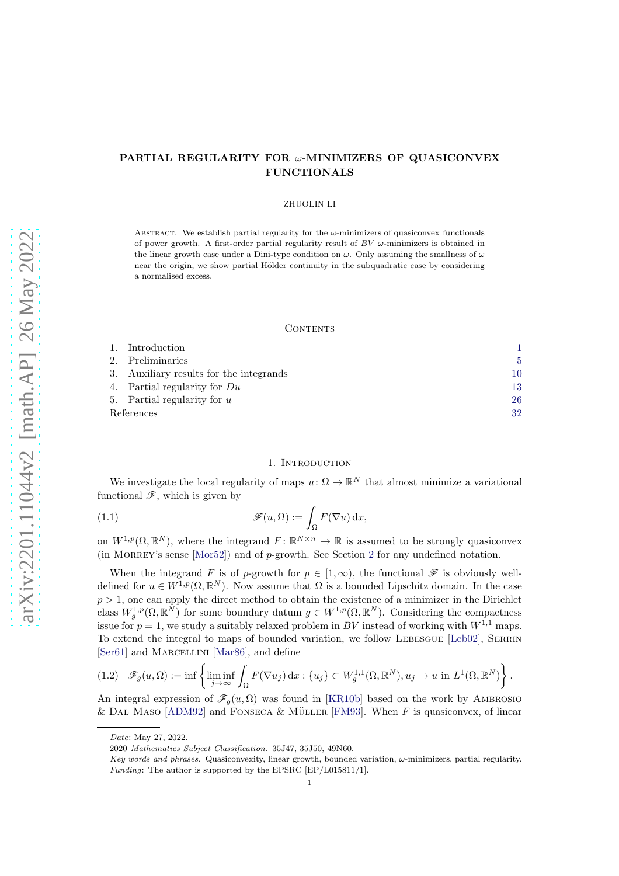# PARTIAL REGULARITY FOR ω-MINIMIZERS OF QUASICONVEX FUNCTIONALS

#### ZHUOLIN LI

ABSTRACT. We establish partial regularity for the  $\omega$ -minimizers of quasiconvex functionals of power growth. A first-order partial regularity result of  $BV$   $\omega$ -minimizers is obtained in the linear growth case under a Dini-type condition on  $\omega$ . Only assuming the smallness of  $\omega$ near the origin, we show partial Hölder continuity in the subquadratic case by considering a normalised excess.

#### CONTENTS

|            | Introduction                            |     |
|------------|-----------------------------------------|-----|
|            | 2. Preliminaries                        | 5.  |
|            | 3. Auxiliary results for the integrands | 10. |
|            | 4. Partial regularity for $Du$          | 13  |
|            | 5. Partial regularity for $u$           | 26  |
| References |                                         | 32  |

# <span id="page-0-1"></span>1. INTRODUCTION

<span id="page-0-0"></span>We investigate the local regularity of maps  $u: \Omega \to \mathbb{R}^N$  that almost minimize a variational functional  $\mathscr{F}$ , which is given by

(1.1) 
$$
\mathscr{F}(u,\Omega) := \int_{\Omega} F(\nabla u) \, \mathrm{d}x,
$$

on  $W^{1,p}(\Omega,\mathbb{R}^N)$ , where the integrand  $F: \mathbb{R}^{N \times n} \to \mathbb{R}$  is assumed to be strongly quasiconvex (in MORREY's sense [\[Mor52\]](#page-33-0)) and of  $p$ -growth. See Section [2](#page-4-0) for any undefined notation.

When the integrand F is of p-growth for  $p \in [1,\infty)$ , the functional  $\mathscr F$  is obviously welldefined for  $u \in W^{1,p}(\Omega,\mathbb{R}^N)$ . Now assume that  $\Omega$  is a bounded Lipschitz domain. In the case  $p > 1$ , one can apply the direct method to obtain the existence of a minimizer in the Dirichlet class  $W_g^{1,p}(\Omega,\mathbb{R}^N)$  for some boundary datum  $g \in W^{1,p}(\Omega,\mathbb{R}^N)$ . Considering the compactness issue for  $p = 1$ , we study a suitably relaxed problem in BV instead of working with  $W^{1,1}$  maps. To extend the integral to maps of bounded variation, we follow LEBESGUE [\[Leb02\]](#page-32-0), SERRIN [\[Ser61\]](#page-33-1) and MARCELLINI [\[Mar86\]](#page-32-1), and define

$$
(1.2) \quad \mathscr{F}_g(u,\Omega) := \inf \left\{ \liminf_{j \to \infty} \int_{\Omega} F(\nabla u_j) \, \mathrm{d}x : \{u_j\} \subset W_g^{1,1}(\Omega, \mathbb{R}^N), u_j \to u \text{ in } L^1(\Omega, \mathbb{R}^N) \right\}.
$$

An integral expression of  $\mathscr{F}_g(u, \Omega)$  was found in [\[KR10b\]](#page-32-2) based on the work by AMBROSIO & DAL MASO [\[ADM92\]](#page-31-1) and FONSECA & MÜLLER [\[FM93\]](#page-32-3). When F is quasiconvex, of linear

Date: May 27, 2022.

<sup>2020</sup> Mathematics Subject Classification. 35J47, 35J50, 49N60.

Key words and phrases. Quasiconvexity, linear growth, bounded variation,  $\omega$ -minimizers, partial regularity. Funding: The author is supported by the EPSRC [EP/L015811/1].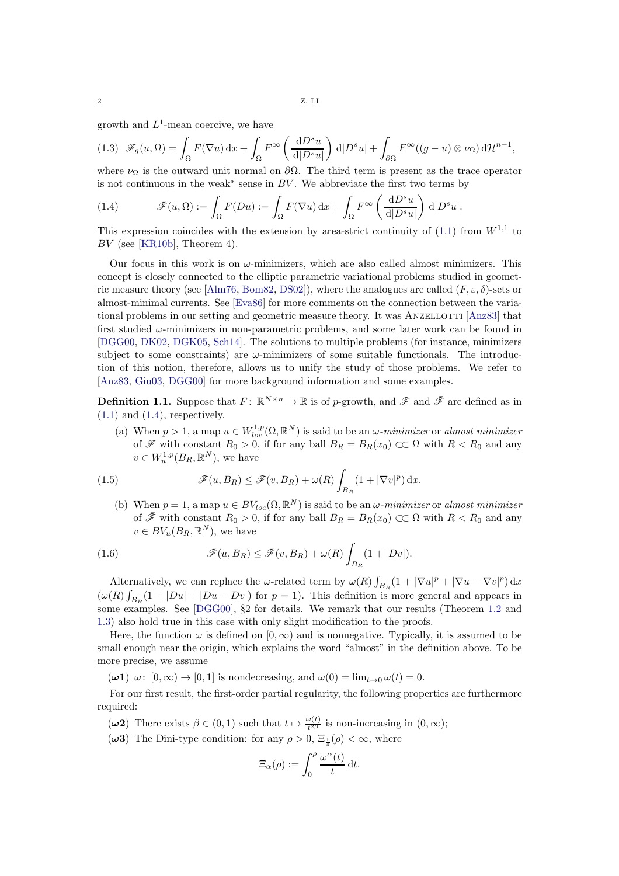growth and  $L^1$ -mean coercive, we have

$$
(1.3) \quad \mathscr{F}_g(u,\Omega) = \int_{\Omega} F(\nabla u) \, \mathrm{d}x + \int_{\Omega} F^{\infty}\left(\frac{\mathrm{d}D^s u}{\mathrm{d}|D^s u|}\right) \, \mathrm{d}|D^s u| + \int_{\partial\Omega} F^{\infty}((g-u)\otimes\nu_{\Omega}) \, \mathrm{d}\mathcal{H}^{n-1},
$$

where  $\nu_{\Omega}$  is the outward unit normal on  $\partial\Omega$ . The third term is present as the trace operator is not continuous in the weak<sup>∗</sup> sense in BV . We abbreviate the first two terms by

<span id="page-1-0"></span>(1.4) 
$$
\bar{\mathscr{F}}(u,\Omega) := \int_{\Omega} F(Du) := \int_{\Omega} F(\nabla u) \,dx + \int_{\Omega} F^{\infty}\left(\frac{\mathrm{d}D^s u}{\mathrm{d}|D^s u|}\right) \,d|D^s u|.
$$

This expression coincides with the extension by area-strict continuity of  $(1.1)$  from  $W^{1,1}$  to BV (see [\[KR10b\]](#page-32-2), Theorem 4).

Our focus in this work is on  $\omega$ -minimizers, which are also called almost minimizers. This concept is closely connected to the elliptic parametric variational problems studied in geomet-ric measure theory (see [\[Alm76,](#page-31-2) [Bom82,](#page-31-3) [DS02\]](#page-32-4)), where the analogues are called  $(F, \varepsilon, \delta)$ -sets or almost-minimal currents. See [\[Eva86\]](#page-32-5) for more comments on the connection between the varia-tional problems in our setting and geometric measure theory. It was ANZELLOTTI [\[Anz83\]](#page-31-4) that first studied  $\omega$ -minimizers in non-parametric problems, and some later work can be found in [\[DGG00,](#page-31-5) [DK02,](#page-31-6) [DGK05,](#page-31-7) [Sch14\]](#page-33-2). The solutions to multiple problems (for instance, minimizers subject to some constraints) are  $\omega$ -minimizers of some suitable functionals. The introduction of this notion, therefore, allows us to unify the study of those problems. We refer to [\[Anz83,](#page-31-4) [Giu03,](#page-32-6) [DGG00\]](#page-31-5) for more background information and some examples.

**Definition 1.1.** Suppose that  $F: \mathbb{R}^{N \times n} \to \mathbb{R}$  is of p-growth, and  $\mathscr{F}$  and  $\bar{\mathscr{F}}$  are defined as in  $(1.1)$  and  $(1.4)$ , respectively.

(a) When  $p > 1$ , a map  $u \in W_{loc}^{1,p}(\Omega, \mathbb{R}^N)$  is said to be an  $\omega$ -minimizer or almost minimizer of  $\mathscr F$  with constant  $R_0 > 0$ , if for any ball  $B_R = B_R(x_0) \subset\subset \Omega$  with  $R < R_0$  and any  $v \in W^{1,p}_{u}(B_R, \mathbb{R}^N)$ , we have

(1.5) 
$$
\mathscr{F}(u, B_R) \leq \mathscr{F}(v, B_R) + \omega(R) \int_{B_R} (1 + |\nabla v|^p) dx.
$$

(b) When  $p = 1$ , a map  $u \in BV_{loc}(\Omega, \mathbb{R}^N)$  is said to be an  $\omega$ -minimizer or almost minimizer of  $\bar{\mathscr{F}}$  with constant  $R_0 > 0$ , if for any ball  $B_R = B_R(x_0) \subset\subset \Omega$  with  $R < R_0$  and any  $v \in BV_u(B_R, \mathbb{R}^N)$ , we have

(1.6) 
$$
\bar{\mathscr{F}}(u,B_R) \leq \bar{\mathscr{F}}(v,B_R) + \omega(R) \int_{B_R} (1+|Dv|).
$$

Alternatively, we can replace the  $\omega$ -related term by  $\omega(R) \int_{B_R} (1 + |\nabla u|^p + |\nabla u - \nabla v|^p) dx$  $(\omega(R) \int_{B_R} (1 + |Du| + |Du - Dv|)$  for  $p = 1$ ). This definition is more general and appears in some examples. See [\[DGG00\]](#page-31-5), §2 for details. We remark that our results (Theorem [1.2](#page-2-0) and [1.3\)](#page-2-1) also hold true in this case with only slight modification to the proofs.

Here, the function  $\omega$  is defined on  $[0, \infty)$  and is nonnegative. Typically, it is assumed to be small enough near the origin, which explains the word "almost" in the definition above. To be more precise, we assume

<span id="page-1-3"></span> $(\omega \mathbf{1}) \ \omega: [0, \infty) \to [0, 1]$  is nondecreasing, and  $\omega(0) = \lim_{t \to 0} \omega(t) = 0$ .

For our first result, the first-order partial regularity, the following properties are furthermore required:

- <span id="page-1-2"></span><span id="page-1-1"></span> $(\omega 2)$  There exists  $\beta \in (0, 1)$  such that  $t \mapsto \frac{\omega(t)}{t^{2\beta}}$  is non-increasing in  $(0, \infty)$ ;
- ( $\omega$ 3) The Dini-type condition: for any  $\rho > 0$ ,  $\Xi_{\frac{1}{4}}(\rho) < \infty$ , where

$$
\Xi_{\alpha}(\rho) := \int_0^{\rho} \frac{\omega^{\alpha}(t)}{t} dt.
$$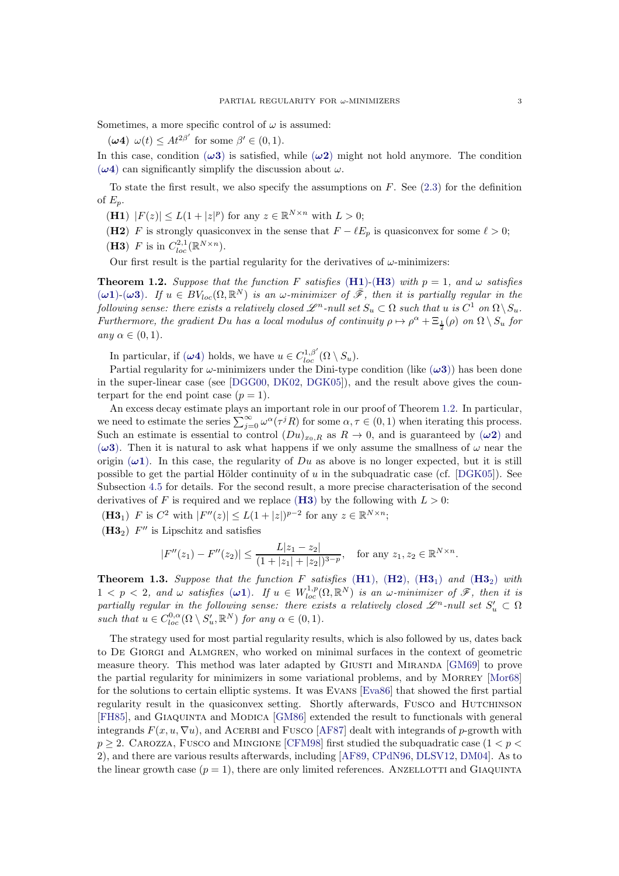<span id="page-2-2"></span>Sometimes, a more specific control of  $\omega$  is assumed:

( $\omega$ 4)  $\omega(t) \leq At^{2\beta'}$  for some  $\beta' \in (0, 1)$ .

In this case, condition  $(\omega 3)$  is satisfied, while  $(\omega 2)$  might not hold anymore. The condition  $(\omega 4)$  can significantly simplify the discussion about  $\omega$ .

To state the first result, we also specify the assumptions on  $F$ . See [\(2.3\)](#page-5-0) for the definition of  $E_p$ .

<span id="page-2-5"></span><span id="page-2-3"></span>(H1)  $|F(z)| \le L(1+|z|^p)$  for any  $z \in \mathbb{R}^{N \times n}$  with  $L > 0$ ;

<span id="page-2-4"></span>(H2) F is strongly quasiconvex in the sense that  $F - \ell E_p$  is quasiconvex for some  $\ell > 0$ ;

(**H3**) F is in  $C_{loc}^{2,1}(\mathbb{R}^{N\times n})$ .

Our first result is the partial regularity for the derivatives of  $\omega$ -minimizers:

<span id="page-2-0"></span>**Theorem 1.2.** Suppose that the function F satisfies ([H1](#page-2-3))-([H3](#page-2-4)) with  $p = 1$ , and  $\omega$  satisfies  $(\omega 1)-(\omega 3)$ . If  $u \in BV_{loc}(\Omega, \mathbb{R}^N)$  is an  $\omega$ -minimizer of  $\bar{\mathscr{F}}$ , then it is partially regular in the following sense: there exists a relatively closed  $\mathscr{L}^n\text{-}{null set }S_u\subset \Omega$  such that  $u$  is  $C^1$  on  $\Omega\setminus S_u.$ Furthermore, the gradient Du has a local modulus of continuity  $\rho \mapsto \rho^{\alpha} + \Xi_{\frac{1}{2}}(\rho)$  on  $\Omega \setminus S_u$  for any  $\alpha \in (0,1)$ .

In particular, if  $(\omega 4)$  holds, we have  $u \in C^{1,\beta'}_{loc}(\Omega \setminus S_u)$ .

Partial regularity for  $\omega$ -minimizers under the Dini-type condition (like  $(\omega 3)$ ) has been done in the super-linear case (see [\[DGG00,](#page-31-5) [DK02,](#page-31-6) [DGK05\]](#page-31-7)), and the result above gives the counterpart for the end point case  $(p = 1)$ .

An excess decay estimate plays an important role in our proof of Theorem [1.2.](#page-2-0) In particular, we need to estimate the series  $\sum_{j=0}^{\infty} \omega^{\alpha}(\tau^{j} R)$  for some  $\alpha, \tau \in (0, 1)$  when iterating this process. Such an estimate is essential to control  $(Du)_{x_0,R}$  as  $R \to 0$ , and is guaranteed by  $(\omega 2)$  and  $(\omega 3)$ . Then it is natural to ask what happens if we only assume the smallness of  $\omega$  near the origin  $(\omega 1)$ . In this case, the regularity of Du as above is no longer expected, but it is still possible to get the partial Hölder continuity of u in the subquadratic case (cf.  $[DGK05]$ ). See Subsection [4.5](#page-18-0) for details. For the second result, a more precise characterisation of the second derivatives of F is required and we replace ([H3](#page-2-4)) by the following with  $L > 0$ :

<span id="page-2-7"></span><span id="page-2-6"></span>(**H3**<sub>1</sub>)  $F$  is  $C^2$  with  $|F''(z)| \le L(1+|z|)^{p-2}$  for any  $z \in \mathbb{R}^{N \times n}$ ;

 $(H3<sub>2</sub>)$   $F''$  is Lipschitz and satisfies

$$
|F''(z_1) - F''(z_2)| \le \frac{L|z_1 - z_2|}{(1 + |z_1| + |z_2|)^{3-p}}, \quad \text{for any } z_1, z_2 \in \mathbb{R}^{N \times n}.
$$

<span id="page-2-1"></span>**Theorem 1.3.** Suppose that the function F satisfies  $(H1)$  $(H1)$  $(H1)$ ,  $(H2)$  $(H2)$  $(H2)$ ,  $(H3<sub>1</sub>)$  $(H3<sub>1</sub>)$  $(H3<sub>1</sub>)$  and  $(H3<sub>2</sub>)$  with  $1 < p < 2$ , and  $\omega$  satisfies  $(\omega 1)$ . If  $u \in W^{1,p}_{loc}(\Omega, \mathbb{R}^N)$  is an  $\omega$ -minimizer of  $\mathscr{F}$ , then it is partially regular in the following sense: there exists a relatively closed  $\mathscr{L}^n$ -null set  $S'_u \subset \Omega$ such that  $u \in C^{0,\alpha}_{loc}(\Omega \setminus S'_u, \mathbb{R}^N)$  for any  $\alpha \in (0,1)$ .

The strategy used for most partial regularity results, which is also followed by us, dates back to De Giorgi and Almgren, who worked on minimal surfaces in the context of geometric measure theory. This method was later adapted by GIUSTI and MIRANDA [\[GM69\]](#page-32-7) to prove the partial regularity for minimizers in some variational problems, and by MORREY [\[Mor68\]](#page-33-3) for the solutions to certain elliptic systems. It was Evans [\[Eva86\]](#page-32-5) that showed the first partial regularity result in the quasiconvex setting. Shortly afterwards, Fusco and Hutchinson [\[FH85\]](#page-32-8), and Giaquinta and Modica [\[GM86\]](#page-32-9) extended the result to functionals with general integrands  $F(x, u, \nabla u)$ , and ACERBI and FUSCO [\[AF87\]](#page-31-8) dealt with integrands of p-growth with  $p \geq 2$ . CAROZZA, FUSCO and MINGIONE [\[CFM98\]](#page-31-9) first studied the subquadratic case  $(1 < p <$ 2), and there are various results afterwards, including [\[AF89,](#page-31-10) [CPdN96,](#page-31-11) [DLSV12,](#page-32-10) [DM04\]](#page-32-11). As to the linear growth case  $(p = 1)$ , there are only limited references. ANZELLOTTI and GIAQUINTA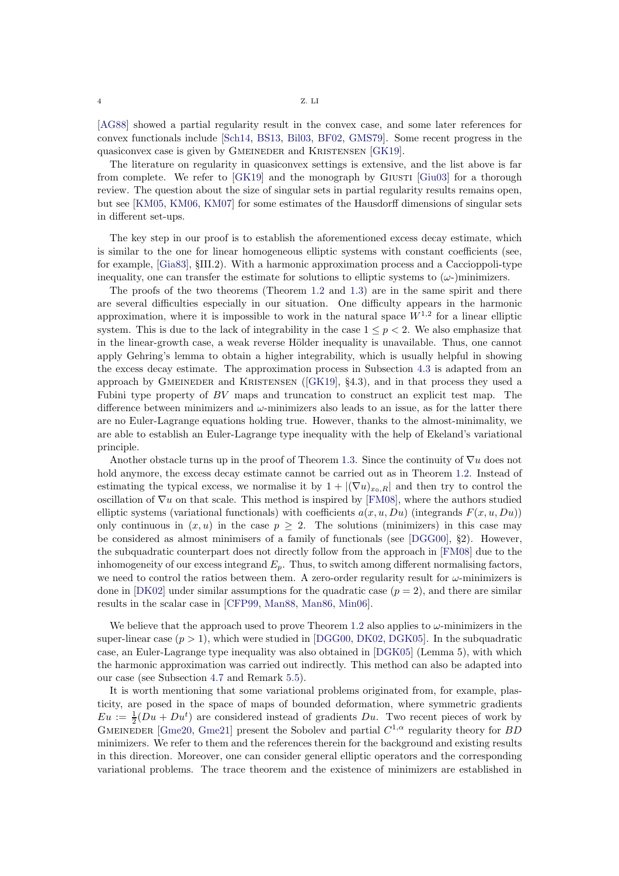[\[AG88\]](#page-31-12) showed a partial regularity result in the convex case, and some later references for convex functionals include [\[Sch14,](#page-33-2) [BS13,](#page-31-13) [Bil03,](#page-31-14) [BF02,](#page-31-15) [GMS79\]](#page-32-12). Some recent progress in the quasiconvex case is given by GMEINEDER and KRISTENSEN [\[GK19\]](#page-32-13).

The literature on regularity in quasiconvex settings is extensive, and the list above is far from complete. We refer to  $[GK19]$  and the monograph by  $G_iUSTI$   $[G_iu03]$  for a thorough review. The question about the size of singular sets in partial regularity results remains open, but see [\[KM05,](#page-32-14) [KM06,](#page-32-15) [KM07\]](#page-32-16) for some estimates of the Hausdorff dimensions of singular sets in different set-ups.

The key step in our proof is to establish the aforementioned excess decay estimate, which is similar to the one for linear homogeneous elliptic systems with constant coefficients (see, for example, [\[Gia83\]](#page-32-17), §III.2). With a harmonic approximation process and a Caccioppoli-type inequality, one can transfer the estimate for solutions to elliptic systems to  $(\omega)$ -)minimizers.

The proofs of the two theorems (Theorem [1.2](#page-2-0) and [1.3\)](#page-2-1) are in the same spirit and there are several difficulties especially in our situation. One difficulty appears in the harmonic approximation, where it is impossible to work in the natural space  $W^{1,2}$  for a linear elliptic system. This is due to the lack of integrability in the case  $1 \le p \le 2$ . We also emphasize that in the linear-growth case, a weak reverse Hölder inequality is unavailable. Thus, one cannot apply Gehring's lemma to obtain a higher integrability, which is usually helpful in showing the excess decay estimate. The approximation process in Subsection [4.3](#page-15-0) is adapted from an approach by Gmeineder and Kristensen ([\[GK19\]](#page-32-13), §4.3), and in that process they used a Fubini type property of BV maps and truncation to construct an explicit test map. The difference between minimizers and  $\omega$ -minimizers also leads to an issue, as for the latter there are no Euler-Lagrange equations holding true. However, thanks to the almost-minimality, we are able to establish an Euler-Lagrange type inequality with the help of Ekeland's variational principle.

Another obstacle turns up in the proof of Theorem [1.3.](#page-2-1) Since the continuity of  $\nabla u$  does not hold anymore, the excess decay estimate cannot be carried out as in Theorem [1.2.](#page-2-0) Instead of estimating the typical excess, we normalise it by  $1 + |(\nabla u)_{x_0,R}|$  and then try to control the oscillation of  $\nabla u$  on that scale. This method is inspired by [\[FM08\]](#page-32-18), where the authors studied elliptic systems (variational functionals) with coefficients  $a(x, u, Du)$  (integrands  $F(x, u, Du)$ ) only continuous in  $(x, u)$  in the case  $p \geq 2$ . The solutions (minimizers) in this case may be considered as almost minimisers of a family of functionals (see [\[DGG00\]](#page-31-5), §2). However, the subquadratic counterpart does not directly follow from the approach in [\[FM08\]](#page-32-18) due to the inhomogeneity of our excess integrand  $E_p$ . Thus, to switch among different normalising factors, we need to control the ratios between them. A zero-order regularity result for  $\omega$ -minimizers is done in [\[DK02\]](#page-31-6) under similar assumptions for the quadratic case  $(p = 2)$ , and there are similar results in the scalar case in [\[CFP99,](#page-31-16) [Man88,](#page-32-19) [Man86,](#page-32-20) [Min06\]](#page-32-21).

We believe that the approach used to prove Theorem [1.2](#page-2-0) also applies to  $\omega$ -minimizers in the super-linear case  $(p > 1)$ , which were studied in [\[DGG00,](#page-31-5) [DK02,](#page-31-6) [DGK05\]](#page-31-7). In the subquadratic case, an Euler-Lagrange type inequality was also obtained in [\[DGK05\]](#page-31-7) (Lemma 5), with which the harmonic approximation was carried out indirectly. This method can also be adapted into our case (see Subsection [4.7](#page-23-0) and Remark [5.5\)](#page-30-0).

It is worth mentioning that some variational problems originated from, for example, plasticity, are posed in the space of maps of bounded deformation, where symmetric gradients  $Eu := \frac{1}{2}(Du + Du^t)$  are considered instead of gradients Du. Two recent pieces of work by GMEINEDER [\[Gme20,](#page-32-22) [Gme21\]](#page-32-23) present the Sobolev and partial  $C^{1,\alpha}$  regularity theory for BD minimizers. We refer to them and the references therein for the background and existing results in this direction. Moreover, one can consider general elliptic operators and the corresponding variational problems. The trace theorem and the existence of minimizers are established in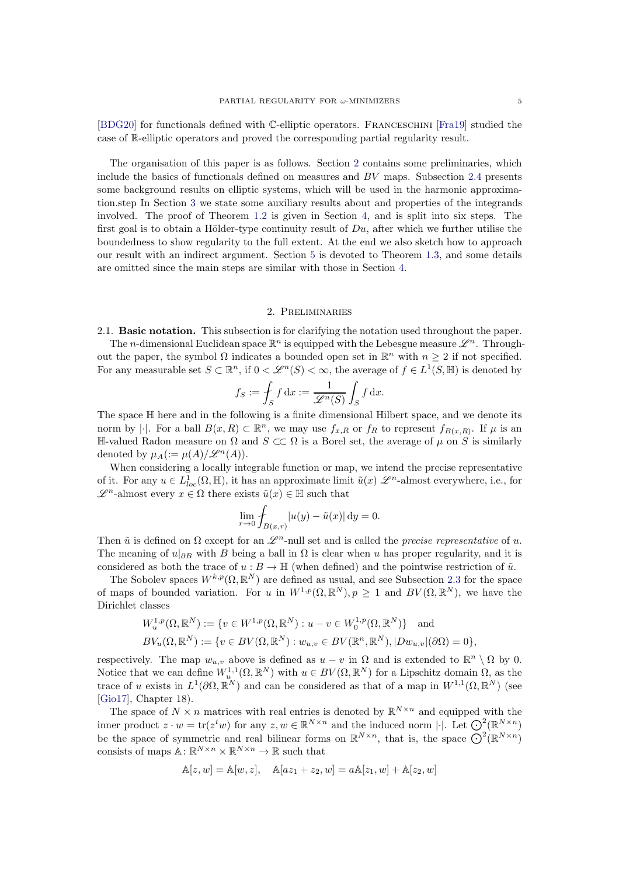[\[BDG20\]](#page-31-17) for functionals defined with C-elliptic operators. Franceschini [\[Fra19\]](#page-32-24) studied the case of R-elliptic operators and proved the corresponding partial regularity result.

The organisation of this paper is as follows. Section [2](#page-4-0) contains some preliminaries, which include the basics of functionals defined on measures and  $BV$  maps. Subsection [2.4](#page-8-0) presents some background results on elliptic systems, which will be used in the harmonic approximation.step In Section [3](#page-9-0) we state some auxiliary results about and properties of the integrands involved. The proof of Theorem [1.2](#page-2-0) is given in Section [4,](#page-12-0) and is split into six steps. The first goal is to obtain a Hölder-type continuity result of  $Du$ , after which we further utilise the boundedness to show regularity to the full extent. At the end we also sketch how to approach our result with an indirect argument. Section [5](#page-25-0) is devoted to Theorem [1.3,](#page-2-1) and some details are omitted since the main steps are similar with those in Section [4.](#page-12-0)

## 2. Preliminaries

<span id="page-4-0"></span>2.1. Basic notation. This subsection is for clarifying the notation used throughout the paper.

The *n*-dimensional Euclidean space  $\mathbb{R}^n$  is equipped with the Lebesgue measure  $\mathscr{L}^n$ . Throughout the paper, the symbol  $\Omega$  indicates a bounded open set in  $\mathbb{R}^n$  with  $n \geq 2$  if not specified. For any measurable set  $S \subset \mathbb{R}^n$ , if  $0 < \mathcal{L}^n(S) < \infty$ , the average of  $f \in L^1(S, \mathbb{H})$  is denoted by

$$
f_S := \int_S f \, dx := \frac{1}{\mathscr{L}^n(S)} \int_S f \, dx.
$$

The space H here and in the following is a finite dimensional Hilbert space, and we denote its norm by  $|\cdot|$ . For a ball  $B(x,R) \subset \mathbb{R}^n$ , we may use  $f_{x,R}$  or  $f_R$  to represent  $f_{B(x,R)}$ . If  $\mu$  is an <sup>H</sup>-valued Radon measure on Ω and <sup>S</sup> ⊂⊂ Ω is a Borel set, the average of <sup>µ</sup> on <sup>S</sup> is similarly denoted by  $\mu_A(:=\mu(A)/\mathscr{L}^n(A)).$ 

When considering a locally integrable function or map, we intend the precise representative of it. For any  $u \in L^1_{loc}(\Omega, \mathbb{H})$ , it has an approximate limit  $\tilde{u}(x) \mathscr{L}^n$ -almost everywhere, i.e., for  $\mathscr{L}^n$ -almost every  $x \in Ω$  there exists  $\tilde{u}(x) \in \mathbb{H}$  such that

$$
\lim_{r \to 0} \int_{B(x,r)} |u(y) - \tilde{u}(x)| \, dy = 0.
$$

Then  $\tilde{u}$  is defined on  $\Omega$  except for an  $\mathscr{L}^n$ -null set and is called the precise representative of u. The meaning of  $u|_{\partial B}$  with B being a ball in  $\Omega$  is clear when u has proper regularity, and it is considered as both the trace of  $u : B \to \mathbb{H}$  (when defined) and the pointwise restriction of  $\tilde{u}$ .

The Sobolev spaces  $W^{k,p}(\Omega,\mathbb{R}^N)$  are defined as usual, and see Subsection [2.3](#page-6-0) for the space of maps of bounded variation. For u in  $W^{1,p}(\Omega,\mathbb{R}^N), p \geq 1$  and  $BV(\Omega,\mathbb{R}^N)$ , we have the Dirichlet classes

$$
W_u^{1,p}(\Omega, \mathbb{R}^N) := \{ v \in W^{1,p}(\Omega, \mathbb{R}^N) : u - v \in W_0^{1,p}(\Omega, \mathbb{R}^N) \} \text{ and}
$$
  

$$
BV_u(\Omega, \mathbb{R}^N) := \{ v \in BV(\Omega, \mathbb{R}^N) : w_{u,v} \in BV(\mathbb{R}^n, \mathbb{R}^N), |Dw_{u,v}|(\partial \Omega) = 0 \},
$$

respectively. The map  $w_{u,v}$  above is defined as  $u - v$  in  $\Omega$  and is extended to  $\mathbb{R}^n \setminus \Omega$  by 0. Notice that we can define  $W_{u}^{1,1}(\Omega,\mathbb{R}^N)$  with  $u \in BV(\Omega,\mathbb{R}^N)$  for a Lipschitz domain  $\Omega$ , as the trace of u exists in  $L^1(\partial\Omega,\mathbb{R}^N)$  and can be considered as that of a map in  $W^{1,1}(\Omega,\mathbb{R}^N)$  (see [\[Gio17\]](#page-32-25), Chapter 18).

The space of  $N \times n$  matrices with real entries is denoted by  $\mathbb{R}^{N \times n}$  and equipped with the inner product  $z \cdot w = \text{tr}(z^t w)$  for any  $z, w \in \mathbb{R}^{N \times n}$  and the induced norm  $\lvert \cdot \rvert$ . Let  $\bigodot^2_{\alpha}(\mathbb{R}^{N \times n})$ be the space of symmetric and real bilinear forms on  $\mathbb{R}^{N\times n}$ , that is, the space  $\mathbb{Q}^2(\mathbb{R}^{N\times n})$ consists of maps  $\mathbb{A} \colon \mathbb{R}^{N \times n} \times \mathbb{R}^{N \times n} \to \mathbb{R}$  such that

$$
\mathbb{A}[z, w] = \mathbb{A}[w, z], \quad \mathbb{A}[az_1 + z_2, w] = a\mathbb{A}[z_1, w] + \mathbb{A}[z_2, w]
$$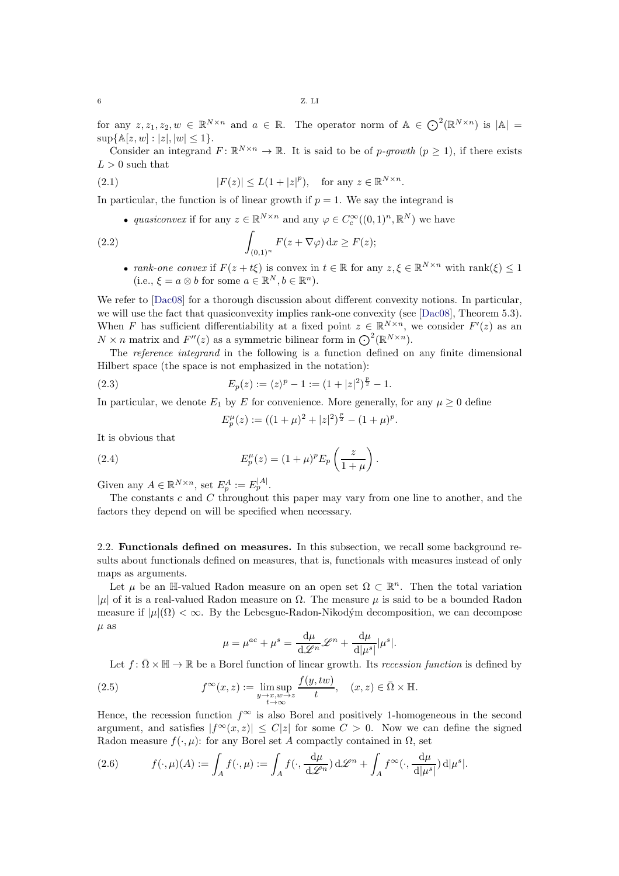for any  $z, z_1, z_2, w \in \mathbb{R}^{N \times n}$  and  $a \in \mathbb{R}$ . The operator norm of  $\mathbb{A} \in \mathbb{O}^2(\mathbb{R}^{N \times n})$  is  $|\mathbb{A}| =$  $\sup\{\mathbb{A}[z,w]:|z|,|w|\leq 1\}.$ 

Consider an integrand  $F: \mathbb{R}^{N \times n} \to \mathbb{R}$ . It is said to be of p-growth  $(p \ge 1)$ , if there exists  $L > 0$  such that

(2.1) 
$$
|F(z)| \le L(1+|z|^p), \text{ for any } z \in \mathbb{R}^{N \times n}.
$$

In particular, the function is of linear growth if  $p = 1$ . We say the integrand is

• quasiconvex if for any  $z \in \mathbb{R}^{N \times n}$  and any  $\varphi \in C_c^{\infty}((0,1)^n, \mathbb{R}^N)$  we have

(2.2) 
$$
\int_{(0,1)^n} F(z + \nabla \varphi) \, \mathrm{d}x \ge F(z);
$$

• rank-one convex if  $F(z+t\xi)$  is convex in  $t \in \mathbb{R}$  for any  $z, \xi \in \mathbb{R}^{N \times n}$  with rank $(\xi) \leq 1$ (i.e.,  $\xi = a \otimes b$  for some  $a \in \mathbb{R}^N, b \in \mathbb{R}^n$ ).

We refer to [\[Dac08\]](#page-31-18) for a thorough discussion about different convexity notions. In particular, we will use the fact that quasiconvexity implies rank-one convexity (see [\[Dac08\]](#page-31-18), Theorem 5.3). When F has sufficient differentiability at a fixed point  $z \in \mathbb{R}^{N \times n}$ , we consider  $F'(z)$  as an  $N \times n$  matrix and  $F''(z)$  as a symmetric bilinear form in  $\mathbb{O}^2(\mathbb{R}^{N \times n})$ .

The reference integrand in the following is a function defined on any finite dimensional Hilbert space (the space is not emphasized in the notation):

(2.3) 
$$
E_p(z) := \langle z \rangle^p - 1 := (1 + |z|^2)^{\frac{p}{2}} - 1.
$$

In particular, we denote  $E_1$  by E for convenience. More generally, for any  $\mu \geq 0$  define

<span id="page-5-2"></span><span id="page-5-0"></span>
$$
E_p^{\mu}(z) := ((1 + \mu)^2 + |z|^2)^{\frac{p}{2}} - (1 + \mu)^p.
$$

It is obvious that

(2.4) 
$$
E_p^{\mu}(z) = (1 + \mu)^p E_p\left(\frac{z}{1 + \mu}\right).
$$

Given any  $A \in \mathbb{R}^{N \times n}$ , set  $E_p^A := E_p^{|A|}$ .

The constants  $c$  and  $C$  throughout this paper may vary from one line to another, and the factors they depend on will be specified when necessary.

2.2. Functionals defined on measures. In this subsection, we recall some background results about functionals defined on measures, that is, functionals with measures instead of only maps as arguments.

Let  $\mu$  be an H-valued Radon measure on an open set  $\Omega \subset \mathbb{R}^n$ . Then the total variation | $\mu$ | of it is a real-valued Radon measure on  $\Omega$ . The measure  $\mu$  is said to be a bounded Radon measure if  $|\mu|(\Omega) < \infty$ . By the Lebesgue-Radon-Nikodým decomposition, we can decompose  $\mu$  as

$$
\mu = \mu^{ac} + \mu^{s} = \frac{d\mu}{d\mathcal{L}^{n}} \mathcal{L}^{n} + \frac{d\mu}{d|\mu^{s}|} |\mu^{s}|.
$$

Let  $f: \overline{\Omega} \times \mathbb{H} \to \mathbb{R}$  be a Borel function of linear growth. Its recession function is defined by

(2.5) 
$$
f^{\infty}(x, z) := \limsup_{\substack{y \to x, w \to z \\ t \to \infty}} \frac{f(y, tw)}{t}, \quad (x, z) \in \overline{\Omega} \times \mathbb{H}.
$$

Hence, the recession function  $f^{\infty}$  is also Borel and positively 1-homogeneous in the second argument, and satisfies  $|f^{\infty}(x, z)| \leq C|z|$  for some  $C > 0$ . Now we can define the signed Radon measure  $f(\cdot, \mu)$ : for any Borel set A compactly contained in  $\Omega$ , set

<span id="page-5-1"></span>(2.6) 
$$
f(\cdot,\mu)(A) := \int_A f(\cdot,\mu) := \int_A f(\cdot,\frac{d\mu}{d\mathscr{L}^n}) d\mathscr{L}^n + \int_A f^{\infty}(\cdot,\frac{d\mu}{d|\mu^s|}) d|\mu^s|.
$$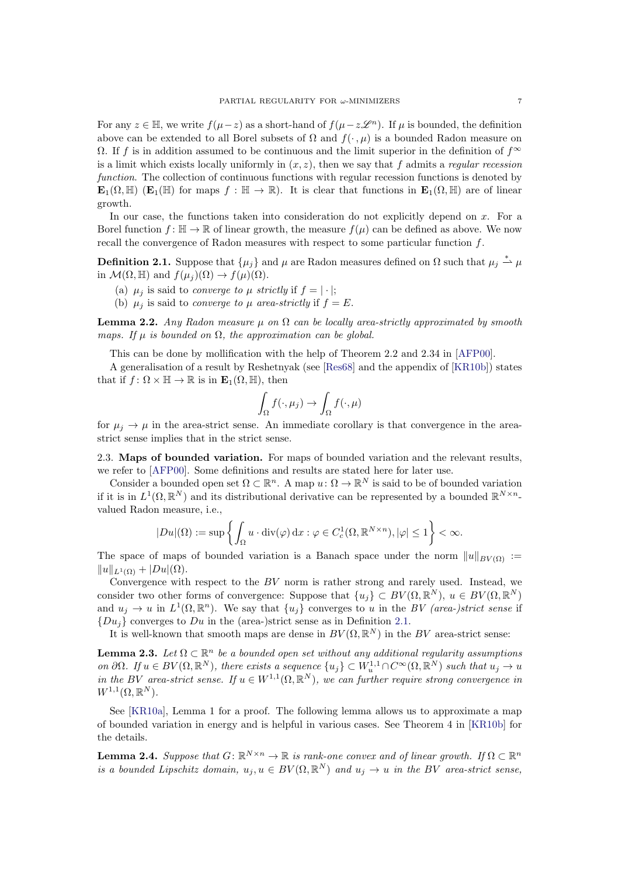For any  $z \in \mathbb{H}$ , we write  $f(\mu - z)$  as a short-hand of  $f(\mu - z\mathcal{L}^n)$ . If  $\mu$  is bounded, the definition above can be extended to all Borel subsets of  $\Omega$  and  $f(\cdot, \mu)$  is a bounded Radon measure on  $\Omega$ . If f is in addition assumed to be continuous and the limit superior in the definition of  $f^{\infty}$ is a limit which exists locally uniformly in  $(x, z)$ , then we say that f admits a regular recession function. The collection of continuous functions with regular recession functions is denoted by  $\mathbf{E}_1(\Omega, \mathbb{H})$  ( $\mathbf{E}_1(\mathbb{H})$  for maps  $f : \mathbb{H} \to \mathbb{R}$ ). It is clear that functions in  $\mathbf{E}_1(\Omega, \mathbb{H})$  are of linear growth.

In our case, the functions taken into consideration do not explicitly depend on  $x$ . For a Borel function  $f: \mathbb{H} \to \mathbb{R}$  of linear growth, the measure  $f(\mu)$  can be defined as above. We now recall the convergence of Radon measures with respect to some particular function f.

<span id="page-6-1"></span>**Definition 2.1.** Suppose that  $\{\mu_j\}$  and  $\mu$  are Radon measures defined on  $\Omega$  such that  $\mu_j \triangleq \mu$ in  $\mathcal{M}(\Omega, \mathbb{H})$  and  $f(\mu_j)(\Omega) \to f(\mu)(\Omega)$ .

- (a)  $\mu_j$  is said to *converge to*  $\mu$  *strictly* if  $f = |\cdot|$ ;
- (b)  $\mu_i$  is said to *converge to*  $\mu$  *area-strictly* if  $f = E$ .

**Lemma 2.2.** Any Radon measure  $\mu$  on  $\Omega$  can be locally area-strictly approximated by smooth maps. If  $\mu$  is bounded on  $\Omega$ , the approximation can be global.

This can be done by mollification with the help of Theorem 2.2 and 2.34 in [\[AFP00\]](#page-31-19).

A generalisation of a result by Reshetnyak (see [\[Res68\]](#page-33-4) and the appendix of [\[KR10b\]](#page-32-2)) states that if  $f: \Omega \times \mathbb{H} \to \mathbb{R}$  is in  $\mathbf{E}_1(\Omega, \mathbb{H})$ , then

$$
\int_{\Omega} f(\cdot, \mu_j) \to \int_{\Omega} f(\cdot, \mu)
$$

for  $\mu_i \rightarrow \mu$  in the area-strict sense. An immediate corollary is that convergence in the areastrict sense implies that in the strict sense.

<span id="page-6-0"></span>2.3. Maps of bounded variation. For maps of bounded variation and the relevant results, we refer to [\[AFP00\]](#page-31-19). Some definitions and results are stated here for later use.

Consider a bounded open set  $\Omega \subset \mathbb{R}^n$ . A map  $u: \Omega \to \mathbb{R}^N$  is said to be of bounded variation if it is in  $L^1(\Omega,\mathbb{R}^N)$  and its distributional derivative can be represented by a bounded  $\mathbb{R}^{N\times n}$ . valued Radon measure, i.e.,

$$
|Du|(\Omega) := \sup \left\{ \int_{\Omega} u \cdot \mathrm{div}(\varphi) \, \mathrm{d}x : \varphi \in C_c^1(\Omega, \mathbb{R}^{N \times n}), |\varphi| \le 1 \right\} < \infty.
$$

The space of maps of bounded variation is a Banach space under the norm  $||u||_{BV(\Omega)} :=$  $||u||_{L^1(\Omega)} + |Du|(\Omega).$ 

Convergence with respect to the BV norm is rather strong and rarely used. Instead, we consider two other forms of convergence: Suppose that  $\{u_j\} \subset BV(\Omega,\mathbb{R}^N)$ ,  $u \in BV(\Omega,\mathbb{R}^N)$ and  $u_j \to u$  in  $L^1(\Omega, \mathbb{R}^n)$ . We say that  $\{u_j\}$  converges to u in the BV (area-)strict sense if  ${Du<sub>i</sub>}$  converges to Du in the (area-)strict sense as in Definition [2.1.](#page-6-1)

It is well-known that smooth maps are dense in  $BV(\Omega, \mathbb{R}^N)$  in the BV area-strict sense:

**Lemma 2.3.** Let  $\Omega \subset \mathbb{R}^n$  be a bounded open set without any additional regularity assumptions on  $\partial\Omega$ . If  $u \in BV(\Omega, \mathbb{R}^N)$ , there exists a sequence  $\{u_j\} \subset W_u^{1,1} \cap C^\infty(\Omega, \mathbb{R}^N)$  such that  $u_j \to u$ in the BV area-strict sense. If  $u \in W^{1,1}(\Omega,\mathbb{R}^N)$ , we can further require strong convergence in  $W^{1,1}(\Omega,\mathbb{R}^N).$ 

See [\[KR10a\]](#page-32-26), Lemma 1 for a proof. The following lemma allows us to approximate a map of bounded variation in energy and is helpful in various cases. See Theorem 4 in [\[KR10b\]](#page-32-2) for the details.

**Lemma 2.4.** Suppose that  $G: \mathbb{R}^{N \times n} \to \mathbb{R}$  is rank-one convex and of linear growth. If  $\Omega \subset \mathbb{R}^n$ is a bounded Lipschitz domain,  $u_j, u \in BV(\Omega, \mathbb{R}^N)$  and  $u_j \to u$  in the BV area-strict sense,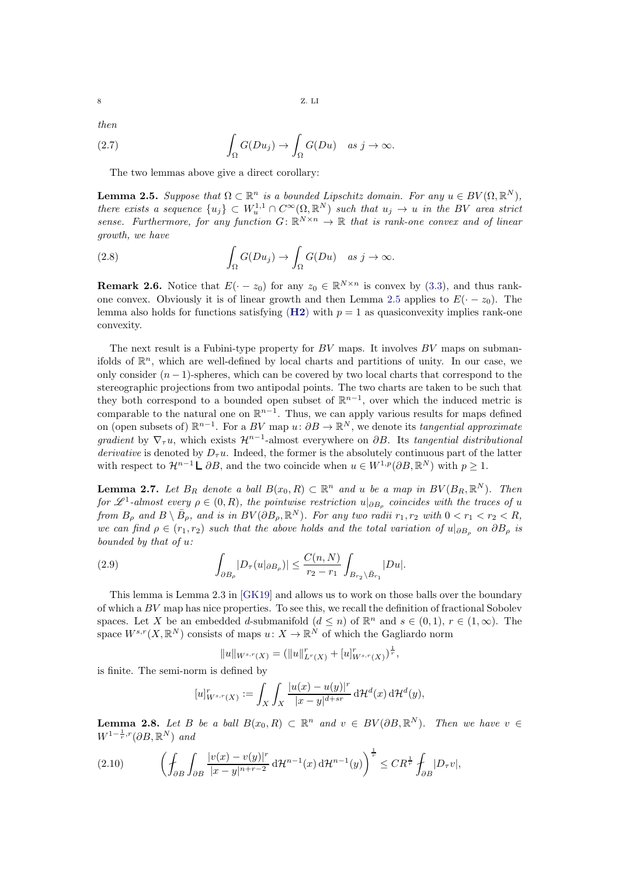then

(2.7) 
$$
\int_{\Omega} G(Du_j) \to \int_{\Omega} G(Du) \quad as \; j \to \infty.
$$

The two lemmas above give a direct corollary:

<span id="page-7-0"></span>**Lemma 2.5.** Suppose that  $\Omega \subset \mathbb{R}^n$  is a bounded Lipschitz domain. For any  $u \in BV(\Omega, \mathbb{R}^N)$ , there exists a sequence  $\{u_j\} \subset W_u^{1,1} \cap C^\infty(\Omega,\mathbb{R}^N)$  such that  $u_j \to u$  in the BV area strict sense. Furthermore, for any function  $G: \mathbb{R}^{N \times n} \to \mathbb{R}$  that is rank-one convex and of linear growth, we have

(2.8) 
$$
\int_{\Omega} G(Du_j) \to \int_{\Omega} G(Du) \quad \text{as } j \to \infty.
$$

<span id="page-7-1"></span>**Remark 2.6.** Notice that  $E(-z_0)$  for any  $z_0 \in \mathbb{R}^{N \times n}$  is convex by [\(3.3\)](#page-9-1), and thus rank-one convex. Obviously it is of linear growth and then Lemma [2.5](#page-7-0) applies to  $E(-z_0)$ . The lemma also holds for functions satisfying  $(H2)$  $(H2)$  $(H2)$  with  $p = 1$  as quasiconvexity implies rank-one convexity.

The next result is a Fubini-type property for  $BV$  maps. It involves  $BV$  maps on submanifolds of  $\mathbb{R}^n$ , which are well-defined by local charts and partitions of unity. In our case, we only consider  $(n - 1)$ -spheres, which can be covered by two local charts that correspond to the stereographic projections from two antipodal points. The two charts are taken to be such that they both correspond to a bounded open subset of  $\mathbb{R}^{n-1}$ , over which the induced metric is comparable to the natural one on  $\mathbb{R}^{n-1}$ . Thus, we can apply various results for maps defined on (open subsets of)  $\mathbb{R}^{n-1}$ . For a BV map  $u: \partial B \to \mathbb{R}^N$ , we denote its tangential approximate gradient by  $\nabla_{\tau} u$ , which exists  $\mathcal{H}^{n-1}$ -almost everywhere on  $\partial B$ . Its tangential distributional derivative is denoted by  $D_{\tau}u$ . Indeed, the former is the absolutely continuous part of the latter with respect to  $\mathcal{H}^{n-1} \mathsf{L} \partial B$ , and the two coincide when  $u \in W^{1,p}(\partial B, \mathbb{R}^N)$  with  $p \geq 1$ .

<span id="page-7-2"></span>**Lemma 2.7.** Let  $B_R$  denote a ball  $B(x_0, R) \subset \mathbb{R}^n$  and u be a map in  $BV(B_R, \mathbb{R}^N)$ . Then for  $\mathscr{L}^1$ -almost every  $\rho \in (0, R)$ , the pointwise restriction  $u|_{\partial B_{\rho}}$  coincides with the traces of u from  $B_\rho$  and  $B \setminus \overline{B}_\rho$ , and is in  $BV(\partial B_\rho, \mathbb{R}^N)$ . For any two radii  $r_1, r_2$  with  $0 < r_1 < r_2 < R$ , we can find  $\rho \in (r_1, r_2)$  such that the above holds and the total variation of  $u|_{\partial B_0}$  on  $\partial B_\rho$  is bounded by that of u:

(2.9) 
$$
\int_{\partial B_{\rho}} |D_{\tau}(u|_{\partial B_{\rho}})| \leq \frac{C(n,N)}{r_2 - r_1} \int_{B_{r_2} \setminus \bar{B}_{r_1}} |Du|.
$$

This lemma is Lemma 2.3 in [\[GK19\]](#page-32-13) and allows us to work on those balls over the boundary of which a BV map has nice properties. To see this, we recall the definition of fractional Sobolev spaces. Let X be an embedded d-submanifold  $(d \leq n)$  of  $\mathbb{R}^n$  and  $s \in (0,1)$ ,  $r \in (1,\infty)$ . The space  $W^{s,r}(X, \mathbb{R}^N)$  consists of maps  $u: X \to \mathbb{R}^N$  of which the Gagliardo norm

$$
||u||_{W^{s,r}(X)} = (||u||_{L^r(X)}^r + [u]_{W^{s,r}(X)}^r)^{\frac{1}{r}},
$$

is finite. The semi-norm is defined by

$$
[u]_{W^{s,r}(X)}^r := \int_X \int_X \frac{|u(x) - u(y)|^r}{|x - y|^{d + sr}} \, \mathrm{d} \mathcal{H}^d(x) \, \mathrm{d} \mathcal{H}^d(y),
$$

<span id="page-7-3"></span>**Lemma 2.8.** Let B be a ball  $B(x_0, R) \subset \mathbb{R}^n$  and  $v \in BV(\partial B, \mathbb{R}^N)$ . Then we have  $v \in$  $W^{1-\frac{1}{r},r}(\partial B,\mathbb{R}^N)$  and

$$
(2.10) \qquad \left(\oint_{\partial B} \int_{\partial B} \frac{|v(x) - v(y)|^r}{|x - y|^{n+r-2}} \, \mathrm{d} \mathcal{H}^{n-1}(x) \, \mathrm{d} \mathcal{H}^{n-1}(y)\right)^{\frac{1}{r}} \leq C R^{\frac{1}{r}} \oint_{\partial B} |D_\tau v|,
$$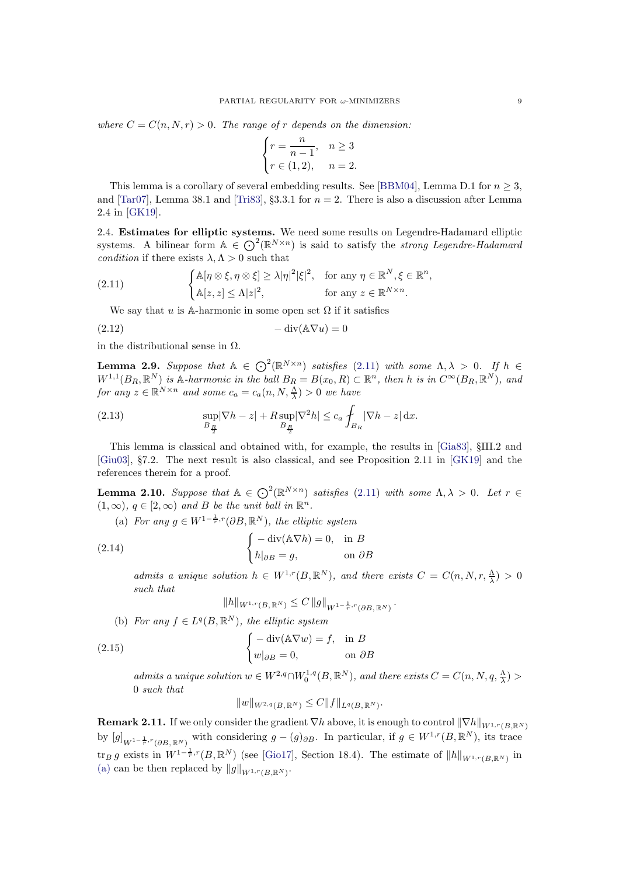where  $C = C(n, N, r) > 0$ . The range of r depends on the dimension:

$$
\begin{cases} r = \frac{n}{n-1}, & n \geq 3 \\ r \in (1,2), & n = 2. \end{cases}
$$

This lemma is a corollary of several embedding results. See [\[BBM04\]](#page-31-20), Lemma D.1 for  $n \geq 3$ , and [\[Tar07\]](#page-33-5), Lemma 38.1 and [\[Tri83\]](#page-33-6), §3.3.1 for  $n = 2$ . There is also a discussion after Lemma 2.4 in [\[GK19\]](#page-32-13).

<span id="page-8-0"></span>2.4. Estimates for elliptic systems. We need some results on Legendre-Hadamard elliptic systems. A bilinear form  $A \in \mathbb{O}^2(\mathbb{R}^{N \times n})$  is said to satisfy the *strong Legendre-Hadamard* condition if there exists  $\lambda, \Lambda > 0$  such that

(2.11) 
$$
\begin{cases} \mathbb{A}[\eta \otimes \xi, \eta \otimes \xi] \geq \lambda |\eta|^2 |\xi|^2, & \text{for any } \eta \in \mathbb{R}^N, \xi \in \mathbb{R}^n, \\ \mathbb{A}[z, z] \leq \Lambda |z|^2, & \text{for any } z \in \mathbb{R}^{N \times n}. \end{cases}
$$

<span id="page-8-1"></span>We say that u is A-harmonic in some open set  $\Omega$  if it satisfies

$$
(2.12) \t - div(\mathbb{A}\nabla u) = 0
$$

in the distributional sense in  $\Omega$ .

<span id="page-8-4"></span>**Lemma 2.9.** Suppose that  $A \in \bigodot^2(\mathbb{R}^{N \times n})$  satisfies [\(2.11\)](#page-8-1) with some  $\Lambda, \lambda > 0$ . If  $h \in$  $W^{1,1}(B_R, \mathbb{R}^N)$  is A-harmonic in the ball  $B_R = B(x_0, R) \subset \mathbb{R}^n$ , then h is in  $C^{\infty}(B_R, \mathbb{R}^N)$ , and for any  $z \in \mathbb{R}^{N \times n}$  and some  $c_a = c_a(n, N, \frac{\Lambda}{\lambda}) > 0$  we have

<span id="page-8-6"></span>(2.13) 
$$
\sup_{B_{\frac{R}{2}}} |\nabla h - z| + R \sup_{B_{\frac{R}{2}}} |\nabla^2 h| \leq c_a \int_{B_R} |\nabla h - z| \,dx.
$$

This lemma is classical and obtained with, for example, the results in [\[Gia83\]](#page-32-17), §III.2 and [\[Giu03\]](#page-32-6), §7.2. The next result is also classical, and see Proposition 2.11 in [\[GK19\]](#page-32-13) and the references therein for a proof.

<span id="page-8-3"></span><span id="page-8-2"></span>**Lemma 2.10.** Suppose that  $A \in \bigodot^2(\mathbb{R}^{N \times n})$  satisfies [\(2.11\)](#page-8-1) with some  $\Lambda, \lambda > 0$ . Let  $r \in$  $(1, \infty)$ ,  $q \in [2, \infty)$  and B be the unit ball in  $\mathbb{R}^n$ .

(a) For any  $g \in W^{1-\frac{1}{r},r}(\partial B,\mathbb{R}^N)$ , the elliptic system

(2.14) 
$$
\begin{cases} -\operatorname{div}(\mathbb{A}\nabla h) = 0, & \text{in } B \\ h|_{\partial B} = g, & \text{on } \partial B \end{cases}
$$

admits a unique solution  $h \in W^{1,r}(B,\mathbb{R}^N)$ , and there exists  $C = C(n, N, r, \frac{\Lambda}{\lambda}) > 0$ such that

$$
||h||_{W^{1,r}(B,\,\mathbb{R}^N)} \leq C ||g||_{W^{1-\frac{1}{r},r}(\partial B,\,\mathbb{R}^N)}.
$$

(b) For any  $f \in L^q(B, \mathbb{R}^N)$ , the elliptic system

(2.15) 
$$
\begin{cases} -\operatorname{div}(\mathbb{A}\nabla w) = f, & \text{in } B \\ w|_{\partial B} = 0, & \text{on } \partial B \end{cases}
$$

admits a unique solution  $w \in W^{2,q} \cap W_0^{1,q}(B,\mathbb{R}^N)$ , and there exists  $C = C(n, N, q, \frac{\Lambda}{\lambda}) >$ 0 such that

$$
||w||_{W^{2,q}(B,\,\mathbb{R}^N)} \leq C||f||_{L^q(B,\,\mathbb{R}^N)}.
$$

<span id="page-8-5"></span>**Remark 2.11.** If we only consider the gradient  $\nabla h$  above, it is enough to control  $\|\nabla h\|_{W^{1,r}(B,\mathbb{R}^N)}$ by  $[g]_{W^{1-\frac{1}{r},r}(\partial B,\mathbb{R}^N)}$  with considering  $g - (g)_{\partial B}$ . In particular, if  $g \in W^{1,r}(B,\mathbb{R}^N)$ , its trace  $\text{tr}_B g$  exists in  $W^{1-\frac{1}{r},r}(B,\mathbb{R}^N)$  (see [\[Gio17\]](#page-32-25), Section 18.4). The estimate of  $||h||_{W^{1,r}(B,\mathbb{R}^N)}$  in [\(a\)](#page-8-2) can be then replaced by  $||g||_{W^{1,r}(B,\mathbb{R}^N)}$ .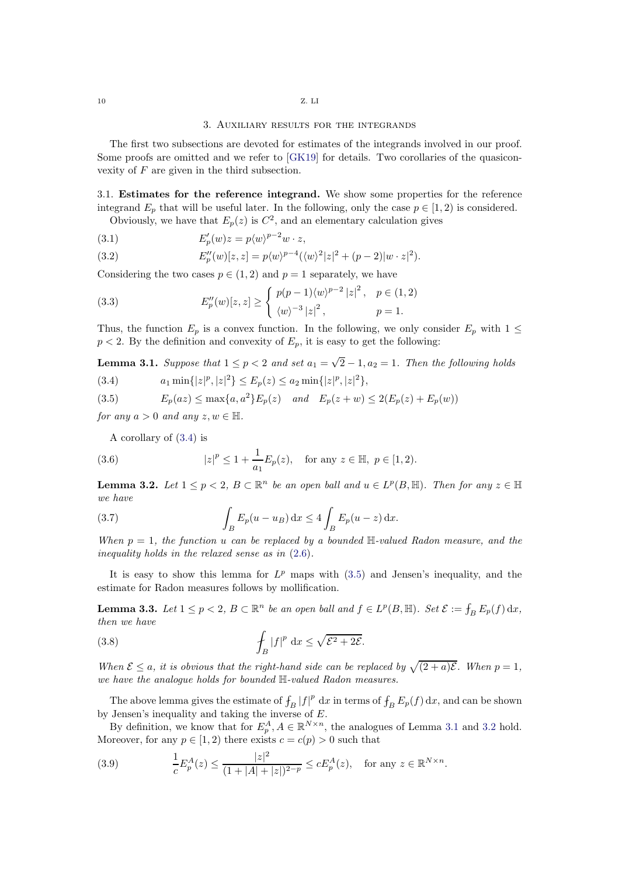### 3. Auxiliary results for the integrands

<span id="page-9-0"></span>The first two subsections are devoted for estimates of the integrands involved in our proof. Some proofs are omitted and we refer to [\[GK19\]](#page-32-13) for details. Two corollaries of the quasiconvexity of F are given in the third subsection.

3.1. Estimates for the reference integrand. We show some properties for the reference integrand  $E_p$  that will be useful later. In the following, only the case  $p \in [1, 2)$  is considered.

Obviously, we have that  $E_p(z)$  is  $C^2$ , and an elementary calculation gives

(3.1) 
$$
E'_p(w)z = p\langle w \rangle^{p-2}w \cdot z,
$$

(3.2) 
$$
E''_p(w)[z, z] = p\langle w \rangle^{p-4} (\langle w \rangle^2 |z|^2 + (p-2)|w \cdot z|^2).
$$

Considering the two cases  $p \in (1, 2)$  and  $p = 1$  separately, we have

<span id="page-9-1"></span>(3.3) 
$$
E''_p(w)[z, z] \ge \begin{cases} p(p-1)\langle w \rangle^{p-2} |z|^2, & p \in (1, 2) \\ \langle w \rangle^{-3} |z|^2, & p = 1. \end{cases}
$$

Thus, the function  $E_p$  is a convex function. In the following, we only consider  $E_p$  with  $1 \leq$  $p < 2$ . By the definition and convexity of  $E_p$ , it is easy to get the following:

<span id="page-9-4"></span>**Lemma 3.1.** Suppose that  $1 \leq p < 2$  and set  $a_1 = \sqrt{2} - 1$ ,  $a_2 = 1$ . Then the following holds

<span id="page-9-2"></span>(3.4)  $a_1 \min\{|z|^p, |z|^2\} \le E_p(z) \le a_2 \min\{|z|^p, |z|^2\},$ 

<span id="page-9-3"></span>(3.5) 
$$
E_p(az) \le \max\{a, a^2\} E_p(z) \quad and \quad E_p(z+w) \le 2(E_p(z) + E_p(w))
$$

for any  $a > 0$  and any  $z, w \in \mathbb{H}$ .

<span id="page-9-7"></span>A corollary of [\(3.4\)](#page-9-2) is

(3.6) 
$$
|z|^p \le 1 + \frac{1}{a_1} E_p(z)
$$
, for any  $z \in \mathbb{H}$ ,  $p \in [1, 2)$ .

<span id="page-9-5"></span>**Lemma 3.2.** Let  $1 \leq p < 2$ ,  $B \subset \mathbb{R}^n$  be an open ball and  $u \in L^p(B, \mathbb{H})$ . Then for any  $z \in \mathbb{H}$ we have

(3.7) 
$$
\int_{B} E_p(u - u_B) dx \le 4 \int_{B} E_p(u - z) dx.
$$

When  $p = 1$ , the function u can be replaced by a bounded  $\mathbb{H}\text{-}valued$  Radon measure, and the inequality holds in the relaxed sense as in [\(2.6\)](#page-5-1).

It is easy to show this lemma for  $L^p$  maps with  $(3.5)$  and Jensen's inequality, and the estimate for Radon measures follows by mollification.

<span id="page-9-8"></span>**Lemma 3.3.** Let  $1 \le p < 2$ ,  $B \subset \mathbb{R}^n$  be an open ball and  $f \in L^p(B, \mathbb{H})$ . Set  $\mathcal{E} := \int_B E_p(f) dx$ , then we have

(3.8) 
$$
\int_{B} |f|^{p} dx \leq \sqrt{\mathcal{E}^{2} + 2\mathcal{E}}.
$$

When  $\mathcal{E} \le a$ , it is obvious that the right-hand side can be replaced by  $\sqrt{(2+a)\mathcal{E}}$ . When  $p = 1$ , we have the analogue holds for bounded H-valued Radon measures.

The above lemma gives the estimate of  $\int_B |f|^p dx$  in terms of  $\int_B E_p(f) dx$ , and can be shown by Jensen's inequality and taking the inverse of  $E$ .

By definition, we know that for  $E_p^A$ ,  $A \in \mathbb{R}^{N \times n}$ , the analogues of Lemma [3.1](#page-9-4) and [3.2](#page-9-5) hold. Moreover, for any  $p \in [1, 2)$  there exists  $c = c(p) > 0$  such that

<span id="page-9-6"></span>(3.9) 
$$
\frac{1}{c} E_p^A(z) \le \frac{|z|^2}{(1+|A|+|z|)^{2-p}} \le c E_p^A(z), \text{ for any } z \in \mathbb{R}^{N \times n}.
$$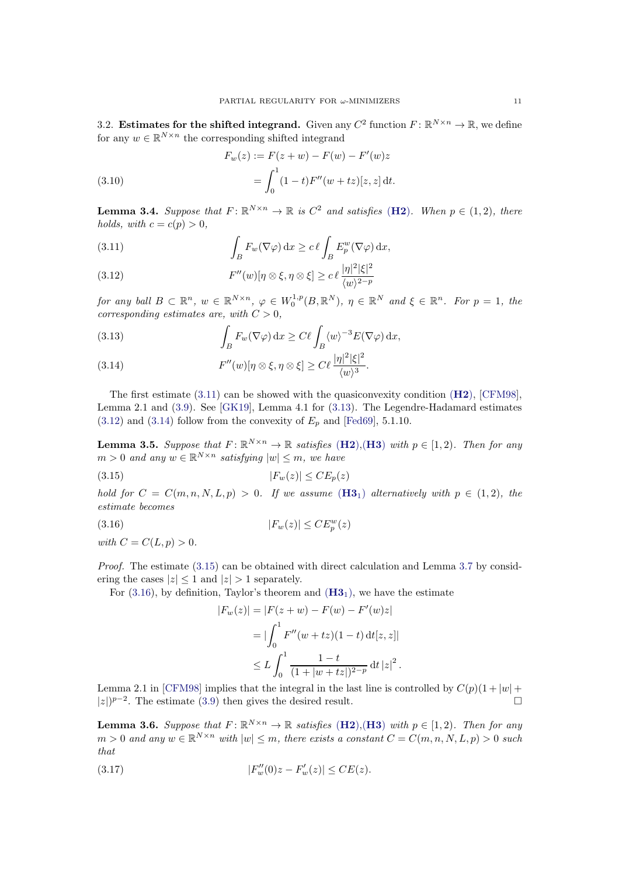3.2. Estimates for the shifted integrand. Given any  $C^2$  function  $F: \mathbb{R}^{N \times n} \to \mathbb{R}$ , we define for any  $w \in \mathbb{R}^{N \times n}$  the corresponding shifted integrand

(3.10) 
$$
F_w(z) := F(z+w) - F(w) - F'(w)z
$$

$$
= \int_0^1 (1-t)F''(w+tz)[z, z] dt.
$$

<span id="page-10-8"></span>**Lemma 3.4.** Suppose that  $F: \mathbb{R}^{N \times n} \to \mathbb{R}$  is  $C^2$  and satisfies ([H2](#page-2-5)). When  $p \in (1, 2)$ , there holds, with  $c = c(p) > 0$ ,

<span id="page-10-0"></span>(3.11) 
$$
\int_B F_w(\nabla \varphi) dx \geq c \ell \int_B E_p^w(\nabla \varphi) dx,
$$

<span id="page-10-2"></span>(3.12) 
$$
F''(w)[\eta \otimes \xi, \eta \otimes \xi] \ge c \ell \frac{|\eta|^2 |\xi|^2}{\langle w \rangle^{2-p}}
$$

for any ball  $B \subset \mathbb{R}^n$ ,  $w \in \mathbb{R}^{N \times n}$ ,  $\varphi \in W_0^{1,p}(B,\mathbb{R}^N)$ ,  $\eta \in \mathbb{R}^N$  and  $\xi \in \mathbb{R}^n$ . For  $p = 1$ , the corresponding estimates are, with  $C > 0$ ,

<span id="page-10-1"></span>(3.13) 
$$
\int_{B} F_w(\nabla \varphi) dx \geq C \ell \int_{B} \langle w \rangle^{-3} E(\nabla \varphi) dx,
$$

<span id="page-10-3"></span>(3.14) 
$$
F''(w)[\eta \otimes \xi, \eta \otimes \xi] \geq C\ell \frac{|\eta|^2 |\xi|^2}{\langle w \rangle^3}.
$$

The first estimate  $(3.11)$  can be showed with the quasiconvexity condition  $(H2)$  $(H2)$  $(H2)$ , [\[CFM98\]](#page-31-9), Lemma 2.1 and [\(3.9\)](#page-9-6). See [\[GK19\]](#page-32-13), Lemma 4.1 for [\(3.13\)](#page-10-1). The Legendre-Hadamard estimates  $(3.12)$  and  $(3.14)$  follow from the convexity of  $E_p$  and [\[Fed69\]](#page-32-27), 5.1.10.

**Lemma 3.5.** Suppose that  $F: \mathbb{R}^{N \times n} \to \mathbb{R}$  satisfies ([H2](#page-2-5)), ([H3](#page-2-4)) with  $p \in [1, 2)$ . Then for any  $m > 0$  and any  $w \in \mathbb{R}^{N \times n}$  satisfying  $|w| \leq m$ , we have

$$
(3.15) \t\t\t |F_w(z)| \leq CE_p(z)
$$

hold for  $C = C(m, n, N, L, p) > 0$ . If we assume  $(H3<sub>1</sub>)$  $(H3<sub>1</sub>)$  $(H3<sub>1</sub>)$  alternatively with  $p \in (1, 2)$ , the estimate becomes

$$
(3.16)\qquad \qquad |F_w(z)| \leq C E_p^w(z)
$$

with  $C = C(L, p) > 0$ .

*Proof.* The estimate  $(3.15)$  can be obtained with direct calculation and Lemma [3.7](#page-11-0) by considering the cases  $|z| \leq 1$  and  $|z| > 1$  separately.

For  $(3.16)$ , by definition, Taylor's theorem and  $(H3<sub>1</sub>)$  $(H3<sub>1</sub>)$  $(H3<sub>1</sub>)$ , we have the estimate

<span id="page-10-5"></span><span id="page-10-4"></span>
$$
|F_w(z)| = |F(z+w) - F(w) - F'(w)z|
$$
  
= 
$$
|\int_0^1 F''(w+tz)(1-t) dt[z, z]|
$$
  

$$
\leq L \int_0^1 \frac{1-t}{(1+|w+tz|)^{2-p}} dt |z|^2.
$$

Lemma 2.1 in [\[CFM98\]](#page-31-9) implies that the integral in the last line is controlled by  $C(p)(1+|w|+|z|)^{p-2}$ . The estimate (3.9) then gives the desired result.  $|z|$ <sup>p-2</sup>. The estimate [\(3.9\)](#page-9-6) then gives the desired result. □

<span id="page-10-7"></span>**Lemma 3.6.** Suppose that  $F: \mathbb{R}^{N \times n} \to \mathbb{R}$  satisfies ([H2](#page-2-5)), ([H3](#page-2-4)) with  $p \in [1, 2)$ . Then for any  $m > 0$  and any  $w \in \mathbb{R}^{N \times n}$  with  $|w| \leq m$ , there exists a constant  $C = C(m, n, N, L, p) > 0$  such that

<span id="page-10-6"></span>(3.17) 
$$
|F_w''(0)z - F_w'(z)| \leq CE(z).
$$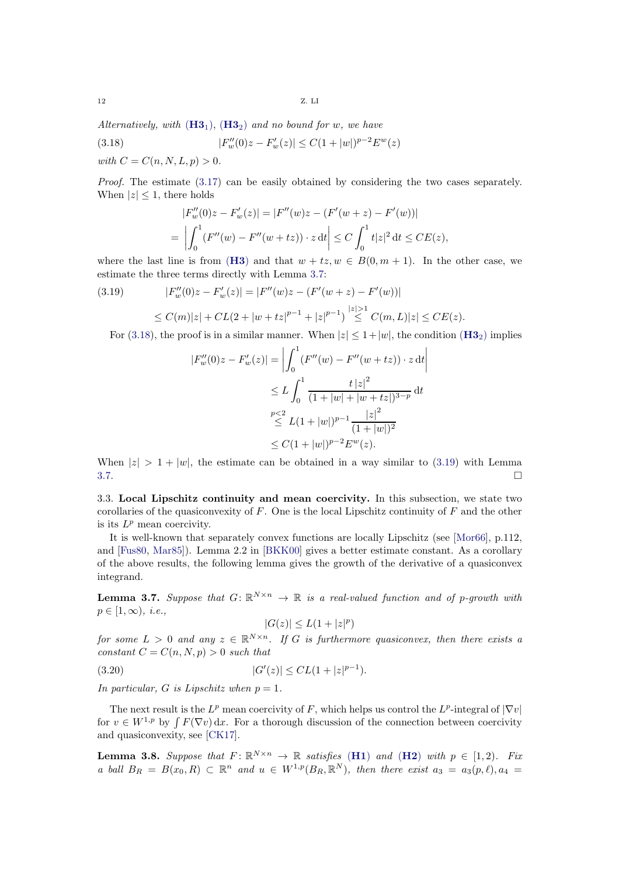Alternatively, with  $(H3_1)$  $(H3_1)$  $(H3_1)$ ,  $(H3_2)$  and no bound for w, we have

(3.18) 
$$
|F_w''(0)z - F_w'(z)| \le C(1+|w|)^{p-2} E^w(z)
$$
  
with  $C = C(n, N, L, p) > 0$ .

Proof. The estimate [\(3.17\)](#page-10-6) can be easily obtained by considering the two cases separately. When  $|z| \leq 1$ , there holds

<span id="page-11-1"></span>
$$
|F_w''(0)z - F_w'(z)| = |F''(w)z - (F'(w+z) - F'(w))|
$$
  
= 
$$
\left| \int_0^1 (F''(w) - F''(w+tz)) \cdot z \, dt \right| \le C \int_0^1 t|z|^2 \, dt \le CE(z),
$$

where the last line is from ([H3](#page-2-4)) and that  $w + tz$ ,  $w \in B(0, m + 1)$ . In the other case, we estimate the three terms directly with Lemma [3.7:](#page-11-0)

<span id="page-11-2"></span>(3.19) 
$$
|F_w''(0)z - F_w'(z)| = |F''(w)z - (F'(w+z) - F'(w))|
$$
  
 
$$
\leq C(m)|z| + CL(2 + |w + tz|^{p-1} + |z|^{p-1}) \stackrel{|z| > 1}{\leq} C(m, L)|z| \leq CE(z).
$$

For [\(3.18\)](#page-11-1), the proof is in a similar manner. When  $|z| \leq 1+|w|$ , the condition ([H3](#page-2-7)<sub>2</sub>) implies

$$
|F_w''(0)z - F_w'(z)| = \left| \int_0^1 (F''(w) - F''(w + tz)) \cdot z \, dt \right|
$$
  
\n
$$
\leq L \int_0^1 \frac{t |z|^2}{(1 + |w| + |w + tz|)^{3-p}} \, dt
$$
  
\n
$$
\stackrel{p < 2}{\leq} L(1 + |w|)^{p-1} \frac{|z|^2}{(1 + |w|)^2}
$$
  
\n
$$
\leq C(1 + |w|)^{p-2} E^w(z).
$$

When  $|z| > 1 + |w|$ , the estimate can be obtained in a way similar to [\(3.19\)](#page-11-2) with Lemma 3.7.  $3.7.$ 

3.3. Local Lipschitz continuity and mean coercivity. In this subsection, we state two corollaries of the quasiconvexity of  $F$ . One is the local Lipschitz continuity of  $F$  and the other is its  $L^p$  mean coercivity.

It is well-known that separately convex functions are locally Lipschitz (see [\[Mor66\]](#page-33-7), p.112, and [\[Fus80,](#page-32-28) [Mar85\]](#page-32-29)). Lemma 2.2 in [\[BKK00\]](#page-31-21) gives a better estimate constant. As a corollary of the above results, the following lemma gives the growth of the derivative of a quasiconvex integrand.

<span id="page-11-0"></span>**Lemma 3.7.** Suppose that  $G: \mathbb{R}^{N \times n} \to \mathbb{R}$  is a real-valued function and of p-growth with  $p \in [1,\infty)$ , *i.e.*,

$$
|G(z)|\leq L(1+|z|^p)
$$

for some  $L > 0$  and any  $z \in \mathbb{R}^{N \times n}$ . If G is furthermore quasiconvex, then there exists a constant  $C = C(n, N, p) > 0$  such that

 $(3.20)$  $\vert z \vert \leq CL(1+|z|^{p-1}).$ 

In particular, G is Lipschitz when  $p = 1$ .

The next result is the  $L^p$  mean coercivity of F, which helps us control the  $L^p$ -integral of  $|\nabla v|$ for  $v \in W^{1,p}$  by  $\int F(\nabla v) dx$ . For a thorough discussion of the connection between coercivity and quasiconvexity, see [\[CK17\]](#page-31-22).

<span id="page-11-3"></span>**Lemma 3.8.** Suppose that  $F: \mathbb{R}^{N \times n} \to \mathbb{R}$  satisfies ([H1](#page-2-3)) and ([H2](#page-2-5)) with  $p \in [1, 2)$ . Fix a ball  $B_R = B(x_0, R) \subset \mathbb{R}^n$  and  $u \in W^{1,p}(B_R, \mathbb{R}^N)$ , then there exist  $a_3 = a_3(p, \ell), a_4 =$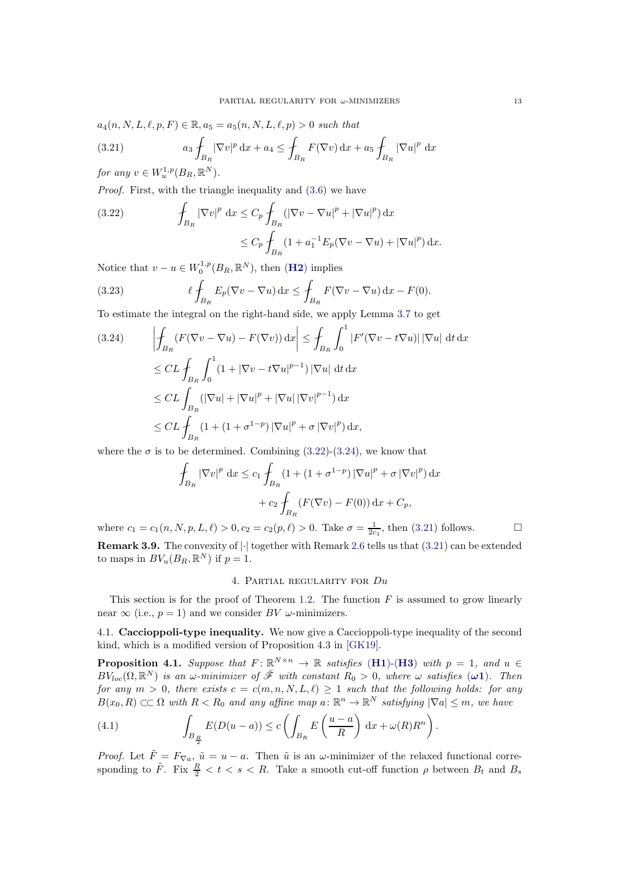$a_4(n, N, L, \ell, p, F) \in \mathbb{R}, a_5 = a_5(n, N, L, \ell, p) > 0$  such that

<span id="page-12-3"></span>(3.21) 
$$
a_3 f_{B_R} |\nabla v|^p dx + a_4 \le f_{B_R} F(\nabla v) dx + a_5 f_{B_R} |\nabla u|^p dx
$$

for any  $v \in W_u^{1,p}(B_R,\mathbb{R}^N)$ .

Proof. First, with the triangle inequality and [\(3.6\)](#page-9-7) we have

<span id="page-12-1"></span>(3.22) 
$$
\int_{B_R} |\nabla v|^p dx \leq C_p \int_{B_R} (|\nabla v - \nabla u|^p + |\nabla u|^p) dx
$$

$$
\leq C_p \int_{B_R} (1 + a_1^{-1} E_p (\nabla v - \nabla u) + |\nabla u|^p) dx.
$$

Notice that  $v - u \in W_0^{1,p}(B_R, \mathbb{R}^N)$ , then  $(\mathbf{H2})$  $(\mathbf{H2})$  $(\mathbf{H2})$  implies

(3.23) 
$$
\ell \int_{B_R} E_p(\nabla v - \nabla u) \,dx \leq \int_{B_R} F(\nabla v - \nabla u) \,dx - F(0).
$$

To estimate the integral on the right-hand side, we apply Lemma [3.7](#page-11-0) to get

<span id="page-12-2"></span>
$$
(3.24) \qquad \left| \oint_{B_R} (F(\nabla v - \nabla u) - F(\nabla v)) \, dx \right| \leq \int_{B_R} \int_0^1 |F'(\nabla v - t \nabla u)| \, |\nabla u| \, dt \, dx
$$
  
\n
$$
\leq CL \int_{B_R} \int_0^1 (1 + |\nabla v - t \nabla u|^{p-1}) \, |\nabla u| \, dt \, dx
$$
  
\n
$$
\leq CL \int_{B_R} (|\nabla u| + |\nabla u|^p + |\nabla u| |\nabla v|^{p-1}) \, dx
$$
  
\n
$$
\leq CL \int_{B_R} (1 + (1 + \sigma^{1-p}) \, |\nabla u|^p + \sigma \, |\nabla v|^p) \, dx,
$$

where the  $\sigma$  is to be determined. Combining [\(3.22\)](#page-12-1)-[\(3.24\)](#page-12-2), we know that

$$
\oint_{B_R} |\nabla v|^p \, \mathrm{d}x \le c_1 \oint_{B_R} (1 + (1 + \sigma^{1-p}) |\nabla u|^p + \sigma |\nabla v|^p) \, \mathrm{d}x
$$
\n
$$
+ c_2 \oint_{B_R} (F(\nabla v) - F(0)) \, \mathrm{d}x + C_p,
$$

where  $c_1 = c_1(n, N, p, L, \ell) > 0, c_2 = c_2(p, \ell) > 0$ . Take  $\sigma = \frac{1}{2c_1}$ , then [\(3.21\)](#page-12-3) follows.

<span id="page-12-0"></span>**Remark 3.9.** The convexity of  $\lvert \cdot \rvert$  together with Remark [2.6](#page-7-1) tells us that [\(3.21\)](#page-12-3) can be extended to maps in  $BV_u(B_R, \mathbb{R}^N)$  if  $p=1$ .

## 4. Partial regularity for Du

This section is for the proof of Theorem [1.2.](#page-2-0) The function  $F$  is assumed to grow linearly near  $\infty$  (i.e.,  $p = 1$ ) and we consider BV  $\omega$ -minimizers.

4.1. Caccioppoli-type inequality. We now give a Caccioppoli-type inequality of the second kind, which is a modified version of Proposition 4.3 in [\[GK19\]](#page-32-13).

<span id="page-12-5"></span>**Proposition 4.1.** Suppose that  $F: \mathbb{R}^{N \times n} \to \mathbb{R}$  satisfies ([H1](#page-2-3))-([H3](#page-2-4)) with  $p = 1$ , and  $u \in$  $BV_{loc}(\Omega,\mathbb{R}^N)$  is an  $\omega$ -minimizer of  $\bar{\mathscr{F}}$  with constant  $R_0 > 0$ , where  $\omega$  satisfies  $(\omega \mathbf{1})$ . Then for any  $m > 0$ , there exists  $c = c(m, n, N, L, \ell) \geq 1$  such that the following holds: for any  $B(x_0, R) \subset\subset \Omega$  with  $R < R_0$  and any affine map  $a: \mathbb{R}^n \to \mathbb{R}^N$  satisfying  $|\nabla a| \leq m$ , we have

<span id="page-12-4"></span>(4.1) 
$$
\int_{B_{\frac{R}{2}}} E(D(u-a)) \leq c \left( \int_{B_R} E\left(\frac{u-a}{R}\right) dx + \omega(R)R^n \right)
$$

*Proof.* Let  $\tilde{F} = F_{\nabla a}$ ,  $\tilde{u} = u - a$ . Then  $\tilde{u}$  is an  $\omega$ -minimizer of the relaxed functional corresponding to  $\tilde{F}$ . Fix  $\frac{R}{2} < t < s < R$ . Take a smooth cut-off function  $\rho$  between  $B_t$  and  $B_s$ 

.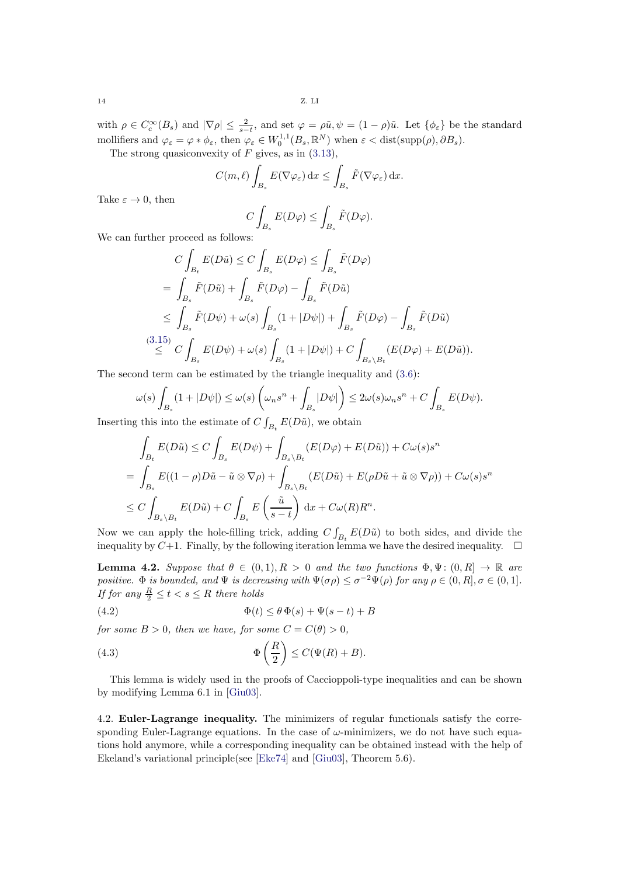with  $\rho \in C_c^{\infty}(B_s)$  and  $|\nabla \rho| \leq \frac{2}{s-t}$ , and set  $\varphi = \rho \tilde{u}, \psi = (1-\rho)\tilde{u}$ . Let  $\{\phi_{\varepsilon}\}\)$  be the standard mollifiers and  $\varphi_{\varepsilon} = \varphi * \phi_{\varepsilon}$ , then  $\varphi_{\varepsilon} \in W_0^{1,1}(B_s, \mathbb{R}^N)$  when  $\varepsilon < \text{dist}(\text{supp}(\rho), \partial B_s)$ .

The strong quasiconvexity of  $F$  gives, as in  $(3.13)$ ,

$$
C(m,\ell)\int_{B_s} E(\nabla \varphi_{\varepsilon}) dx \le \int_{B_s} \tilde{F}(\nabla \varphi_{\varepsilon}) dx.
$$

$$
C \int E(D\varphi) < \int \tilde{F}(D\varphi).
$$

Take  $\varepsilon \to 0$ , then

$$
C\int_{B_s} E(D\varphi) \leq \int_{B_s} \tilde{F}(D\varphi).
$$

We can further proceed as follows:

$$
C \int_{B_t} E(D\tilde{u}) \le C \int_{B_s} E(D\varphi) \le \int_{B_s} \tilde{F}(D\varphi)
$$
  
= 
$$
\int_{B_s} \tilde{F}(D\tilde{u}) + \int_{B_s} \tilde{F}(D\varphi) - \int_{B_s} \tilde{F}(D\tilde{u})
$$
  

$$
\le \int_{B_s} \tilde{F}(D\psi) + \omega(s) \int_{B_s} (1 + |D\psi|) + \int_{B_s} \tilde{F}(D\varphi) - \int_{B_s} \tilde{F}(D\tilde{u})
$$
  

$$
\le \int_{B_s} (3.15) \quad C \int_{B_s} E(D\psi) + \omega(s) \int_{B_s} (1 + |D\psi|) + C \int_{B_s \setminus B_t} (E(D\varphi) + E(D\tilde{u})).
$$

The second term can be estimated by the triangle inequality and [\(3.6\)](#page-9-7):

$$
\omega(s)\int_{B_s}(1+|D\psi|)\leq \omega(s)\left(\omega_ns^n+\int_{B_s}|D\psi|\right)\leq 2\omega(s)\omega_ns^n+C\int_{B_s}E(D\psi).
$$

Inserting this into the estimate of  $C \int_{B_t} E(D\tilde{u})$ , we obtain

$$
\int_{B_t} E(D\tilde{u}) \le C \int_{B_s} E(D\psi) + \int_{B_s \setminus B_t} (E(D\varphi) + E(D\tilde{u})) + C\omega(s)s^n
$$
  
= 
$$
\int_{B_s} E((1 - \rho)D\tilde{u} - \tilde{u} \otimes \nabla \rho) + \int_{B_s \setminus B_t} (E(D\tilde{u}) + E(\rho D\tilde{u} + \tilde{u} \otimes \nabla \rho)) + C\omega(s)s^n
$$
  

$$
\le C \int_{B_s \setminus B_t} E(D\tilde{u}) + C \int_{B_s} E\left(\frac{\tilde{u}}{s - t}\right) dx + C\omega(R)R^n.
$$

Now we can apply the hole-filling trick, adding  $C \int_{B_t} E(D\tilde{u})$  to both sides, and divide the inequality by  $C+1$ . Finally, by the following iteration lemma we have the desired inequality.  $\square$ 

<span id="page-13-0"></span>**Lemma 4.2.** Suppose that  $\theta \in (0,1), R > 0$  and the two functions  $\Phi, \Psi: (0, R] \to \mathbb{R}$  are positive.  $\Phi$  is bounded, and  $\Psi$  is decreasing with  $\Psi(\sigma \rho) \leq \sigma^{-2} \Psi(\rho)$  for any  $\rho \in (0, R], \sigma \in (0, 1]$ . If for any  $\frac{R}{2} \leq t < s \leq R$  there holds

(4.2) 
$$
\Phi(t) \leq \theta \Phi(s) + \Psi(s-t) + B
$$

for some  $B > 0$ , then we have, for some  $C = C(\theta) > 0$ ,

(4.3) 
$$
\Phi\left(\frac{R}{2}\right) \le C(\Psi(R) + B).
$$

This lemma is widely used in the proofs of Caccioppoli-type inequalities and can be shown by modifying Lemma 6.1 in [\[Giu03\]](#page-32-6).

<span id="page-13-1"></span>4.2. Euler-Lagrange inequality. The minimizers of regular functionals satisfy the corresponding Euler-Lagrange equations. In the case of  $\omega$ -minimizers, we do not have such equations hold anymore, while a corresponding inequality can be obtained instead with the help of Ekeland's variational principle(see [\[Eke74\]](#page-32-30) and [\[Giu03\]](#page-32-6), Theorem 5.6).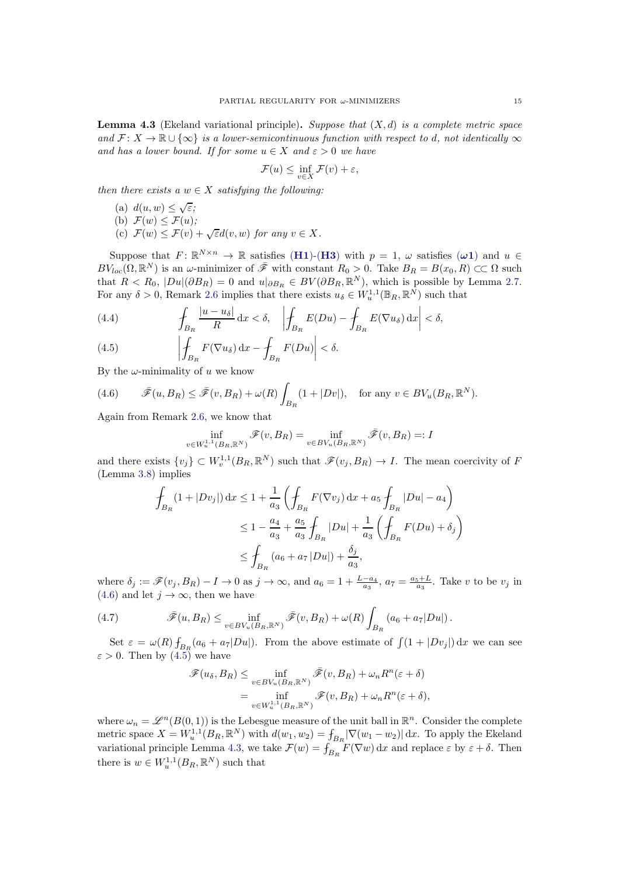<span id="page-14-2"></span>**Lemma 4.3** (Ekeland variational principle). Suppose that  $(X, d)$  is a complete metric space and  $\mathcal{F} \colon X \to \mathbb{R} \cup \{\infty\}$  is a lower-semicontinuous function with respect to d, not identically  $\infty$ and has a lower bound. If for some  $u \in X$  and  $\varepsilon > 0$  we have

$$
\mathcal{F}(u) \le \inf_{v \in X} \mathcal{F}(v) + \varepsilon,
$$

then there exists a  $w \in X$  satisfying the following:

(a)  $d(u, w) \leq \sqrt{\varepsilon}$ ; (b)  $\mathcal{F}(w) \leq \mathcal{F}(u)$ ; (c)  $\mathcal{F}(w) \leq \mathcal{F}(v) + \sqrt{\varepsilon}d(v,w)$  for any  $v \in X$ .

Suppose that  $F: \mathbb{R}^{N \times n} \to \mathbb{R}$  satisfies ([H1](#page-2-3))-([H3](#page-2-4)) with  $p = 1$ ,  $\omega$  satisfies  $(\omega 1)$  and  $u \in$  $BV_{loc}(\Omega,\mathbb{R}^N)$  is an  $\omega$ -minimizer of  $\bar{\mathscr{F}}$  with constant  $R_0 > 0$ . Take  $B_R = B(x_0,R) \subset\subset \Omega$  such that  $R < R_0$ ,  $|Du|(\partial B_R) = 0$  and  $u|_{\partial B_R} \in BV(\partial B_R, \mathbb{R}^N)$ , which is possible by Lemma [2.7.](#page-7-2) For any  $\delta > 0$ , Remark [2.6](#page-7-1) implies that there exists  $u_{\delta} \in W_u^{1,1}(\mathbb{B}_R, \mathbb{R}^N)$  such that

<span id="page-14-3"></span>(4.4) 
$$
\int_{B_R} \frac{|u - u_\delta|}{R} dx < \delta, \quad \left| \int_{B_R} E(Du) - \int_{B_R} E(\nabla u_\delta) dx \right| < \delta,
$$

<span id="page-14-1"></span>(4.5) 
$$
\left| \oint_{B_R} F(\nabla u_\delta) \, dx - \oint_{B_R} F(Du) \right| < \delta.
$$

By the  $\omega$ -minimality of u we know

<span id="page-14-0"></span>(4.6) 
$$
\bar{\mathscr{F}}(u,B_R) \leq \bar{\mathscr{F}}(v,B_R) + \omega(R) \int_{B_R} (1+|Dv|), \text{ for any } v \in BV_u(B_R, \mathbb{R}^N).
$$

Again from Remark [2.6,](#page-7-1) we know that

$$
\inf_{v \in W_u^{1,1}(B_R, \mathbb{R}^N)} \mathscr{F}(v, B_R) = \inf_{v \in BV_u(B_R, \mathbb{R}^N)} \bar{\mathscr{F}}(v, B_R) =: I
$$

and there exists  $\{v_j\} \subset W_v^{1,1}(B_R, \mathbb{R}^N)$  such that  $\mathscr{F}(v_j, B_R) \to I$ . The mean coercivity of F (Lemma [3.8\)](#page-11-3) implies

$$
\oint_{B_R} (1+|Dv_j|) dx \le 1 + \frac{1}{a_3} \left( \oint_{B_R} F(\nabla v_j) dx + a_5 \oint_{B_R} |Du| - a_4 \right)
$$
  
\n
$$
\le 1 - \frac{a_4}{a_3} + \frac{a_5}{a_3} \oint_{B_R} |Du| + \frac{1}{a_3} \left( \oint_{B_R} F(Du) + \delta_j \right)
$$
  
\n
$$
\le \oint_{B_R} (a_6 + a_7 |Du|) + \frac{\delta_j}{a_3},
$$

where  $\delta_j := \mathscr{F}(v_j, B_R) - I \to 0$  as  $j \to \infty$ , and  $a_6 = 1 + \frac{L-a_4}{a_3}$ ,  $a_7 = \frac{a_5+L}{a_3}$ . Take v to be  $v_j$  in [\(4.6\)](#page-14-0) and let  $j \to \infty$ , then we have

(4.7) 
$$
\bar{\mathscr{F}}(u,B_R) \leq \inf_{v \in BV_u(B_R,\mathbb{R}^N)} \bar{\mathscr{F}}(v,B_R) + \omega(R) \int_{B_R} (a_6 + a_7|Du|).
$$

Set  $\varepsilon = \omega(R) f_{B_R}(a_6 + a_7|Du|)$ . From the above estimate of  $\int (1 + |Dv_j|) dx$  we can see  $\varepsilon > 0$ . Then by  $(4.5)$  we have

$$
\mathscr{F}(u_{\delta}, B_R) \leq \inf_{v \in BV_u(B_R, \mathbb{R}^N)} \bar{\mathscr{F}}(v, B_R) + \omega_n R^n(\varepsilon + \delta)
$$
  
= 
$$
\inf_{v \in W_u^{1,1}(B_R, \mathbb{R}^N)} \mathscr{F}(v, B_R) + \omega_n R^n(\varepsilon + \delta),
$$

<span id="page-14-4"></span>where  $\omega_n = \mathscr{L}^n(B(0,1))$  is the Lebesgue measure of the unit ball in  $\mathbb{R}^n$ . Consider the complete metric space  $X = W_u^{1,1}(B_R, \mathbb{R}^N)$  with  $d(w_1, w_2) = \int_{B_R} |\nabla(w_1 - w_2)| dx$ . To apply the Ekeland variational principle Lemma [4.3,](#page-14-2) we take  $\mathcal{F}(w) = \int_{B_R} F(\nabla w) dx$  and replace  $\varepsilon$  by  $\varepsilon + \delta$ . Then there is  $w \in W_u^{1,1}(B_R, \mathbb{R}^N)$  such that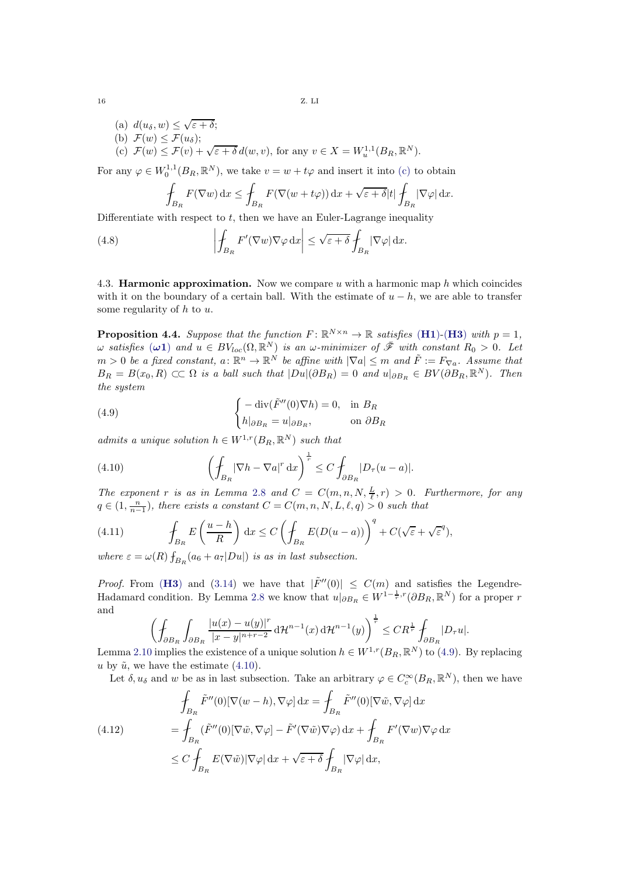<span id="page-15-1"></span>(a)  $d(u_\delta, w) \leq \sqrt{\varepsilon + \delta};$ (b)  $\mathcal{F}(w) \leq \mathcal{F}(u_{\delta});$ <br>
(c)  $\mathcal{F}(w) \leq \mathcal{F}(v) + \sqrt{\varepsilon + \delta} d(w, v)$ , for any  $v \in X = W_u^{1,1}(B_R, \mathbb{R}^N)$ .

For any  $\varphi \in W_0^{1,1}(B_R, \mathbb{R}^N)$ , we take  $v = w + t\varphi$  and insert it into [\(c\)](#page-15-1) to obtain

<span id="page-15-4"></span>
$$
\oint_{B_R} F(\nabla w) \, dx \le \oint_{B_R} F(\nabla (w + t\varphi)) \, dx + \sqrt{\varepsilon + \delta} |t| \oint_{B_R} |\nabla \varphi| \, dx.
$$

Differentiate with respect to  $t$ , then we have an Euler-Lagrange inequality

(4.8) 
$$
\left| \oint_{B_R} F'(\nabla w) \nabla \varphi \, dx \right| \leq \sqrt{\varepsilon + \delta} \int_{B_R} |\nabla \varphi| \, dx.
$$

<span id="page-15-0"></span>4.3. **Harmonic approximation.** Now we compare u with a harmonic map  $h$  which coincides with it on the boundary of a certain ball. With the estimate of  $u - h$ , we are able to transfer some regularity of  $h$  to  $u$ .

<span id="page-15-7"></span>**Proposition 4.4.** Suppose that the function  $F: \mathbb{R}^{N \times n} \to \mathbb{R}$  satisfies ([H1](#page-2-3))-([H3](#page-2-4)) with  $p = 1$ ,  $\omega$  satisfies  $(\omega 1)$  and  $u \in BV_{loc}(\Omega, \mathbb{R}^N)$  is an  $\omega$ -minimizer of  $\bar{\mathscr{F}}$  with constant  $R_0 > 0$ . Let  $m > 0$  be a fixed constant,  $a \colon \mathbb{R}^n \to \mathbb{R}^N$  be affine with  $|\nabla a| \leq m$  and  $\tilde{F} := F_{\nabla a}$ . Assume that  $B_R = B(x_0, R) \subset\subset \Omega$  is a ball such that  $|Du|(\partial B_R) = 0$  and  $u|_{\partial B_R} \in BV(\partial B_R, \mathbb{R}^N)$ . Then the system

<span id="page-15-2"></span>(4.9) 
$$
\begin{cases} -\operatorname{div}(\tilde{F}''(0)\nabla h) = 0, & \text{in } B_R \\ h|_{\partial B_R} = u|_{\partial B_R}, & \text{on } \partial B_R \end{cases}
$$

admits a unique solution  $h \in W^{1,r}(B_R, \mathbb{R}^N)$  such that

<span id="page-15-3"></span>(4.10) 
$$
\left(\int_{B_R} |\nabla h - \nabla a|^r dx\right)^{\frac{1}{r}} \leq C \int_{\partial B_R} |D_\tau (u - a)|.
$$

The exponent r is as in Lemma [2.8](#page-7-3) and  $C = C(m, n, N, \frac{L}{l}, r) > 0$ . Furthermore, for any  $q \in (1, \frac{n}{n-1})$ , there exists a constant  $C = C(m, n, N, L, \ell, q) > 0$  such that

<span id="page-15-6"></span>(4.11) 
$$
\oint_{B_R} E\left(\frac{u-h}{R}\right) dx \leq C \left(\oint_{B_R} E(D(u-a))\right)^q + C(\sqrt{\varepsilon} + \sqrt{\varepsilon}^q),
$$

where  $\varepsilon = \omega(R) \int_{B_R} (a_6 + a_7 |Du|)$  is as in last subsection.

*Proof.* From ([H3](#page-2-4)) and [\(3.14\)](#page-10-3) we have that  $|\tilde{F}''(0)| \leq C(m)$  and satisfies the Legendre-Hadamard condition. By Lemma [2.8](#page-7-3) we know that  $u|_{\partial B_R} \in W^{1-\frac{1}{r},r}(\partial B_R, \mathbb{R}^N)$  for a proper r and

$$
\left(\oint_{\partial B_R}\int_{\partial B_R}\frac{|u(x)-u(y)|^r}{|x-y|^{n+r-2}}\,\mathrm{d}\mathcal{H}^{n-1}(x)\,\mathrm{d}\mathcal{H}^{n-1}(y)\right)^{\frac{1}{r}}\leq CR^{\frac{1}{r}}\oint_{\partial B_R}|D_\tau u|.
$$

Lemma [2.10](#page-8-3) implies the existence of a unique solution  $h \in W^{1,r}(B_R, \mathbb{R}^N)$  to [\(4.9\)](#page-15-2). By replacing u by  $\tilde{u}$ , we have the estimate [\(4.10\)](#page-15-3).

Let  $\delta, u_{\delta}$  and w be as in last subsection. Take an arbitrary  $\varphi \in C_c^{\infty}(B_R, \mathbb{R}^N)$ , then we have

<span id="page-15-5"></span>(4.12) 
$$
\oint_{B_R} \tilde{F}''(0)[\nabla(w-h), \nabla \varphi] dx = \oint_{B_R} \tilde{F}''(0)[\nabla \tilde{w}, \nabla \varphi] dx \n= \oint_{B_R} (\tilde{F}''(0)[\nabla \tilde{w}, \nabla \varphi] - \tilde{F}'(\nabla \tilde{w}) \nabla \varphi) dx + \oint_{B_R} F'(\nabla w) \nabla \varphi dx \n\leq C \oint_{B_R} E(\nabla \tilde{w}) |\nabla \varphi| dx + \sqrt{\varepsilon + \delta} \oint_{B_R} |\nabla \varphi| dx,
$$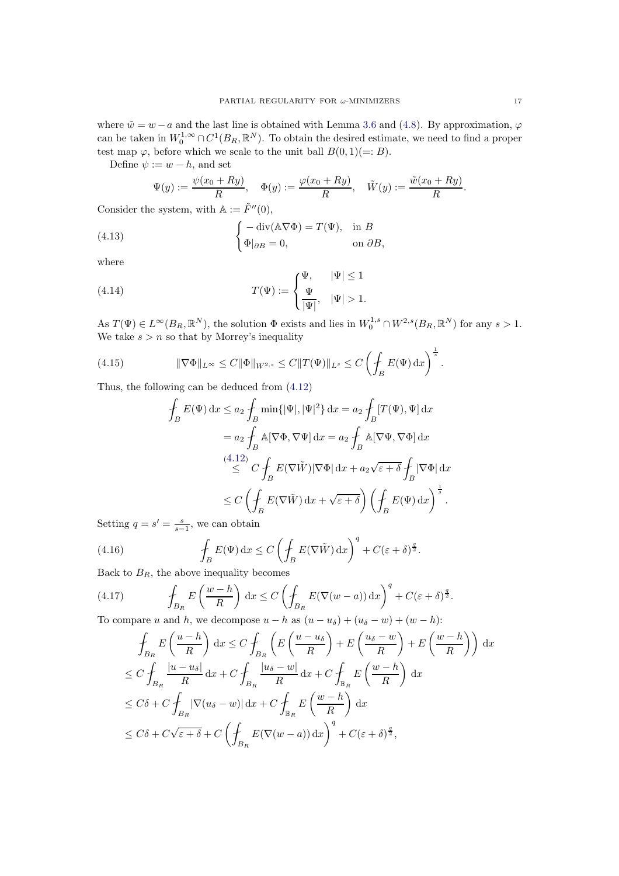where  $\tilde{w} = w - a$  and the last line is obtained with Lemma [3.6](#page-10-7) and [\(4.8\)](#page-15-4). By approximation,  $\varphi$ can be taken in  $W_0^{1,\infty} \cap C^1(B_R,\mathbb{R}^N)$ . To obtain the desired estimate, we need to find a proper test map  $\varphi$ , before which we scale to the unit ball  $B(0, 1)(=: B)$ .

Define  $\psi := w - h$ , and set

$$
\Psi(y) := \frac{\psi(x_0 + Ry)}{R}, \quad \Phi(y) := \frac{\varphi(x_0 + Ry)}{R}, \quad \tilde{W}(y) := \frac{\tilde{w}(x_0 + Ry)}{R}.
$$

Consider the system, with  $\mathbb{A} := \tilde{F}''(0)$ ,

(4.13) 
$$
\begin{cases} -\operatorname{div}(\mathbb{A}\nabla\Phi) = T(\Psi), & \text{in } B \\ \Phi|_{\partial B} = 0, & \text{on } \partial B, \end{cases}
$$

where

(4.14) 
$$
T(\Psi) := \begin{cases} \Psi, & |\Psi| \leq 1 \\ \frac{\Psi}{|\Psi|}, & |\Psi| > 1. \end{cases}
$$

As  $T(\Psi) \in L^{\infty}(B_R, \mathbb{R}^N)$ , the solution  $\Phi$  exists and lies in  $W_0^{1,s} \cap W^{2,s}(B_R, \mathbb{R}^N)$  for any  $s > 1$ . We take  $s > n$  so that by Morrey's inequality

(4.15) 
$$
\|\nabla \Phi\|_{L^{\infty}} \leq C \|\Phi\|_{W^{2,s}} \leq C \|T(\Psi)\|_{L^{s}} \leq C \left(\int_{B} E(\Psi) \,dx\right)^{\frac{1}{s}}.
$$

Thus, the following can be deduced from [\(4.12\)](#page-15-5)

$$
\oint_{B} E(\Psi) dx \le a_2 \oint_{B} \min{\{\vert \Psi \vert, \vert \Psi \vert^2\}} dx = a_2 \oint_{B} [T(\Psi), \Psi] dx
$$
\n
$$
= a_2 \oint_{B} \mathbb{A} [\nabla \Phi, \nabla \Psi] dx = a_2 \oint_{B} \mathbb{A} [\nabla \Psi, \nabla \Phi] dx
$$
\n
$$
\le C \oint_{B} E(\nabla \tilde{W}) |\nabla \Phi| dx + a_2 \sqrt{\varepsilon + \delta} \oint_{B} |\nabla \Phi| dx
$$
\n
$$
\le C \left( \oint_{B} E(\nabla \tilde{W}) dx + \sqrt{\varepsilon + \delta} \right) \left( \oint_{B} E(\Psi) dx \right)^{\frac{1}{s}}.
$$

Setting  $q = s' = \frac{s}{s-1}$ , we can obtain

(4.16) 
$$
\oint_{B} E(\Psi) dx \leq C \left( \oint_{B} E(\nabla \tilde{W}) dx \right)^{q} + C(\varepsilon + \delta)^{\frac{q}{2}}.
$$

Back to  $B_R$ , the above inequality becomes

(4.17) 
$$
\oint_{B_R} E\left(\frac{w-h}{R}\right) dx \le C \left(\oint_{B_R} E(\nabla(w-a)) dx\right)^q + C(\varepsilon + \delta)^{\frac{q}{2}}.
$$
  
To compare *u* and *h* we decompose *u* = *h* as  $(u - u\varepsilon) + (u\varepsilon - w) + (uv - h)$ :

To compare u and h, we decompose  $u - h$  as  $(u - u_{\delta}) + (u_{\delta} - w) + (w - h)$ :

<span id="page-16-0"></span>
$$
\int_{B_R} E\left(\frac{u-h}{R}\right) dx \le C \int_{B_R} \left(E\left(\frac{u-u_\delta}{R}\right) + E\left(\frac{u_\delta - w}{R}\right) + E\left(\frac{w-h}{R}\right)\right) dx
$$
\n
$$
\le C \int_{B_R} \frac{|u - u_\delta|}{R} dx + C \int_{B_R} \frac{|u_\delta - w|}{R} dx + C \int_{\mathbb{B}_R} E\left(\frac{w-h}{R}\right) dx
$$
\n
$$
\le C\delta + C \int_{B_R} |\nabla(u_\delta - w)| dx + C \int_{\mathbb{B}_R} E\left(\frac{w-h}{R}\right) dx
$$
\n
$$
\le C\delta + C\sqrt{\varepsilon + \delta} + C \left(\int_{B_R} E(\nabla(w - a)) dx\right)^q + C(\varepsilon + \delta)^{\frac{q}{2}},
$$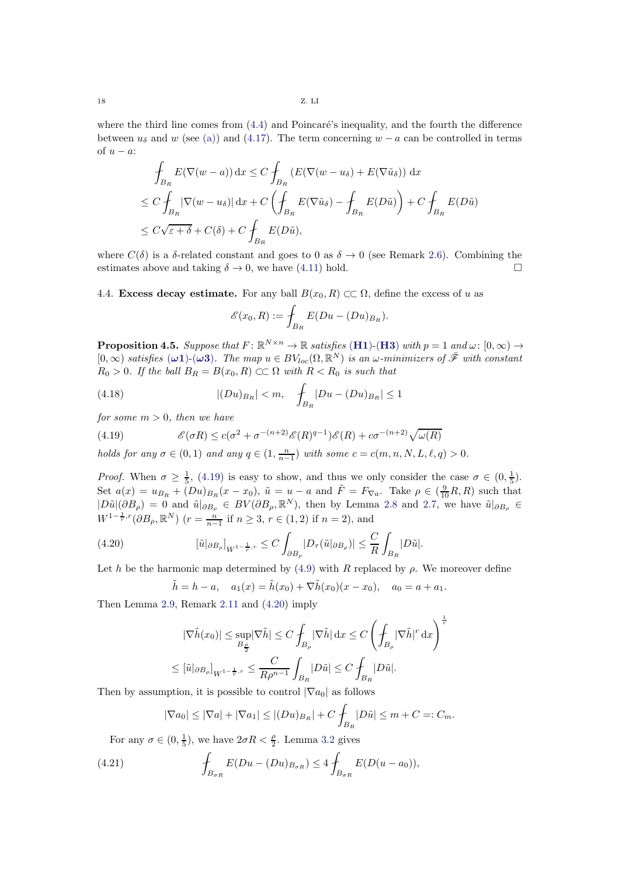18 Z. LI

where the third line comes from  $(4.4)$  and Poincaré's inequality, and the fourth the difference between  $u_{\delta}$  and w (see [\(a\)\)](#page-14-4) and [\(4.17\)](#page-16-0). The term concerning  $w - a$  can be controlled in terms of  $u - a$ :

$$
\int_{B_R} E(\nabla(w - a)) dx \le C \int_{B_R} (E(\nabla(w - u_\delta) + E(\nabla \tilde{u}_\delta)) dx
$$
\n
$$
\le C \int_{B_R} |\nabla(w - u_\delta)| dx + C \left( \int_{B_R} E(\nabla \tilde{u}_\delta) - \int_{B_R} E(D\tilde{u}) \right) + C \int_{B_R} E(D\tilde{u})
$$
\n
$$
\le C \sqrt{\varepsilon + \delta} + C(\delta) + C \int_{B_R} E(D\tilde{u}),
$$

where  $C(\delta)$  is a  $\delta$ -related constant and goes to 0 as  $\delta \to 0$  (see Remark [2.6\)](#page-7-1). Combining the estimates above and taking  $\delta \to 0$  we have (4.11) hold estimates above and taking  $\delta \to 0$ , we have [\(4.11\)](#page-15-6) hold.

4.4. Excess decay estimate. For any ball  $B(x_0, R) \subset\subset \Omega$ , define the excess of u as

$$
\mathscr{E}(x_0, R) := \int_{B_R} E(Du - (Du)_{B_R}).
$$

<span id="page-17-3"></span>**Proposition 4.5.** Suppose that  $F: \mathbb{R}^{N \times n} \to \mathbb{R}$  satisfies ([H1](#page-2-3))-([H3](#page-2-4)) with  $p = 1$  and  $\omega: [0, \infty) \to$  $[0,\infty)$  satisfies  $(\omega 1)$ - $(\omega 3)$ . The map  $u \in BV_{loc}(\Omega,\mathbb{R}^N)$  is an  $\omega$ -minimizers of  $\bar{\mathscr{F}}$  with constant  $R_0 > 0$ . If the ball  $B_R = B(x_0, R) \subset\subset \Omega$  with  $R < R_0$  is such that

(4.18) 
$$
|(Du)_{B_R}| < m, \quad \int_{B_R} |Du - (Du)_{B_R}| \le 1
$$

for some  $m > 0$ , then we have

<span id="page-17-0"></span>(4.19) 
$$
\mathscr{E}(\sigma R) \le c(\sigma^2 + \sigma^{-(n+2)} \mathscr{E}(R)^{q-1}) \mathscr{E}(R) + c\sigma^{-(n+2)} \sqrt{\omega(R)}
$$

holds for any  $\sigma \in (0,1)$  and any  $q \in (1, \frac{n}{n-1})$  with some  $c = c(m, n, N, L, \ell, q) > 0$ .

Proof. When  $\sigma \geq \frac{1}{5}$ , [\(4.19\)](#page-17-0) is easy to show, and thus we only consider the case  $\sigma \in (0, \frac{1}{5})$ . Set  $a(x) = u_{B_R} + (Du)_{B_R}(x - x_0)$ ,  $\tilde{u} = u - a$  and  $\tilde{F} = F_{\nabla a}$ . Take  $\rho \in (\frac{9}{10}R, R)$  such that  $|D\tilde{u}|(\partial B_{\rho}) = 0$  and  $\tilde{u}|_{\partial B_{\rho}} \in BV(\partial B_{\rho}, \mathbb{R}^{N})$ , then by Lemma [2.8](#page-7-3) and [2.7,](#page-7-2) we have  $\tilde{u}|_{\partial B_{\rho}} \in$  $W^{1-\frac{1}{r},r}(\partial B_{\rho}, \mathbb{R}^{N})$   $(r = \frac{n}{n-1}$  if  $n \geq 3, r \in (1,2)$  if  $n = 2$ ), and

(4.20) 
$$
\left[\tilde{u}|_{\partial B_{\rho}}\right]_{W^{1-\frac{1}{r},r}} \leq C \int_{\partial B_{\rho}} |D_{\tau}(\tilde{u}|_{\partial B_{\rho}})| \leq \frac{C}{R} \int_{B_{R}} |D\tilde{u}|.
$$

Let h be the harmonic map determined by  $(4.9)$  with R replaced by  $\rho$ . We moreover define

<span id="page-17-1"></span>
$$
\tilde{h} = h - a
$$
,  $a_1(x) = \tilde{h}(x_0) + \nabla \tilde{h}(x_0)(x - x_0)$ ,  $a_0 = a + a_1$ .

Then Lemma [2.9,](#page-8-4) Remark [2.11](#page-8-5) and [\(4.20\)](#page-17-1) imply

$$
|\nabla \tilde{h}(x_0)| \le \sup_{B_{\frac{\rho}{2}}} |\nabla \tilde{h}| \le C \int_{B_{\rho}} |\nabla \tilde{h}| \,dx \le C \left( \int_{B_{\rho}} |\nabla \tilde{h}|^r \,dx \right)^{\frac{1}{r}}
$$
  

$$
\le [\tilde{u}|_{\partial B_{\rho}}]_{W^{1-\frac{1}{r},r}} \le \frac{C}{R\rho^{n-1}} \int_{B_R} |D\tilde{u}| \le C \int_{B_R} |D\tilde{u}|.
$$

Then by assumption, it is possible to control  $|\nabla a_0|$  as follows

<span id="page-17-2"></span>
$$
|\nabla a_0| \leq |\nabla a| + |\nabla a_1| \leq |(Du)_{B_R}| + C \int_{B_R} |D\tilde{u}| \leq m + C =: C_m.
$$

For any  $\sigma \in (0, \frac{1}{5})$ , we have  $2\sigma R < \frac{\rho}{2}$ . Lemma [3.2](#page-9-5) gives

(4.21) 
$$
\oint_{B_{\sigma R}} E(Du - (Du)_{B_{\sigma R}}) \leq 4 \oint_{B_{\sigma R}} E(D(u - a_0)),
$$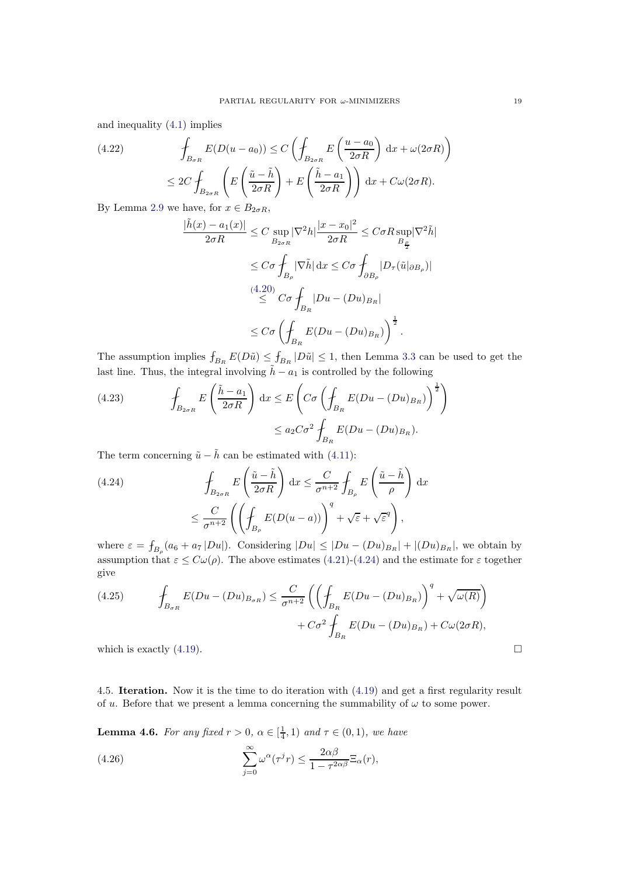and inequality [\(4.1\)](#page-12-4) implies

(4.22) 
$$
\int_{B_{\sigma R}} E(D(u - a_0)) \le C \left( \int_{B_{2\sigma R}} E\left(\frac{u - a_0}{2\sigma R}\right) dx + \omega(2\sigma R) \right)
$$

$$
\le 2C \int_{B_{2\sigma R}} \left( E\left(\frac{\tilde{u} - \tilde{h}}{2\sigma R}\right) + E\left(\frac{\tilde{h} - a_1}{2\sigma R}\right) \right) dx + C\omega(2\sigma R).
$$

By Lemma [2.9](#page-8-4) we have, for  $x \in B_{2\sigma R}$ ,

$$
\frac{|\tilde{h}(x) - a_1(x)|}{2\sigma R} \le C \sup_{B_{2\sigma R}} |\nabla^2 h| \frac{|x - x_0|^2}{2\sigma R} \le C\sigma R \sup_{B_{\frac{\rho}{2}}} |\nabla^2 \tilde{h}|
$$
  

$$
\le C\sigma \int_{B_{\rho}} |\nabla \tilde{h}| dx \le C\sigma \int_{\partial B_{\rho}} |D_{\tau}(\tilde{u}|_{\partial B_{\rho}})|
$$
  

$$
\le C\sigma \int_{B_R} |Du - (Du)_{B_R}|
$$
  

$$
\le C\sigma \left(\int_{B_R} E(Du - (Du)_{B_R})\right)^{\frac{1}{2}}.
$$

The assumption implies  $f_{B_R} E(D\tilde{u}) \le f_{B_R} |D\tilde{u}| \le 1$ , then Lemma [3.3](#page-9-8) can be used to get the last line. Thus, the integral involving  $\tilde{h} - a_1$  is controlled by the following

(4.23) 
$$
\int_{B_{2\sigma R}} E\left(\frac{\tilde{h} - a_1}{2\sigma R}\right) dx \le E\left(C\sigma \left(\int_{B_R} E(Du - (Du)_{B_R})\right)^{\frac{1}{2}}\right) \le a_2 C\sigma^2 \int_{B_R} E(Du - (Du)_{B_R}).
$$

The term concerning  $\tilde{u} - \tilde{h}$  can be estimated with [\(4.11\)](#page-15-6):

<span id="page-18-1"></span>(4.24) 
$$
\oint_{B_{2\sigma R}} E\left(\frac{\tilde{u}-\tilde{h}}{2\sigma R}\right) dx \leq \frac{C}{\sigma^{n+2}} \oint_{B_{\rho}} E\left(\frac{\tilde{u}-\tilde{h}}{\rho}\right) dx
$$

$$
\leq \frac{C}{\sigma^{n+2}} \left(\left(\oint_{B_{\rho}} E(D(u-a))\right)^q + \sqrt{\varepsilon} + \sqrt{\varepsilon}^q\right),
$$

where  $\varepsilon = \int_{B_\rho} (a_6 + a_7 |Du|)$ . Considering  $|Du| \leq |Du - (Du)_{B_R}| + |(Du)_{B_R}|$ , we obtain by assumption that  $\varepsilon \le C\omega(\rho)$ . The above estimates [\(4.21\)](#page-17-2)-[\(4.24\)](#page-18-1) and the estimate for  $\varepsilon$  together give

(4.25) 
$$
\oint_{B_{\sigma R}} E(Du - (Du)_{B_{\sigma R}}) \leq \frac{C}{\sigma^{n+2}} \left( \left( \oint_{B_R} E(Du - (Du)_{B_R}) \right)^q + \sqrt{\omega(R)} \right) + C\sigma^2 \oint_{B_R} E(Du - (Du)_{B_R}) + C\omega(2\sigma R),
$$
 which is exactly (4.19).

<span id="page-18-0"></span>4.5. Iteration. Now it is the time to do iteration with [\(4.19\)](#page-17-0) and get a first regularity result of u. Before that we present a lemma concerning the summability of  $\omega$  to some power.

<span id="page-18-2"></span>**Lemma 4.6.** For any fixed  $r > 0$ ,  $\alpha \in \left[\frac{1}{4}, 1\right)$  and  $\tau \in (0, 1)$ , we have

(4.26) 
$$
\sum_{j=0}^{\infty} \omega^{\alpha} (\tau^{j} r) \leq \frac{2\alpha \beta}{1 - \tau^{2\alpha \beta}} \Xi_{\alpha}(r),
$$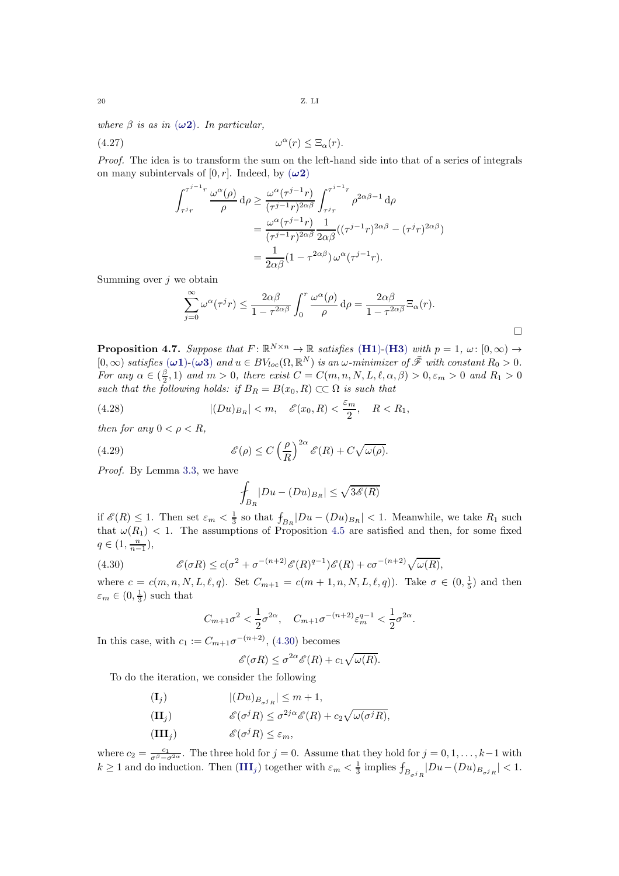where  $\beta$  is as in  $(\omega 2)$ . In particular,

 $\alpha(r) \leq \Xi_{\alpha}(r).$ 

Proof. The idea is to transform the sum on the left-hand side into that of a series of integrals on many subintervals of  $[0, r]$ . Indeed, by  $(\omega 2)$ 

$$
\int_{\tau^j r}^{\tau^{j-1} r} \frac{\omega^{\alpha}(\rho)}{\rho} d\rho \ge \frac{\omega^{\alpha}(\tau^{j-1} r)}{(\tau^{j-1} r)^{2\alpha\beta}} \int_{\tau^j r}^{\tau^{j-1} r} \rho^{2\alpha\beta - 1} d\rho
$$

$$
= \frac{\omega^{\alpha}(\tau^{j-1} r)}{(\tau^{j-1} r)^{2\alpha\beta}} \frac{1}{2\alpha\beta} ((\tau^{j-1} r)^{2\alpha\beta} - (\tau^j r)^{2\alpha\beta})
$$

$$
= \frac{1}{2\alpha\beta} (1 - \tau^{2\alpha\beta}) \omega^{\alpha} (\tau^{j-1} r).
$$

Summing over  $j$  we obtain

$$
\sum_{j=0}^{\infty} \omega^{\alpha} (\tau^{j} r) \leq \frac{2\alpha\beta}{1 - \tau^{2\alpha\beta}} \int_{0}^{r} \frac{\omega^{\alpha}(\rho)}{\rho} d\rho = \frac{2\alpha\beta}{1 - \tau^{2\alpha\beta}} \Xi_{\alpha}(r).
$$

**Proposition 4.7.** Suppose that  $F: \mathbb{R}^{N \times n} \to \mathbb{R}$  satisfies ([H1](#page-2-3))-([H3](#page-2-4)) with  $p = 1$ ,  $\omega: [0, \infty) \to$  $[0, \infty)$  satisfies  $(\omega \mathbf{1})$ - $(\omega \mathbf{3})$  and  $u \in BV_{loc}(\Omega, \mathbb{R}^N)$  is an  $\omega$ -minimizer of  $\bar{\mathscr{F}}$  with constant  $R_0 > 0$ . For any  $\alpha \in (\frac{\beta}{2})$  $\frac{\beta}{2}$ , 1) and  $m > 0$ , there exist  $C = C(m, n, N, L, \ell, \alpha, \beta) > 0, \varepsilon_m > 0$  and  $R_1 > 0$ such that the following holds: if  $B_R = B(x_0, R) \subset\subset \Omega$  is such that

(4.28) 
$$
|(Du)_{B_R}| < m, \quad \mathcal{E}(x_0, R) < \frac{\varepsilon_m}{2}, \quad R < R_1,
$$

then for any  $0 < \rho < R$ ,

(4.29) 
$$
\mathscr{E}(\rho) \le C \left(\frac{\rho}{R}\right)^{2\alpha} \mathscr{E}(R) + C \sqrt{\omega(\rho)}.
$$

Proof. By Lemma [3.3,](#page-9-8) we have

$$
\oint_{B_R} |Du - (Du)_{B_R}| \le \sqrt{3\mathscr{E}(R)}
$$

if  $\mathscr{E}(R) \leq 1$ . Then set  $\varepsilon_m < \frac{1}{3}$  so that  $f_{B_R}|Du - (Du)_{B_R}| < 1$ . Meanwhile, we take  $R_1$  such that  $\omega(R_1)$  < 1. The assumptions of Proposition [4.5](#page-17-3) are satisfied and then, for some fixed  $q \in (1, \frac{n}{n-1}),$ 

(4.30) 
$$
\mathscr{E}(\sigma R) \le c(\sigma^2 + \sigma^{-(n+2)} \mathscr{E}(R)^{q-1}) \mathscr{E}(R) + c\sigma^{-(n+2)} \sqrt{\omega(R)},
$$

where  $c = c(m, n, N, L, \ell, q)$ . Set  $C_{m+1} = c(m+1, n, N, L, \ell, q)$ . Take  $\sigma \in (0, \frac{1}{5})$  and then  $\varepsilon_m \in (0, \frac{1}{3})$  such that

<span id="page-19-0"></span>
$$
C_{m+1}\sigma^2 < \frac{1}{2}\sigma^{2\alpha}, \quad C_{m+1}\sigma^{-(n+2)}\varepsilon_m^{q-1} < \frac{1}{2}\sigma^{2\alpha}
$$

.

In this case, with  $c_1 := C_{m+1}\sigma^{-(n+2)}$ , [\(4.30\)](#page-19-0) becomes

$$
\mathscr{E}(\sigma R) \leq \sigma^{2\alpha} \mathscr{E}(R) + c_1 \sqrt{\omega(R)}.
$$

To do the iteration, we consider the following

<span id="page-19-3"></span><span id="page-19-2"></span><span id="page-19-1"></span> $|(\mathbf{D}u)_{B_{\sigma^j R}}| \leq m+1,$ (II<sub>j</sub>)  $\mathscr{E}(\sigma^j R) \leq \sigma^{2j\alpha} \mathscr{E}(R) + c_2 \sqrt{\omega(\sigma^j R)},$  $\mathscr{E}(\sigma^j R) \leq \varepsilon_m,$ 

where  $c_2 = \frac{c_1}{\sigma^{\beta} - \sigma^{2\alpha}}$ . The three hold for  $j = 0$ . Assume that they hold for  $j = 0, 1, \ldots, k-1$  with  $k \ge 1$  and do induction. Then  $(III_j)$  $(III_j)$  $(III_j)$  together with  $\varepsilon_m < \frac{1}{3}$  implies  $\int_{B_{\sigma j_R}} |Du - (Du)_{B_{\sigma j_R}}| < 1$ .

 $(4.27)$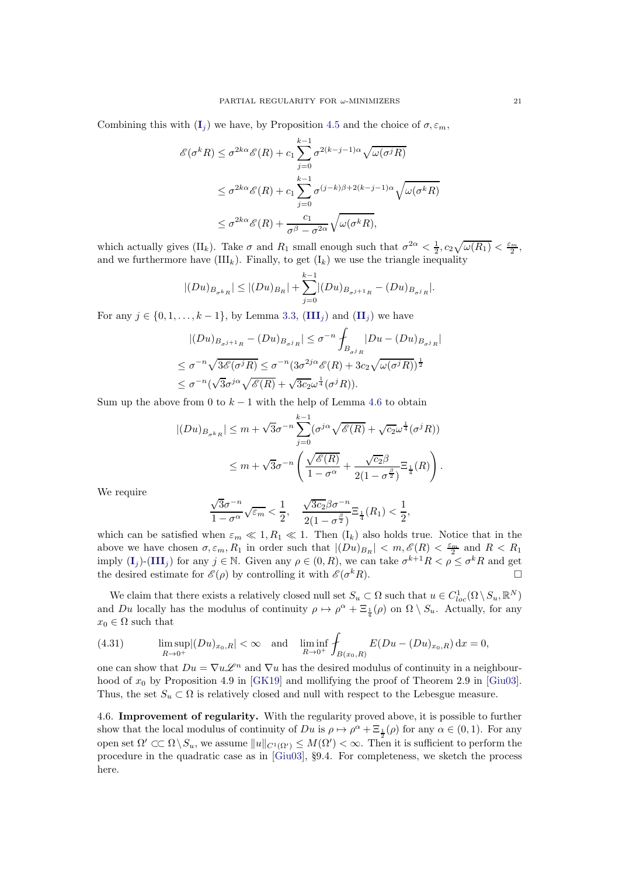Combining this with  $(I_j)$  $(I_j)$  $(I_j)$  we have, by Proposition [4.5](#page-17-3) and the choice of  $\sigma, \varepsilon_m$ ,

$$
\mathcal{E}(\sigma^k R) \leq \sigma^{2k\alpha} \mathcal{E}(R) + c_1 \sum_{j=0}^{k-1} \sigma^{2(k-j-1)\alpha} \sqrt{\omega(\sigma^j R)}
$$
  

$$
\leq \sigma^{2k\alpha} \mathcal{E}(R) + c_1 \sum_{j=0}^{k-1} \sigma^{(j-k)\beta+2(k-j-1)\alpha} \sqrt{\omega(\sigma^k R)}
$$
  

$$
\leq \sigma^{2k\alpha} \mathcal{E}(R) + \frac{c_1}{\sigma^{\beta} - \sigma^{2\alpha}} \sqrt{\omega(\sigma^k R)},
$$

which actually gives (II<sub>k</sub>). Take  $\sigma$  and  $R_1$  small enough such that  $\sigma^{2\alpha} < \frac{1}{2}$ ,  $c_2 \sqrt{\omega(R_1)} < \frac{\varepsilon_m}{2}$ , and we furthermore have  $(III_k)$ . Finally, to get  $(I_k)$  we use the triangle inequality

$$
|(Du)_{B_{\sigma^k R}}| \le |(Du)_{B_R}| + \sum_{j=0}^{k-1} |(Du)_{B_{\sigma^{j+1} R}} - (Du)_{B_{\sigma^j R}}|.
$$

For any  $j \in \{0, 1, \ldots, k-1\}$ , by Lemma [3.3,](#page-9-8)  $(III_i)$  $(III_i)$  $(III_i)$  and  $(II_j)$  $(II_j)$  $(II_j)$  we have

$$
|(Du)_{B_{\sigma^{j+1}R}} - (Du)_{B_{\sigma^{j}R}}| \leq \sigma^{-n} \int_{B_{\sigma^{j}R}} |Du - (Du)_{B_{\sigma^{j}R}}|
$$
  

$$
\leq \sigma^{-n} \sqrt{3\mathscr{E}(\sigma^{j}R)} \leq \sigma^{-n} (3\sigma^{2j\alpha} \mathscr{E}(R) + 3c_2 \sqrt{\omega(\sigma^{j}R)})^{\frac{1}{2}}
$$
  

$$
\leq \sigma^{-n} (\sqrt{3}\sigma^{j\alpha} \sqrt{\mathscr{E}(R)} + \sqrt{3c_2 \omega^{\frac{1}{4}}} (\sigma^{j}R)).
$$

Sum up the above from 0 to  $k-1$  with the help of Lemma [4.6](#page-18-2) to obtain

$$
|(Du)_{B_{\sigma^k R}}| \le m + \sqrt{3}\sigma^{-n} \sum_{j=0}^{k-1} (\sigma^{j\alpha} \sqrt{\mathscr{E}(R)} + \sqrt{c_2} \omega^{\frac{1}{4}} (\sigma^j R))
$$
  

$$
\le m + \sqrt{3}\sigma^{-n} \left( \frac{\sqrt{\mathscr{E}(R)}}{1 - \sigma^{\alpha}} + \frac{\sqrt{c_2} \beta}{2(1 - \sigma^{\frac{\beta}{2}})} \Xi_{\frac{1}{4}}(R) \right).
$$

We require

$$
\frac{\sqrt{3}\sigma^{-n}}{1-\sigma^{\alpha}}\sqrt{\varepsilon_m} < \frac{1}{2}, \quad \frac{\sqrt{3c_2}\beta\sigma^{-n}}{2(1-\sigma^{\frac{\beta}{2}})}\Xi_{\frac{1}{4}}(R_1) < \frac{1}{2},
$$

which can be satisfied when  $\varepsilon_m \ll 1, R_1 \ll 1$ . Then  $(I_k)$  also holds true. Notice that in the above we have chosen  $\sigma, \varepsilon_m, R_1$  in order such that  $|(Du)_{B_R}| < m, \mathscr{E}(R) < \frac{\varepsilon_m}{2}$  and  $R < R_1$ imply  $(I_j)$  $(I_j)$  $(I_j)$ - $(III_j)$  $(III_j)$  $(III_j)$  for any  $j \in \mathbb{N}$ . Given any  $\rho \in (0, R)$ , we can take  $\sigma^{k+1}R < \rho \leq \sigma^k R$  and get the desired estimate for  $\mathscr{E}(\rho)$  by controlling it with  $\mathscr{E}(\sigma^k R)$ .

We claim that there exists a relatively closed null set  $S_u \subset \Omega$  such that  $u \in C^1_{loc}(\Omega \setminus S_u, \mathbb{R}^N)$ and Du locally has the modulus of continuity  $\rho \mapsto \rho^{\alpha} + \Xi_{\frac{1}{4}}(\rho)$  on  $\Omega \setminus S_u$ . Actually, for any  $x_0 \in \Omega$  such that

(4.31) 
$$
\limsup_{R \to 0^+} |(Du)_{x_0,R}| < \infty \text{ and } \liminf_{R \to 0^+} \oint_{B(x_0,R)} E(Du - (Du)_{x_0,R}) dx = 0,
$$

one can show that  $Du = \nabla u \mathcal{L}^n$  and  $\nabla u$  has the desired modulus of continuity in a neighbourhood of  $x_0$  by Proposition 4.9 in [\[GK19\]](#page-32-13) and mollifying the proof of Theorem 2.9 in [\[Giu03\]](#page-32-6). Thus, the set  $S_u \subset \Omega$  is relatively closed and null with respect to the Lebesgue measure.

4.6. Improvement of regularity. With the regularity proved above, it is possible to further show that the local modulus of continuity of  $Du$  is  $\rho \mapsto \rho^{\alpha} + \Xi_{\frac{1}{2}}(\rho)$  for any  $\alpha \in (0,1)$ . For any open set  $\Omega' \subset\subset \Omega \setminus S_u$ , we assume  $||u||_{C^1(\Omega')} \leq M(\Omega') < \infty$ . Then it is sufficient to perform the procedure in the quadratic case as in [\[Giu03\]](#page-32-6), §9.4. For completeness, we sketch the process here.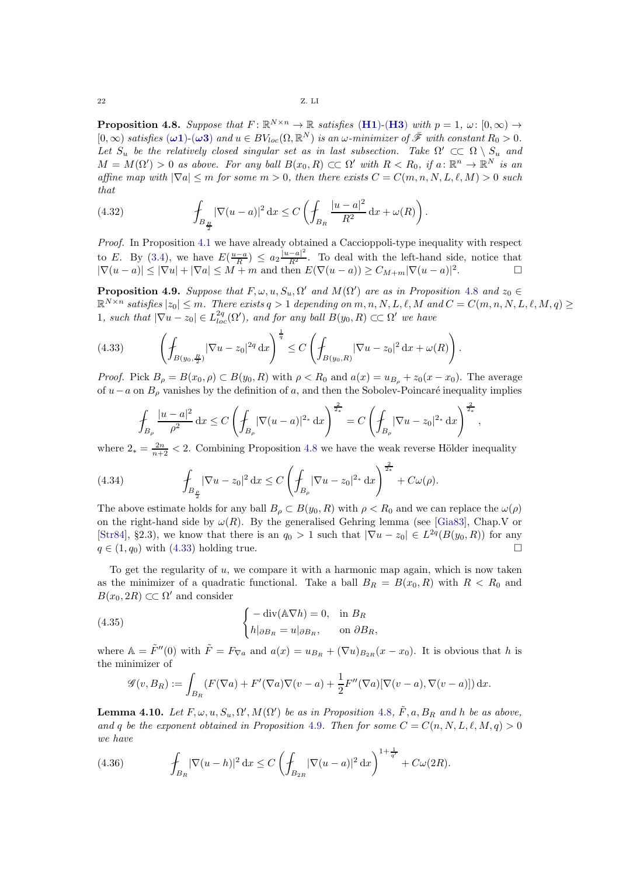<span id="page-21-0"></span>**Proposition 4.8.** Suppose that  $F: \mathbb{R}^{N \times n} \to \mathbb{R}$  satisfies ([H1](#page-2-3))-([H3](#page-2-4)) with  $p = 1$ ,  $\omega: [0, \infty) \to$  $[0,\infty)$  satisfies  $(\omega 1)$ - $(\omega 3)$  and  $u \in BV_{loc}(\Omega,\mathbb{R}^N)$  is an  $\omega$ -minimizer of  $\bar{\mathscr{F}}$  with constant  $R_0 > 0$ . Let  $S_u$  be the relatively closed singular set as in last subsection. Take  $\Omega' \subset\subset \Omega \setminus S_u$  and  $M = M(\Omega') > 0$  as above. For any ball  $B(x_0, R) \subset\subset \Omega'$  with  $R < R_0$ , if  $a: \mathbb{R}^n \to \mathbb{R}^N$  is an affine map with  $|\nabla a| \le m$  for some  $m > 0$ , then there exists  $C = C(m, n, N, L, \ell, M) > 0$  such that

(4.32) 
$$
\int_{B_{\frac{R}{2}}} |\nabla(u-a)|^2 dx \leq C \left( \int_{B_R} \frac{|u-a|^2}{R^2} dx + \omega(R) \right).
$$

Proof. In Proposition [4.1](#page-12-5) we have already obtained a Caccioppoli-type inequality with respect to E. By [\(3.4\)](#page-9-2), we have  $E(\frac{u-a}{R}) \leq a_2 \frac{|u-a|^2}{R^2}$ . To deal with the left-hand side, notice that  $|\nabla(u-a)| \leq |\nabla u| + |\nabla a| \leq M+m$  and then  $E(\nabla(u-a)) \geq C_{M+m} |\nabla(u-a)|^2$ .

<span id="page-21-2"></span>**Proposition 4.9.** Suppose that  $F, \omega, u, S_u, \Omega'$  and  $M(\Omega')$  are as in Proposition [4.8](#page-21-0) and  $z_0 \in \Omega$  $\mathbb{R}^{N \times n}$  satisfies  $|z_0| \leq m$ . There exists  $q > 1$  depending on  $m, n, N, L, \ell, M$  and  $C = C(m, n, N, L, \ell, M, q) \geq$ 1, such that  $|\nabla u - z_0| \in L^{2q}_{loc}(\Omega')$ , and for any ball  $B(y_0, R) \subset\subset \Omega'$  we have

<span id="page-21-1"></span>(4.33) 
$$
\left(\int_{B(y_0,\frac{R}{2})} |\nabla u - z_0|^{2q} dx\right)^{\frac{1}{q}} \le C \left(\int_{B(y_0,R)} |\nabla u - z_0|^2 dx + \omega(R)\right).
$$

*Proof.* Pick  $B_\rho = B(x_0, \rho) \subset B(y_0, R)$  with  $\rho < R_0$  and  $a(x) = u_{B_\rho} + z_0(x - x_0)$ . The average of  $u-a$  on  $B_\rho$  vanishes by the definition of a, and then the Sobolev-Poincaré inequality implies

$$
\int_{B_{\rho}}\frac{|u-a|^2}{\rho^2}\,\mathrm{d}x \leq C\left(\int_{B_{\rho}}|\nabla(u-a)|^{2_*}\,\mathrm{d}x\right)^{\frac{2}{2_*}} = C\left(\int_{B_{\rho}}|\nabla u - z_0|^{2_*}\,\mathrm{d}x\right)^{\frac{2}{2_*}},
$$

where  $2_* = \frac{2n}{n+2} < 2$ . Combining Proposition [4.8](#page-21-0) we have the weak reverse Hölder inequality

(4.34) 
$$
\int_{B_{\frac{\rho}{2}}} |\nabla u - z_0|^2 dx \leq C \left( \int_{B_{\rho}} |\nabla u - z_0|^{2_*} dx \right)^{\frac{2}{2_*}} + C \omega(\rho).
$$

The above estimate holds for any ball  $B_\rho \subset B(y_0, R)$  with  $\rho < R_0$  and we can replace the  $\omega(\rho)$ on the right-hand side by  $\omega(R)$ . By the generalised Gehring lemma (see [\[Gia83\]](#page-32-17), Chap.V or [\[Str84\]](#page-33-8), §2.3), we know that there is an  $q_0 > 1$  such that  $|\nabla u - z_0| \in L^{2q}(B(y_0, R))$  for any  $q \in (1, q_0)$  with [\(4.33\)](#page-21-1) holding true.

To get the regularity of  $u$ , we compare it with a harmonic map again, which is now taken as the minimizer of a quadratic functional. Take a ball  $B_R = B(x_0, R)$  with  $R < R_0$  and  $B(x_0, 2R) \subset\subset \Omega'$  and consider

(4.35) 
$$
\begin{cases} -\operatorname{div}(\mathbb{A}\nabla h) = 0, & \text{in } B_R \\ h|_{\partial B_R} = u|_{\partial B_R}, & \text{on } \partial B_R, \end{cases}
$$

where  $\mathbb{A} = \tilde{F}''(0)$  with  $\tilde{F} = F_{\nabla a}$  and  $a(x) = u_{B_R} + (\nabla u)_{B_{2R}}(x - x_0)$ . It is obvious that h is the minimizer of

<span id="page-21-3"></span>
$$
\mathscr{G}(v, B_R) := \int_{B_R} (F(\nabla a) + F'(\nabla a) \nabla (v - a) + \frac{1}{2} F''(\nabla a) [\nabla (v - a), \nabla (v - a)]) \, dx.
$$

<span id="page-21-4"></span>**Lemma 4.10.** Let  $F, \omega, u, S_u, \Omega', M(\Omega')$  be as in Proposition [4.8](#page-21-0),  $\tilde{F}, a, B_R$  and h be as above, and q be the exponent obtained in Proposition [4.9](#page-21-2). Then for some  $C = C(n, N, L, \ell, M, q) > 0$ we have

<span id="page-21-5"></span>(4.36) 
$$
\int_{B_R} |\nabla(u-h)|^2 dx \leq C \left( \int_{B_{2R}} |\nabla(u-a)|^2 dx \right)^{1+\frac{1}{q'}} + C\omega(2R).
$$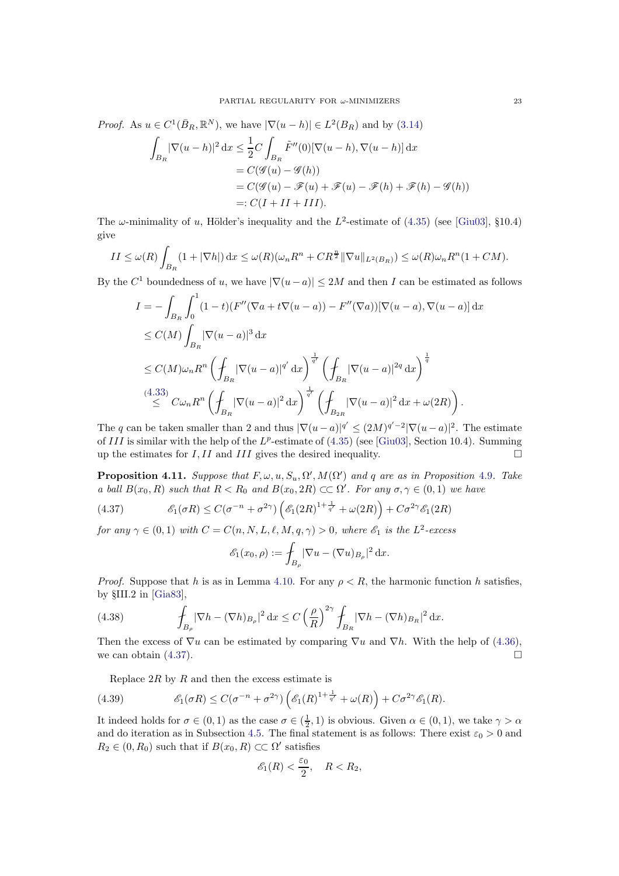of. As 
$$
u \in C^1(\bar{B}_R, \mathbb{R}^N)
$$
, we have  $|\nabla(u - h)| \in L^2(B_R)$  and by (3.14)  
\n
$$
\int_{B_R} |\nabla(u - h)|^2 dx \leq \frac{1}{2}C \int_{B_R} \tilde{F}''(0)[\nabla(u - h), \nabla(u - h)] dx
$$
\n
$$
= C(\mathscr{G}(u) - \mathscr{G}(h))
$$
\n
$$
= C(\mathscr{G}(u) - \mathscr{F}(u) + \mathscr{F}(u) - \mathscr{F}(h) + \mathscr{F}(h) - \mathscr{G}(h))
$$
\n
$$
=: C(I + II + III).
$$

 $Pro$ 

The  $\omega$ -minimality of u, Hölder's inequality and the L<sup>2</sup>-estimate of [\(4.35\)](#page-21-3) (see [\[Giu03\]](#page-32-6), §10.4) give

$$
II \le \omega(R) \int_{B_R} (1 + |\nabla h|) dx \le \omega(R) (\omega_n R^n + C R^{\frac{n}{2}} ||\nabla u||_{L^2(B_R)}) \le \omega(R) \omega_n R^n (1 + CM).
$$

By the  $C^1$  boundedness of u, we have  $|\nabla(u-a)| \leq 2M$  and then I can be estimated as follows

$$
I = -\int_{B_R} \int_0^1 (1-t)(F''(\nabla a + t\nabla (u-a)) - F''(\nabla a))[\nabla (u-a), \nabla (u-a)] \,dx
$$
  
\n
$$
\leq C(M) \int_{B_R} |\nabla (u-a)|^3 \,dx
$$
  
\n
$$
\leq C(M)\omega_n R^n \left( \int_{B_R} |\nabla (u-a)|^{q'} \,dx \right)^{\frac{1}{q'}} \left( \int_{B_R} |\nabla (u-a)|^{2q} \,dx \right)^{\frac{1}{q}}
$$
  
\n
$$
\stackrel{(4.33)}{\leq} C\omega_n R^n \left( \int_{B_R} |\nabla (u-a)|^2 \,dx \right)^{\frac{1}{q'}} \left( \int_{B_{2R}} |\nabla (u-a)|^2 \,dx + \omega(2R) \right).
$$

The q can be taken smaller than 2 and thus  $|\nabla(u-a)|^{q'} \leq (2M)^{q'-2} |\nabla(u-a)|^2$ . The estimate of III is similar with the help of the  $L^p$ -estimate of  $(4.35)$  (see [\[Giu03\]](#page-32-6), Section 10.4). Summing up the estimates for  $I, II$  and  $III$  gives the desired inequality.

**Proposition 4.11.** Suppose that  $F, \omega, u, S_u, \Omega', M(\Omega')$  and q are as in Proposition [4.9](#page-21-2). Take a ball  $B(x_0, R)$  such that  $R < R_0$  and  $B(x_0, 2R) \subset\subset \Omega'$ . For any  $\sigma, \gamma \in (0, 1)$  we have

<span id="page-22-0"></span>(4.37) 
$$
\mathcal{E}_1(\sigma R) \leq C(\sigma^{-n} + \sigma^{2\gamma}) \left( \mathcal{E}_1(2R)^{1 + \frac{1}{q'}} + \omega(2R) \right) + C\sigma^{2\gamma} \mathcal{E}_1(2R)
$$

for any  $\gamma \in (0,1)$  with  $C = C(n, N, L, \ell, M, q, \gamma) > 0$ , where  $\mathscr{E}_1$  is the  $L^2$ -excess

$$
\mathscr{E}_1(x_0,\rho) := \int_{B_\rho} |\nabla u - (\nabla u)_{B_\rho}|^2 \, \mathrm{d}x.
$$

*Proof.* Suppose that h is as in Lemma [4.10.](#page-21-4) For any  $\rho < R$ , the harmonic function h satisfies, by §III.2 in [\[Gia83\]](#page-32-17),

(4.38) 
$$
\int_{B_{\rho}} |\nabla h - (\nabla h)_{B_{\rho}}|^2 dx \le C \left(\frac{\rho}{R}\right)^{2\gamma} \int_{B_R} |\nabla h - (\nabla h)_{B_R}|^2 dx.
$$

Then the excess of  $\nabla u$  can be estimated by comparing  $\nabla u$  and  $\nabla h$ . With the help of [\(4.36\)](#page-21-5), we can obtain (4.37). we can obtain [\(4.37\)](#page-22-0).

Replace  $2R$  by R and then the excess estimate is

(4.39) 
$$
\mathcal{E}_1(\sigma R) \leq C(\sigma^{-n} + \sigma^{2\gamma}) \left( \mathcal{E}_1(R)^{1 + \frac{1}{q'}} + \omega(R) \right) + C\sigma^{2\gamma} \mathcal{E}_1(R).
$$

It indeed holds for  $\sigma \in (0,1)$  as the case  $\sigma \in (\frac{1}{2},1)$  is obvious. Given  $\alpha \in (0,1)$ , we take  $\gamma > \alpha$ and do iteration as in Subsection [4.5.](#page-18-0) The final statement is as follows: There exist  $\varepsilon_0 > 0$  and  $R_2 \in (0, R_0)$  such that if  $B(x_0, R) \subset\subset \Omega'$  satisfies

$$
\mathscr{E}_1(R) < \frac{\varepsilon_0}{2}, \quad R < R_2,
$$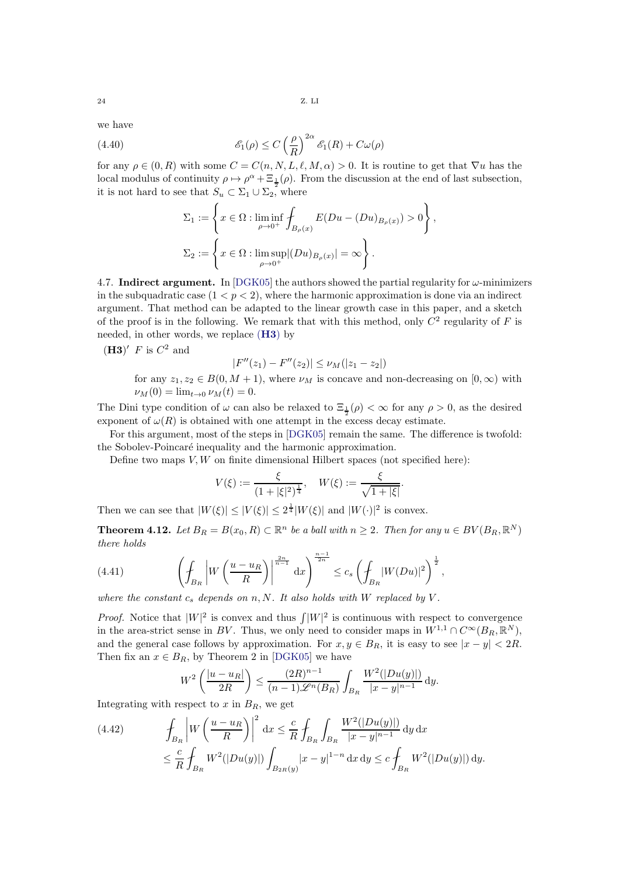we have

(4.40) 
$$
\mathscr{E}_1(\rho) \le C \left(\frac{\rho}{R}\right)^{2\alpha} \mathscr{E}_1(R) + C\omega(\rho)
$$

for any  $\rho \in (0, R)$  with some  $C = C(n, N, L, \ell, M, \alpha) > 0$ . It is routine to get that  $\nabla u$  has the local modulus of continuity  $\rho \mapsto \rho^{\alpha} + \Xi_{\frac{1}{2}}(\rho)$ . From the discussion at the end of last subsection, it is not hard to see that  $S_u \subset \Sigma_1 \cup \Sigma_2$ , where

$$
\Sigma_1 := \left\{ x \in \Omega : \liminf_{\rho \to 0^+} \int_{B_{\rho}(x)} E(Du - (Du)_{B_{\rho}(x)}) > 0 \right\},\
$$
  

$$
\Sigma_2 := \left\{ x \in \Omega : \limsup_{\rho \to 0^+} |(Du)_{B_{\rho}(x)}| = \infty \right\}.
$$

<span id="page-23-0"></span>4.7. Indirect argument. In [\[DGK05\]](#page-31-7) the authors showed the partial regularity for  $\omega$ -minimizers in the subquadratic case  $(1 < p < 2)$ , where the harmonic approximation is done via an indirect argument. That method can be adapted to the linear growth case in this paper, and a sketch of the proof is in the following. We remark that with this method, only  $C^2$  regularity of F is needed, in other words, we replace ([H3](#page-2-4)) by

<span id="page-23-2"></span> $(H3)'$  F is  $C^2$  and

$$
|F''(z_1) - F''(z_2)| \le \nu_M(|z_1 - z_2|)
$$

for any  $z_1, z_2 \in B(0, M + 1)$ , where  $\nu_M$  is concave and non-decreasing on  $[0, \infty)$  with  $\nu_M(0) = \lim_{t \to 0} \nu_M(t) = 0.$ 

The Dini type condition of  $\omega$  can also be relaxed to  $\Xi_{\frac{1}{2}}(\rho) < \infty$  for any  $\rho > 0$ , as the desired exponent of  $\omega(R)$  is obtained with one attempt in the excess decay estimate.

For this argument, most of the steps in [\[DGK05\]](#page-31-7) remain the same. The difference is twofold: the Sobolev-Poincaré inequality and the harmonic approximation.

Define two maps  $V, W$  on finite dimensional Hilbert spaces (not specified here):

$$
V(\xi) := \frac{\xi}{(1+|\xi|^2)^{\frac{1}{4}}}, \quad W(\xi) := \frac{\xi}{\sqrt{1+|\xi|}}.
$$

Then we can see that  $|W(\xi)| \leq |V(\xi)| \leq 2^{\frac{1}{4}}|W(\xi)|$  and  $|W(\cdot)|^2$  is convex.

**Theorem 4.12.** Let  $B_R = B(x_0, R) \subset \mathbb{R}^n$  be a ball with  $n \geq 2$ . Then for any  $u \in BV(B_R, \mathbb{R}^N)$ there holds

(4.41) 
$$
\left(\frac{f}{B_R}\left|W\left(\frac{u-u_R}{R}\right)\right|^{\frac{2n}{n-1}}\mathrm{d}x\right)^{\frac{n-1}{2n}} \le c_s \left(\frac{f}{B_R}|W(Du)|^2\right)^{\frac{1}{2}},
$$

where the constant  $c_s$  depends on n, N. It also holds with W replaced by V.

*Proof.* Notice that  $|W|^2$  is convex and thus  $\int |W|^2$  is continuous with respect to convergence in the area-strict sense in BV. Thus, we only need to consider maps in  $W^{1,1} \cap C^{\infty}(B_R, \mathbb{R}^N)$ , and the general case follows by approximation. For  $x, y \in B_R$ , it is easy to see  $|x - y| < 2R$ . Then fix an  $x \in B_R$ , by Theorem 2 in [\[DGK05\]](#page-31-7) we have

$$
W^{2}\left(\frac{|u-u_{R}|}{2R}\right) \leq \frac{(2R)^{n-1}}{(n-1)\mathscr{L}^{n}(B_{R})} \int_{B_{R}} \frac{W^{2}(|Du(y)|)}{|x-y|^{n-1}} dy.
$$

Integrating with respect to  $x$  in  $B_R$ , we get

<span id="page-23-1"></span>(4.42) 
$$
\int_{B_R} \left| W\left(\frac{u - u_R}{R}\right) \right|^2 dx \leq \frac{c}{R} \int_{B_R} \int_{B_R} \frac{W^2(|Du(y)|)}{|x - y|^{n-1}} dy dx
$$
  

$$
\leq \frac{c}{R} \int_{B_R} W^2(|Du(y)|) \int_{B_{2R}(y)} |x - y|^{1 - n} dx dy \leq c \int_{B_R} W^2(|Du(y)|) dy.
$$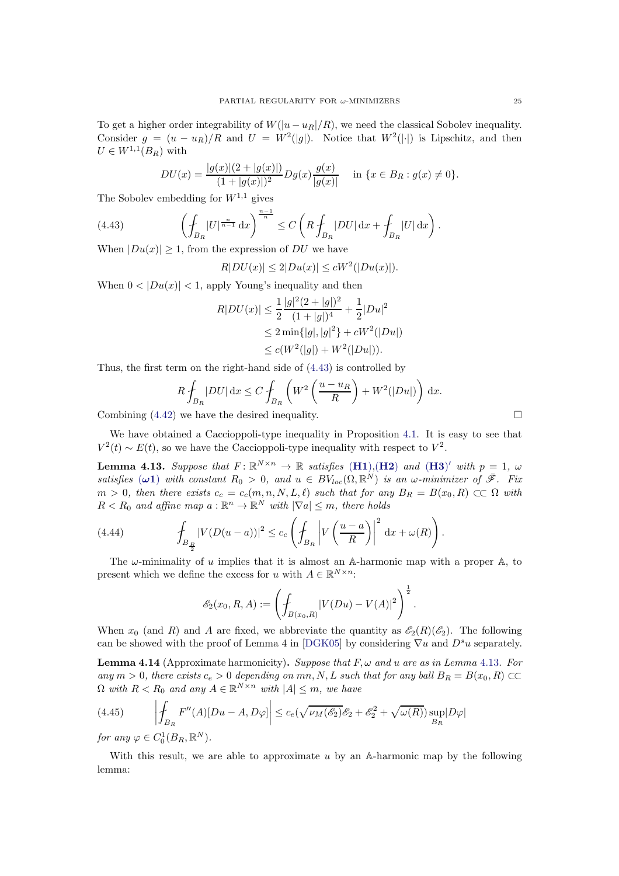To get a higher order integrability of  $W(|u - u_R|/R)$ , we need the classical Sobolev inequality. Consider  $g = (u - u_R)/R$  and  $U = W^2(|g|)$ . Notice that  $W^2(|\cdot|)$  is Lipschitz, and then  $U \in W^{1,1}(B_R)$  with

<span id="page-24-0"></span>
$$
DU(x) = \frac{|g(x)|(2 + |g(x)|)}{(1 + |g(x)|)^2} Dg(x) \frac{g(x)}{|g(x)|} \quad \text{in } \{x \in B_R : g(x) \neq 0\}.
$$

The Sobolev embedding for  $W^{1,1}$  gives

(4.43) 
$$
\left(\oint_{B_R} |U|^{\frac{n}{n-1}} dx\right)^{\frac{n-1}{n}} \leq C\left(R\oint_{B_R} |DU| dx + \oint_{B_R} |U| dx\right).
$$

When  $|Du(x)| \geq 1$ , from the expression of DU we have

$$
R|DU(x)| \le 2|Du(x)| \le cW^2(|Du(x)|).
$$

When  $0 < |Du(x)| < 1$ , apply Young's inequality and then

$$
R|DU(x)| \le \frac{1}{2} \frac{|g|^2 (2+|g|)^2}{(1+|g|)^4} + \frac{1}{2} |Du|^2
$$
  
\n
$$
\le 2 \min\{|g|, |g|^2\} + cW^2(|Du|)
$$
  
\n
$$
\le c(W^2(|g|) + W^2(|Du|)).
$$

Thus, the first term on the right-hand side of [\(4.43\)](#page-24-0) is controlled by

$$
R\oint_{B_R} |DU| \,dx \le C\oint_{B_R} \left( W^2 \left( \frac{u - u_R}{R} \right) + W^2 (|Du|) \right) \,dx.
$$

Combining  $(4.42)$  we have the desired inequality.  $\Box$ 

We have obtained a Caccioppoli-type inequality in Proposition [4.1.](#page-12-5) It is easy to see that  $V^2(t) \sim E(t)$ , so we have the Caccioppoli-type inequality with respect to  $V^2$ .

<span id="page-24-1"></span>**Lemma 4.13.** Suppose that  $F: \mathbb{R}^{N \times n} \to \mathbb{R}$  satisfies  $(H1),(H2)$  $(H1),(H2)$  $(H1),(H2)$  $(H1),(H2)$  $(H1),(H2)$  and  $(H3)'$  $(H3)'$  $(H3)'$  with  $p = 1, \omega$ satisfies  $(\omega 1)$  with constant  $R_0 > 0$ , and  $u \in BV_{loc}(\Omega, \mathbb{R}^N)$  is an  $\omega$ -minimizer of  $\bar{\mathscr{F}}$ . Fix  $m > 0$ , then there exists  $c_c = c_c(m, n, N, L, \ell)$  such that for any  $B_R = B(x_0, R) \subset\subset \Omega$  with  $R < R_0$  and affine map  $a : \mathbb{R}^n \to \mathbb{R}^N$  with  $|\nabla a| \leq m$ , there holds

(4.44) 
$$
\int_{B_{\frac{R}{2}}} |V(D(u-a))|^2 \leq c_c \left( \int_{B_R} \left| V\left(\frac{u-a}{R}\right) \right|^2 dx + \omega(R) \right).
$$

The  $\omega$ -minimality of u implies that it is almost an A-harmonic map with a proper A, to present which we define the excess for u with  $A \in \mathbb{R}^{N \times n}$ :

$$
\mathscr{E}_2(x_0, R, A) := \left( \mathcal{F}_{B(x_0, R)} |V(Du) - V(A)|^2 \right)^{\frac{1}{2}}.
$$

When  $x_0$  (and R) and A are fixed, we abbreviate the quantity as  $\mathscr{E}_2(R)(\mathscr{E}_2)$ . The following can be showed with the proof of Lemma 4 in [\[DGK05\]](#page-31-7) by considering  $\nabla u$  and  $D^s u$  separately.

**Lemma 4.14** (Approximate harmonicity). Suppose that  $F, \omega$  and u are as in Lemma [4.13](#page-24-1). For any  $m > 0$ , there exists  $c_e > 0$  depending on  $mn, N, L$  such that for any ball  $B_R = B(x_0, R) \subset\subset$  $\Omega$  with  $R < R_0$  and any  $A \in \mathbb{R}^{N \times n}$  with  $|A| \leq m$ , we have

$$
(4.45) \qquad \left| \oint_{B_R} F''(A)[Du - A, D\varphi] \right| \le c_e \left( \sqrt{\nu_M(\mathscr{E}_2)} \mathscr{E}_2 + \mathscr{E}_2^2 + \sqrt{\omega(R)} \right) \sup_{B_R} |D\varphi|
$$

for any  $\varphi \in C_0^1(B_R, \mathbb{R}^N)$ .

With this result, we are able to approximate  $u$  by an A-harmonic map by the following lemma: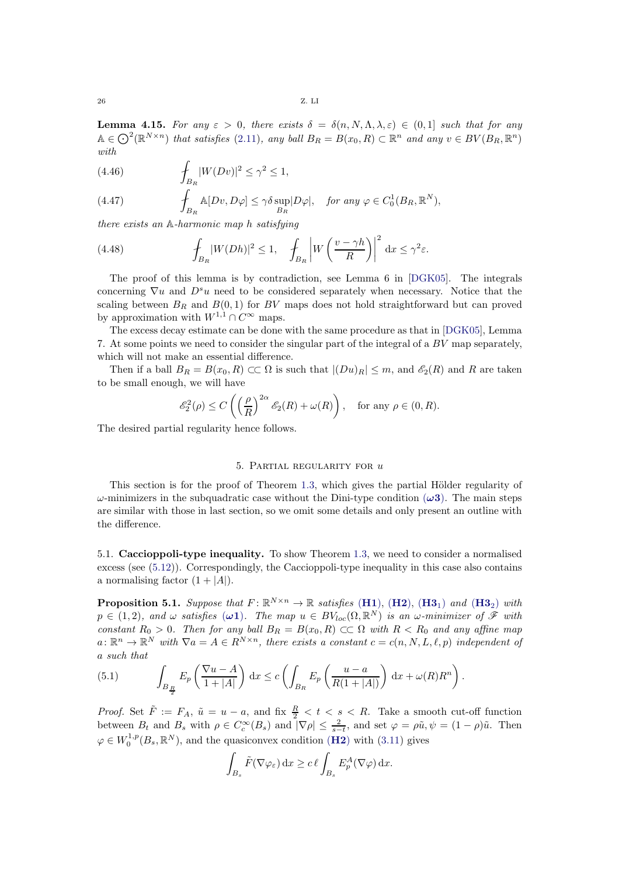**Lemma 4.15.** For any  $\varepsilon > 0$ , there exists  $\delta = \delta(n, N, \Lambda, \lambda, \varepsilon) \in (0, 1]$  such that for any  $\mathbb{A} \in \bigodot^2(\mathbb{R}^{N \times n})$  that satisfies [\(2.11\)](#page-8-1), any ball  $B_R = B(x_0, R) \subset \mathbb{R}^n$  and any  $v \in BV(B_R, \mathbb{R}^n)$ with

(4.46) 
$$
\qquad \qquad \int_{B_R} |W(Dv)|^2 \leq \gamma^2 \leq 1,
$$

(4.47) 
$$
\int_{B_R} \mathbb{A}[Dv, D\varphi] \leq \gamma \delta \sup_{B_R} |D\varphi|, \quad \text{for any } \varphi \in C_0^1(B_R, \mathbb{R}^N),
$$

there exists an A-harmonic map h satisfying

(4.48) 
$$
\int_{B_R} |W(Dh)|^2 \le 1, \quad \int_{B_R} \left| W\left(\frac{v - \gamma h}{R}\right) \right|^2 dx \le \gamma^2 \varepsilon.
$$

The proof of this lemma is by contradiction, see Lemma 6 in [\[DGK05\]](#page-31-7). The integrals concerning  $\nabla u$  and  $D^s u$  need to be considered separately when necessary. Notice that the scaling between  $B_R$  and  $B(0, 1)$  for BV maps does not hold straightforward but can proved by approximation with  $W^{1,1} \cap C^{\infty}$  maps.

The excess decay estimate can be done with the same procedure as that in [\[DGK05\]](#page-31-7), Lemma 7. At some points we need to consider the singular part of the integral of a BV map separately, which will not make an essential difference.

Then if a ball  $B_R = B(x_0, R) \subset\subset \Omega$  is such that  $|(Du)_R| \leq m$ , and  $\mathscr{E}_2(R)$  and R are taken to be small enough, we will have

$$
\mathcal{E}_2^2(\rho) \le C\left(\left(\frac{\rho}{R}\right)^{2\alpha} \mathcal{E}_2(R) + \omega(R)\right), \quad \text{for any } \rho \in (0, R).
$$

<span id="page-25-0"></span>The desired partial regularity hence follows.

## 5. Partial regularity for u

This section is for the proof of Theorem [1.3,](#page-2-1) which gives the partial Hölder regularity of  $\omega$ -minimizers in the subquadratic case without the Dini-type condition  $(\omega 3)$ . The main steps are similar with those in last section, so we omit some details and only present an outline with the difference.

5.1. Caccioppoli-type inequality. To show Theorem [1.3,](#page-2-1) we need to consider a normalised excess (see [\(5.12\)](#page-27-0)). Correspondingly, the Caccioppoli-type inequality in this case also contains a normalising factor  $(1+|A|)$ .

**Proposition 5.1.** Suppose that  $F: \mathbb{R}^{N \times n} \to \mathbb{R}$  satisfies  $(H1)$  $(H1)$  $(H1)$ ,  $(H2)$  $(H2)$  $(H2)$ ,  $(H3_1)$  $(H3_1)$  $(H3_1)$  and  $(H3_2)$  with  $p \in (1, 2)$ , and  $\omega$  satisfies  $(\omega \mathbf{1})$ . The map  $u \in BV_{loc}(\Omega, \mathbb{R}^N)$  is an  $\omega$ -minimizer of  $\mathscr F$  with constant  $R_0 > 0$ . Then for any ball  $B_R = B(x_0, R) \subset\subset \Omega$  with  $R < R_0$  and any affine map  $a: \mathbb{R}^n \to \mathbb{R}^N$  with  $\nabla a = A \in R^{N \times n}$ , there exists a constant  $c = c(n, N, L, \ell, p)$  independent of a such that

.

<span id="page-25-1"></span>(5.1) 
$$
\int_{B_{\frac{R}{2}}} E_p\left(\frac{\nabla u - A}{1 + |A|}\right) dx \le c \left( \int_{B_R} E_p\left(\frac{u - a}{R(1 + |A|)}\right) dx + \omega(R)R^n \right)
$$

*Proof.* Set  $\tilde{F} := F_A$ ,  $\tilde{u} = u - a$ , and fix  $\frac{R}{2} < t < s < R$ . Take a smooth cut-off function between  $B_t$  and  $B_s$  with  $\rho \in C_c^{\infty}(B_s)$  and  $|\nabla \rho| \leq \frac{2}{s-t}$ , and set  $\varphi = \rho \tilde{u}, \psi = (1 - \rho)\tilde{u}$ . Then  $\varphi \in W_0^{1,p}(B_s, \mathbb{R}^N)$ , and the quasiconvex condition (**[H2](#page-2-5)**) with [\(3.11\)](#page-10-0) gives

$$
\int_{B_s} \tilde{F}(\nabla \varphi_{\varepsilon}) \, \mathrm{d}x \ge c \, \ell \int_{B_s} E_p^A(\nabla \varphi) \, \mathrm{d}x.
$$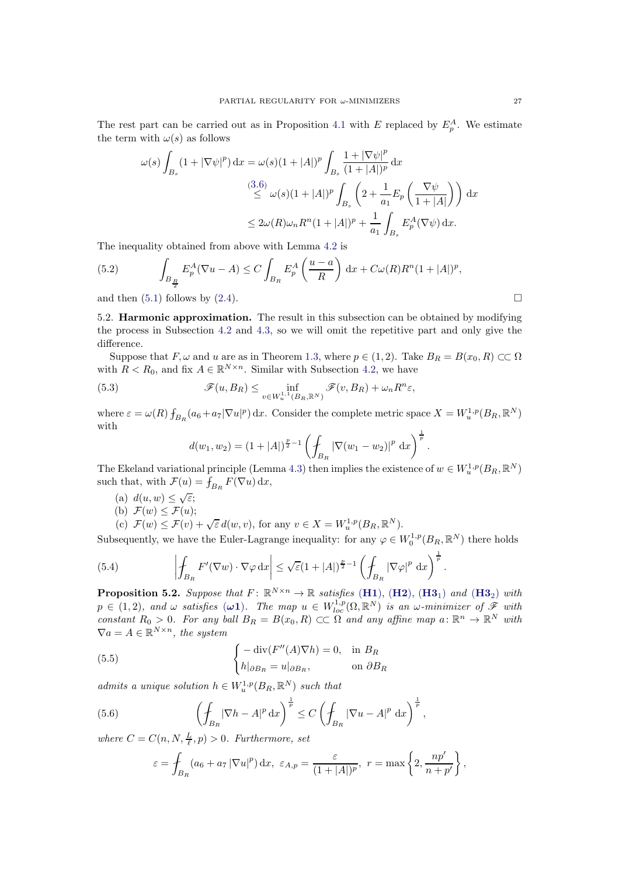The rest part can be carried out as in Proposition [4.1](#page-12-5) with E replaced by  $E_p^A$ . We estimate the term with  $\omega(s)$  as follows

$$
\omega(s) \int_{B_s} (1 + |\nabla \psi|^p) dx = \omega(s)(1 + |A|)^p \int_{B_s} \frac{1 + |\nabla \psi|^p}{(1 + |A|)^p} dx
$$
  

$$
\leq \omega(s)(1 + |A|)^p \int_{B_s} \left(2 + \frac{1}{a_1} E_p \left(\frac{\nabla \psi}{1 + |A|}\right)\right) dx
$$
  

$$
\leq 2\omega(R)\omega_n R^n (1 + |A|)^p + \frac{1}{a_1} \int_{B_s} E_p^A(\nabla \psi) dx.
$$

The inequality obtained from above with Lemma [4.2](#page-13-0) is

(5.2) 
$$
\int_{B_{\frac{R}{2}}} E_p^A(\nabla u - A) \leq C \int_{B_R} E_p^A\left(\frac{u-a}{R}\right) dx + C\omega(R)R^n(1+|A|)^p,
$$

and then  $(5.1)$  follows by  $(2.4)$ .

5.2. Harmonic approximation. The result in this subsection can be obtained by modifying the process in Subsection [4.2](#page-13-1) and [4.3,](#page-15-0) so we will omit the repetitive part and only give the difference.

Suppose that  $F, \omega$  and u are as in Theorem [1.3,](#page-2-1) where  $p \in (1, 2)$ . Take  $B_R = B(x_0, R) \subset\subset \Omega$ with  $R < R_0$ , and fix  $A \in \mathbb{R}^{N \times n}$ . Similar with Subsection [4.2,](#page-13-1) we have

(5.3) 
$$
\mathscr{F}(u, B_R) \leq \inf_{v \in W_u^{1,1}(B_R, \mathbb{R}^N)} \mathscr{F}(v, B_R) + \omega_n R^n \varepsilon,
$$

where  $\varepsilon = \omega(R) f_{B_R}(a_6 + a_7 |\nabla u|^p) dx$ . Consider the complete metric space  $X = W_u^{1,p}(B_R, \mathbb{R}^N)$ with

$$
d(w_1, w_2) = (1 + |A|)^{\frac{p}{2} - 1} \left( \oint_{B_R} |\nabla (w_1 - w_2)|^p \, dx \right)^{\frac{1}{p}}.
$$

The Ekeland variational principle (Lemma [4.3\)](#page-14-2) then implies the existence of  $w \in W_u^{1,p}(B_R, \mathbb{R}^N)$ such that, with  $\mathcal{F}(u) = \int_{B_R} F(\nabla u) \, dx$ ,

- <span id="page-26-3"></span>(a)  $d(u, w) \leq \sqrt{\varepsilon}$ ;
- (b)  $\mathcal{F}(w) \leq \mathcal{F}(u);$

<span id="page-26-2"></span>(c)  $\mathcal{F}(w) \leq \mathcal{F}(v) + \sqrt{\varepsilon} d(w, v)$ , for any  $v \in X = W_u^{1, p}(B_R, \mathbb{R}^N)$ .

Subsequently, we have the Euler-Lagrange inequality: for any  $\varphi \in W_0^{1,p}(B_R, \mathbb{R}^N)$  there holds

.

(5.4) 
$$
\left| \oint_{B_R} F'(\nabla w) \cdot \nabla \varphi \,dx \right| \leq \sqrt{\varepsilon} (1+|A|)^{\frac{p}{2}-1} \left( \oint_{B_R} |\nabla \varphi|^p \,dx \right)^{\frac{1}{p}}
$$

<span id="page-26-4"></span>**Proposition 5.2.** Suppose that  $F: \mathbb{R}^{N \times n} \to \mathbb{R}$  satisfies  $(H1)$  $(H1)$  $(H1)$ ,  $(H2)$  $(H2)$  $(H2)$ ,  $(H3_1)$  $(H3_1)$  $(H3_1)$  and  $(H3_2)$  with  $p \in (1, 2)$ , and  $\omega$  satisfies  $(\omega \mathbf{1})$ . The map  $u \in W^{1,p}_{loc}(\Omega, \mathbb{R}^N)$  is an  $\omega$ -minimizer of  $\hat{\mathscr{F}}$  with constant  $R_0 > 0$ . For any ball  $B_R = B(x_0, R) \subset\subset \Omega$  and any affine map  $a: \mathbb{R}^n \to \mathbb{R}^N$  with  $\nabla a = A \in \mathbb{R}^{N \times n}$ , the system

(5.5) 
$$
\begin{cases} -\operatorname{div}(F''(A)\nabla h) = 0, & \text{in } B_R \\ h|_{\partial B_R} = u|_{\partial B_R}, & \text{on } \partial B_R \end{cases}
$$

admits a unique solution  $h \in W_u^{1,p}(B_R, \mathbb{R}^N)$  such that

(5.6) 
$$
\left(\oint_{B_R} |\nabla h - A|^p \,dx\right)^{\frac{1}{p}} \leq C \left(\oint_{B_R} |\nabla u - A|^p \,dx\right)^{\frac{1}{p}},
$$

where  $C = C(n, N, \frac{L}{\ell}, p) > 0$ . Furthermore, set

<span id="page-26-1"></span><span id="page-26-0"></span>
$$
\varepsilon = \int_{B_R} (a_6 + a_7 |\nabla u|^p) dx, \ \varepsilon_{A,p} = \frac{\varepsilon}{(1+|A|)^p}, \ r = \max\left\{2, \frac{np'}{n+p'}\right\},\
$$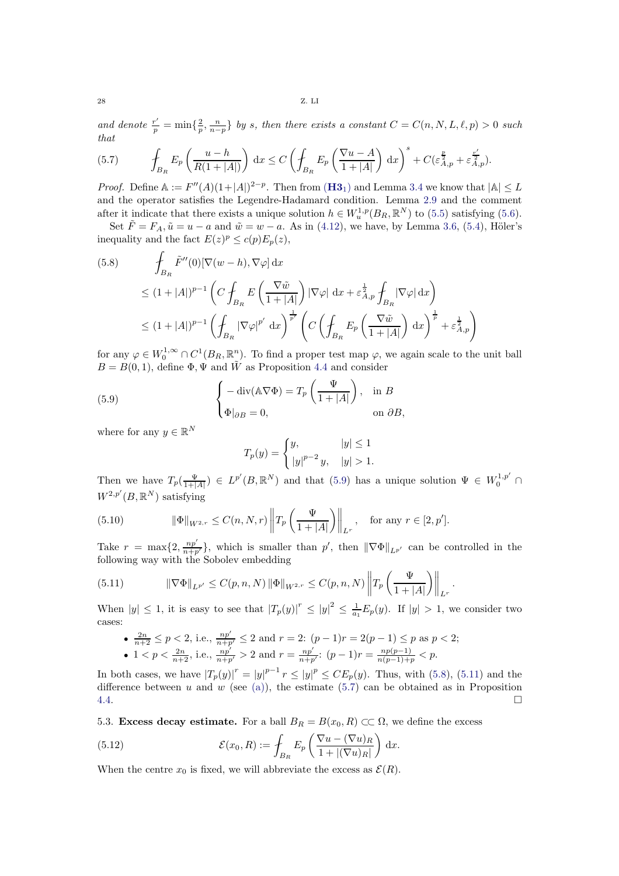and denote  $\frac{r'}{p} = \min\{\frac{2}{p},\frac{n}{n-p}\}\$  by s, then there exists a constant  $C = C(n, N, L, \ell, p) > 0$  such that

<span id="page-27-4"></span>(5.7) 
$$
\oint_{B_R} E_p \left( \frac{u-h}{R(1+|A|)} \right) dx \leq C \left( \oint_{B_R} E_p \left( \frac{\nabla u-A}{1+|A|} \right) dx \right)^s + C(\varepsilon_{A,p}^{\frac{p}{2}} + \varepsilon_{A,p}^{\frac{r'}{2}}).
$$

*Proof.* Define  $\mathbb{A} := F''(A)(1+|A|)^{2-p}$ . Then from  $(H3_1)$  $(H3_1)$  $(H3_1)$  and Lemma [3.4](#page-10-8) we know that  $|\mathbb{A}| \leq L$ and the operator satisfies the Legendre-Hadamard condition. Lemma [2.9](#page-8-4) and the comment after it indicate that there exists a unique solution  $h \in W_u^{1,p}(B_R, \mathbb{R}^N)$  to [\(5.5\)](#page-26-0) satisfying [\(5.6\)](#page-26-1).

Set  $\tilde{F} = F_A$ ,  $\tilde{u} = u - a$  and  $\tilde{w} = w - a$ . As in [\(4.12\)](#page-15-5), we have, by Lemma [3.6,](#page-10-7) [\(5.4\)](#page-26-2), Höler's inequality and the fact  $E(z)^p \le c(p)E_p(z)$ ,

<span id="page-27-2"></span>
$$
(5.8) \qquad \int_{B_R} \tilde{F}''(0) [\nabla(w-h), \nabla \varphi] dx
$$
  
\n
$$
\leq (1+|A|)^{p-1} \left( C \int_{B_R} E\left(\frac{\nabla \tilde{w}}{1+|A|}\right) |\nabla \varphi| dx + \varepsilon_{A,p}^{\frac{1}{2}} \int_{B_R} |\nabla \varphi| dx \right)
$$
  
\n
$$
\leq (1+|A|)^{p-1} \left( \int_{B_R} |\nabla \varphi|^{p'} dx \right)^{\frac{1}{p'}} \left( C \left( \int_{B_R} E_p \left(\frac{\nabla \tilde{w}}{1+|A|}\right) dx \right)^{\frac{1}{p}} + \varepsilon_{A,p}^{\frac{1}{2}} \right)
$$

for any  $\varphi \in W_0^{1,\infty} \cap C^1(B_R,\mathbb{R}^n)$ . To find a proper test map  $\varphi$ , we again scale to the unit ball  $B = B(0, 1)$ , define  $\Phi$ ,  $\Psi$  and  $\tilde{W}$  as Proposition [4.4](#page-15-7) and consider

(5.9) 
$$
\begin{cases} -\operatorname{div}(\mathbb{A}\nabla\Phi) = T_p\left(\frac{\Psi}{1+|A|}\right), & \text{in } B\\ \Phi|_{\partial B} = 0, & \text{on } \partial B, \end{cases}
$$

where for any  $y \in \mathbb{R}^N$ 

<span id="page-27-1"></span>
$$
T_p(y) = \begin{cases} y, & |y| \le 1 \\ |y|^{p-2} y, & |y| > 1. \end{cases}
$$

Then we have  $T_p(\frac{\Psi}{1+|A|}) \in L^{p'}(B,\mathbb{R}^N)$  and that [\(5.9\)](#page-27-1) has a unique solution  $\Psi \in W_0^{1,p'}$  $0^{\prime\prime}$   $\prime$   $\prime$  $W^{2,p'}(B,\mathbb{R}^N)$  satisfying

(5.10) 
$$
\|\Phi\|_{W^{2,r}} \le C(n, N, r) \left\| T_p\left(\frac{\Psi}{1+|A|}\right) \right\|_{L^r}, \text{ for any } r \in [2, p'].
$$

Take  $r = \max\{2, \frac{np'}{n+p'}\}$ , which is smaller than  $p'$ , then  $\|\nabla \Phi\|_{L^{p'}}$  can be controlled in the following way with the Sobolev embedding

.

<span id="page-27-3"></span>(5.11) 
$$
\|\nabla \Phi\|_{L^{p'}} \leq C(p, n, N) \|\Phi\|_{W^{2,r}} \leq C(p, n, N) \left\|T_p\left(\frac{\Psi}{1+|A|}\right)\right\|_{L^r}
$$

When  $|y| \leq 1$ , it is easy to see that  $|T_p(y)|^r \leq |y|^2 \leq \frac{1}{a_1} E_p(y)$ . If  $|y| > 1$ , we consider two cases:

- $\frac{2n}{n+2} \le p < 2$ , i.e.,  $\frac{np'}{n+p'} \le 2$  and  $r = 2$ :  $(p-1)r = 2(p-1) \le p$  as  $p < 2$ ;
- $1 < p < \frac{2n}{n+2}$ , i.e.,  $\frac{np'}{n+p'} > 2$  and  $r = \frac{np'}{n+p'}$  $\frac{np'}{n+p'}$ :  $(p-1)r = \frac{np(p-1)}{n(p-1)+p} < p$ .

In both cases, we have  $|T_p(y)|^r = |y|^{p-1} r \le |y|^p \le C E_p(y)$ . Thus, with [\(5.8\)](#page-27-2), [\(5.11\)](#page-27-3) and the difference between u and w (see [\(a\)\)](#page-26-3), the estimate  $(5.7)$  can be obtained as in Proposition  $4.4.$ 

5.3. Excess decay estimate. For a ball  $B_R = B(x_0, R) \subset\subset \Omega$ , we define the excess

<span id="page-27-0"></span>(5.12) 
$$
\mathcal{E}(x_0, R) := \int_{B_R} E_p \left( \frac{\nabla u - (\nabla u)_R}{1 + |(\nabla u)_R|} \right) dx.
$$

When the centre  $x_0$  is fixed, we will abbreviate the excess as  $\mathcal{E}(R)$ .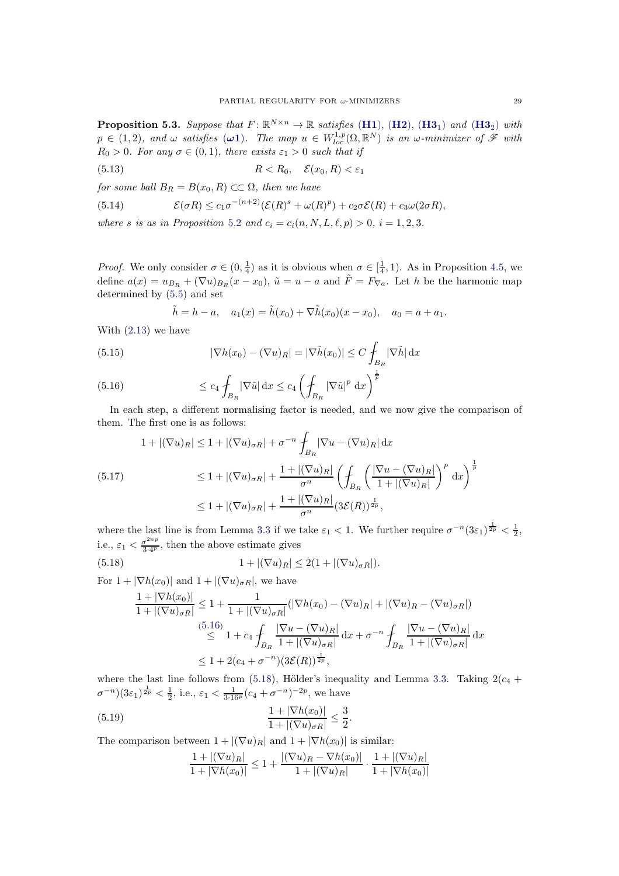<span id="page-28-4"></span>**Proposition 5.3.** Suppose that  $F: \mathbb{R}^{N \times n} \to \mathbb{R}$  satisfies ([H1](#page-2-3)), ([H2](#page-2-5)), ([H3](#page-2-7)<sub>1</sub>) and (H3<sub>2</sub>) with  $p \in (1, 2)$ , and  $\omega$  satisfies  $(\omega \mathbf{1})$ . The map  $u \in W^{1,p}_{loc}(\Omega, \mathbb{R}^N)$  is an  $\omega$ -minimizer of  $\mathscr F$  with  $R_0 > 0$ . For any  $\sigma \in (0, 1)$ , there exists  $\varepsilon_1 > 0$  such that if

(5.13) 
$$
R < R_0, \quad \mathcal{E}(x_0, R) < \varepsilon_1
$$

for some ball  $B_R = B(x_0, R) \subset\subset \Omega$ , then we have

<span id="page-28-3"></span>(5.14) 
$$
\mathcal{E}(\sigma R) \le c_1 \sigma^{-(n+2)} (\mathcal{E}(R)^s + \omega(R)^p) + c_2 \sigma \mathcal{E}(R) + c_3 \omega(2\sigma R),
$$

where s is as in Proposition [5.2](#page-26-4) and  $c_i = c_i(n, N, L, \ell, p) > 0$ ,  $i = 1, 2, 3$ .

*Proof.* We only consider  $\sigma \in (0, \frac{1}{4})$  as it is obvious when  $\sigma \in [\frac{1}{4}, 1)$ . As in Proposition [4.5,](#page-17-3) we define  $a(x) = u_{B_R} + (\nabla u)_{B_R}(x - x_0)$ ,  $\tilde{u} = u - a$  and  $\tilde{F} = F_{\nabla a}$ . Let h be the harmonic map determined by [\(5.5\)](#page-26-0) and set

$$
\tilde{h} = h - a
$$
,  $a_1(x) = \tilde{h}(x_0) + \nabla \tilde{h}(x_0)(x - x_0)$ ,  $a_0 = a + a_1$ .

With [\(2.13\)](#page-8-6) we have

(5.15) 
$$
|\nabla h(x_0) - (\nabla u)_R| = |\nabla \tilde{h}(x_0)| \le C \int_{B_R} |\nabla \tilde{h}| dx
$$

<span id="page-28-0"></span>(5.16) 
$$
\leq c_4 \int_{B_R} |\nabla \tilde{u}| \, dx \leq c_4 \left( \int_{B_R} |\nabla \tilde{u}|^p \, dx \right)^{\frac{1}{p}}
$$

In each step, a different normalising factor is needed, and we now give the comparison of them. The first one is as follows:

$$
1 + |(\nabla u)_R| \le 1 + |(\nabla u)_{\sigma R}| + \sigma^{-n} \int_{B_R} |\nabla u - (\nabla u)_R| \, dx
$$
\n
$$
(5.17) \qquad \le 1 + |(\nabla u)_{\sigma R}| + \frac{1 + |(\nabla u)_R|}{\sigma^n} \left( \int_{B_R} \left( \frac{|\nabla u - (\nabla u)_R|}{1 + |(\nabla u)_R|} \right)^p \, dx \right)^{\frac{1}{p}}
$$
\n
$$
\le 1 + |(\nabla u)_{\sigma R}| + \frac{1 + |(\nabla u)_R|}{\sigma^n} (3\mathcal{E}(R))^{\frac{1}{2p}},
$$

where the last line is from Lemma [3.3](#page-9-8) if we take  $\varepsilon_1 < 1$ . We further require  $\sigma^{-n}(3\varepsilon_1)^{\frac{1}{2p}} < \frac{1}{2}$ , i.e.,  $\varepsilon_1 < \frac{\sigma^{2np}}{3\cdot 4^p}$  $\frac{\sigma^{2n} p}{3 \cdot 4^p}$ , then the above estimate gives

(5.18) 
$$
1 + |(\nabla u)_R| \le 2(1 + |(\nabla u)_{\sigma R}|).
$$
  
For  $1 + |\nabla h(x_0)|$  and  $1 + |(\nabla u)_{\sigma R}|$ , we have

<span id="page-28-1"></span>
$$
\frac{1+|\nabla h(x_0)|}{1+|(\nabla u)_{\sigma R}|} \le 1 + \frac{1}{1+|(\nabla u)_{\sigma R}|} (|\nabla h(x_0) - (\nabla u)_R| + |(\nabla u)_R - (\nabla u)_{\sigma R}|)
$$
\n
$$
\stackrel{(5.16)}{\le} 1 + c_4 \int_{B_R} \frac{|\nabla u - (\nabla u)_R|}{1+|(\nabla u)_{\sigma R}|} dx + \sigma^{-n} \int_{B_R} \frac{|\nabla u - (\nabla u)_R|}{1+|(\nabla u)_{\sigma R}|} dx
$$
\n
$$
\le 1 + 2(c_4 + \sigma^{-n})(3\mathcal{E}(R))^{\frac{1}{2p}},
$$

where the last line follows from [\(5.18\)](#page-28-1), Hölder's inequality and Lemma [3.3.](#page-9-8) Taking  $2(c_4 + c_5)$  $\sigma^{-n}$ )(3 $\varepsilon_1$ )<sup> $\frac{1}{2p}$ </sup> <  $\frac{1}{2}$ , i.e.,  $\varepsilon_1$  <  $\frac{1}{3 \cdot 16^p}$ ( $c_4$  +  $\sigma^{-n}$ )<sup>-2p</sup>, we have

(5.19) 
$$
\frac{1+|\nabla h(x_0)|}{1+|(\nabla u)_{\sigma R}|} \leq \frac{3}{2}.
$$

The comparison between  $1 + |(\nabla u)_R|$  and  $1 + |\nabla h(x_0)|$  is similar:

<span id="page-28-2"></span>
$$
\frac{1+|(\nabla u)_R|}{1+|\nabla h(x_0)|} \le 1 + \frac{|(\nabla u)_R - \nabla h(x_0)|}{1+|(\nabla u)_R|} \cdot \frac{1+|(\nabla u)_R|}{1+|\nabla h(x_0)|}
$$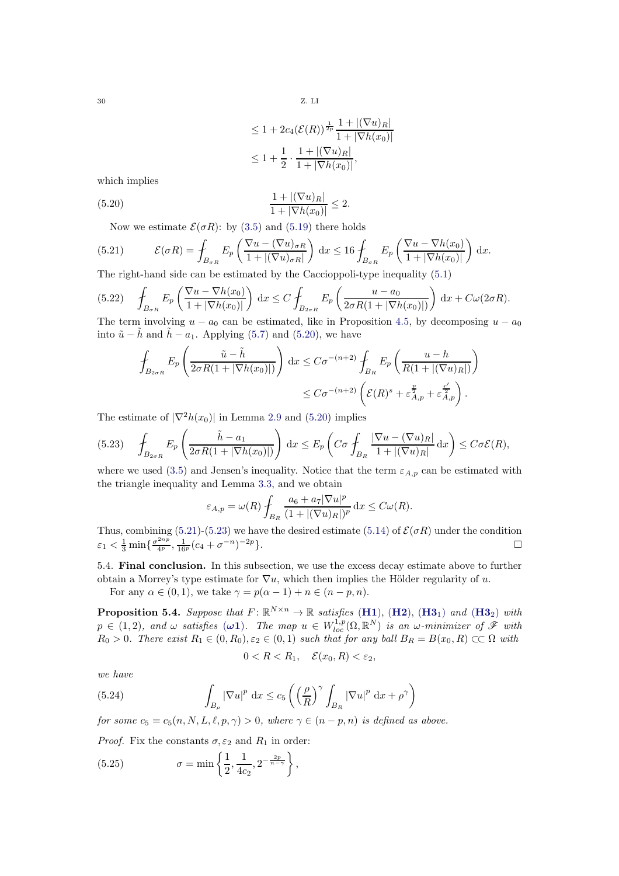<span id="page-29-0"></span>
$$
\leq 1 + 2c_4(\mathcal{E}(R))^{\frac{1}{2p}} \frac{1 + |(\nabla u)_R|}{1 + |\nabla h(x_0)|}
$$
  

$$
\leq 1 + \frac{1}{2} \cdot \frac{1 + |(\nabla u)_R|}{1 + |\nabla h(x_0)|},
$$

which implies

(5.20) 
$$
\frac{1+|(\nabla u)_R|}{1+|\nabla h(x_0)|} \leq 2.
$$

<span id="page-29-1"></span>Now we estimate  $\mathcal{E}(\sigma R)$ : by [\(3.5\)](#page-9-3) and [\(5.19\)](#page-28-2) there holds

(5.21) 
$$
\mathcal{E}(\sigma R) = \int_{B_{\sigma R}} E_p \left( \frac{\nabla u - (\nabla u)_{\sigma R}}{1 + |(\nabla u)_{\sigma R}|} \right) dx \le 16 \int_{B_{\sigma R}} E_p \left( \frac{\nabla u - \nabla h(x_0)}{1 + |\nabla h(x_0)|} \right) dx.
$$

The right-hand side can be estimated by the Caccioppoli-type inequality [\(5.1\)](#page-25-1)

(5.22) 
$$
\int_{B_{\sigma R}} E_p \left( \frac{\nabla u - \nabla h(x_0)}{1 + |\nabla h(x_0)|} \right) dx \le C \int_{B_{2\sigma R}} E_p \left( \frac{u - a_0}{2\sigma R (1 + |\nabla h(x_0)|)} \right) dx + C\omega(2\sigma R).
$$
  
The term involving  $u = a_0$  can be estimated, like in Proposition 4.5, by decomposing  $u = a_0$ .

The term involving u  $- a_0$  approximate in Proposition [4.5,](#page-17-3) by decomposing u  $- a_0$ into  $\tilde{u} - \tilde{h}$  and  $\tilde{h} - a_1$ . Applying [\(5.7\)](#page-27-4) and [\(5.20\)](#page-29-0), we have

$$
\int_{B_{2\sigma R}} E_p \left( \frac{\tilde{u} - \tilde{h}}{2\sigma R(1 + |\nabla h(x_0)|)} \right) dx \le C\sigma^{-(n+2)} \int_{B_R} E_p \left( \frac{u - h}{R(1 + |(\nabla u)_{R}|)} \right) \le C\sigma^{-(n+2)} \left( \mathcal{E}(R)^s + \varepsilon_{A,p}^{\frac{p}{2}} + \varepsilon_{A,p}^{\frac{r'}{2}} \right).
$$

The estimate of  $|\nabla^2 h(x_0)|$  in Lemma [2.9](#page-8-4) and [\(5.20\)](#page-29-0) implies

<span id="page-29-2"></span>
$$
(5.23) \quad \int_{B_{2\sigma R}} E_p\left(\frac{\tilde{h} - a_1}{2\sigma R(1 + |\nabla h(x_0)|)}\right) dx \le E_p\left(C\sigma \int_{B_R} \frac{|\nabla u - (\nabla u)_R|}{1 + |(\nabla u)_R|} dx\right) \le C\sigma \mathcal{E}(R),
$$

where we used [\(3.5\)](#page-9-3) and Jensen's inequality. Notice that the term  $\varepsilon_{A,p}$  can be estimated with the triangle inequality and Lemma [3.3,](#page-9-8) and we obtain

$$
\varepsilon_{A,p} = \omega(R) \int_{B_R} \frac{a_6 + a_7 |\nabla u|^p}{(1 + |(\nabla u)_R|)^p} dx \le C \omega(R).
$$

Thus, combining [\(5.21\)](#page-29-1)-[\(5.23\)](#page-29-2) we have the desired estimate [\(5.14\)](#page-28-3) of  $\mathcal{E}(\sigma R)$  under the condition  $\varepsilon_1 < \frac{1}{3} \min \{ \frac{\sigma^{2np}}{4^p}, \frac{1}{16^p} (c_4 + \sigma^{-n})^{-2p} \}.$ 

5.4. Final conclusion. In this subsection, we use the excess decay estimate above to further obtain a Morrey's type estimate for  $\nabla u$ , which then implies the Hölder regularity of u.

For any  $\alpha \in (0,1)$ , we take  $\gamma = p(\alpha - 1) + n \in (n - p, n)$ .

**Proposition 5.4.** Suppose that  $F: \mathbb{R}^{N \times n} \to \mathbb{R}$  satisfies  $(H1)$  $(H1)$  $(H1)$ ,  $(H2)$  $(H2)$  $(H2)$ ,  $(H3_1)$  $(H3_1)$  $(H3_1)$  and  $(H3_2)$  with  $p \in (1, 2)$ , and  $\omega$  satisfies  $(\omega 1)$ . The map  $u \in W^{1,p}_{loc}(\Omega, \mathbb{R}^N)$  is an  $\omega$ -minimizer of  $\mathscr F$  with  $R_0 > 0$ . There exist  $R_1 \in (0, R_0), \varepsilon_2 \in (0, 1)$  such that for any ball  $B_R = B(x_0, R) \subset\subset \Omega$  with

$$
0 < R < R_1, \quad \mathcal{E}(x_0, R) < \varepsilon_2,
$$

we have

(5.24) 
$$
\int_{B_{\rho}} |\nabla u|^p dx \leq c_5 \left( \left( \frac{\rho}{R} \right)^{\gamma} \int_{B_R} |\nabla u|^p dx + \rho^{\gamma} \right)
$$

for some  $c_5 = c_5(n, N, L, \ell, p, \gamma) > 0$ , where  $\gamma \in (n - p, n)$  is defined as above.

*Proof.* Fix the constants  $\sigma$ ,  $\varepsilon_2$  and  $R_1$  in order:

<span id="page-29-3"></span>(5.25) 
$$
\sigma = \min \left\{ \frac{1}{2}, \frac{1}{4c_2}, 2^{-\frac{2p}{n-\gamma}} \right\},\,
$$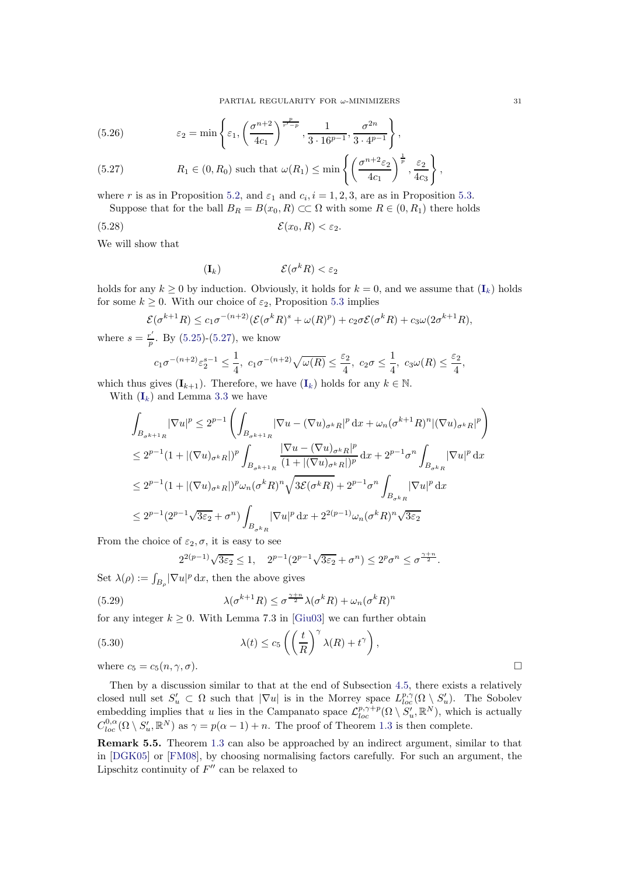(5.26) 
$$
\varepsilon_2 = \min \left\{ \varepsilon_1, \left( \frac{\sigma^{n+2}}{4c_1} \right)^{\frac{p}{r'-p}}, \frac{1}{3 \cdot 16^{p-1}}, \frac{\sigma^{2n}}{3 \cdot 4^{p-1}} \right\},
$$

<span id="page-30-2"></span>(5.27) 
$$
R_1 \in (0, R_0) \text{ such that } \omega(R_1) \le \min \left\{ \left( \frac{\sigma^{n+2} \varepsilon_2}{4c_1} \right)^{\frac{1}{p}}, \frac{\varepsilon_2}{4c_3} \right\},
$$

where r is as in Proposition [5.2,](#page-26-4) and  $\varepsilon_1$  and  $c_i$ ,  $i = 1, 2, 3$ , are as in Proposition [5.3.](#page-28-4) Suppose that for the ball  $B_R = B(x_0, R) \subset\subset \Omega$  with some  $R \in (0, R_1)$  there holds

$$
(5.28) \t\t \t\t \mathcal{E}(x_0,R) < \varepsilon_2.
$$

We will show that

<span id="page-30-1"></span>
$$
(\mathbf{I}_k) \qquad \qquad \mathcal{E}(\sigma^k R) < \varepsilon_2
$$

holds for any  $k > 0$  by induction. Obviously, it holds for  $k = 0$ , and we assume that  $(I_k)$  $(I_k)$  $(I_k)$  holds for some  $k \geq 0$ . With our choice of  $\varepsilon_2$ , Proposition [5.3](#page-28-4) implies

$$
\mathcal{E}(\sigma^{k+1}R) \le c_1 \sigma^{-(n+2)} (\mathcal{E}(\sigma^k R)^s + \omega(R)^p) + c_2 \sigma \mathcal{E}(\sigma^k R) + c_3 \omega (2\sigma^{k+1}R),
$$

where  $s = \frac{r'}{n}$  $\frac{r}{p}$ . By [\(5.25\)](#page-29-3)-[\(5.27\)](#page-30-2), we know

$$
c_1 \sigma^{-(n+2)} \varepsilon_2^{s-1} \le \frac{1}{4}, \ c_1 \sigma^{-(n+2)} \sqrt{\omega(R)} \le \frac{\varepsilon_2}{4}, \ c_2 \sigma \le \frac{1}{4}, \ c_3 \omega(R) \le \frac{\varepsilon_2}{4}
$$

which thus gives  $(I_{k+1})$  $(I_{k+1})$  $(I_{k+1})$ . Therefore, we have  $(I_k)$  holds for any  $k \in \mathbb{N}$ .

With  $(I_k)$  $(I_k)$  $(I_k)$  and Lemma [3.3](#page-9-8) we have

$$
\int_{B_{\sigma^{k+1}R}} |\nabla u|^p \leq 2^{p-1} \left( \int_{B_{\sigma^{k+1}R}} |\nabla u - (\nabla u)_{\sigma^k R}|^p \, dx + \omega_n (\sigma^{k+1} R)^n |(\nabla u)_{\sigma^k R}|^p \right)
$$
\n
$$
\leq 2^{p-1} (1 + |(\nabla u)_{\sigma^k R}|)^p \int_{B_{\sigma^{k+1}R}} \frac{|\nabla u - (\nabla u)_{\sigma^k R}|^p}{(1 + |(\nabla u)_{\sigma^k R}|)^p} \, dx + 2^{p-1} \sigma^n \int_{B_{\sigma^k R}} |\nabla u|^p \, dx
$$
\n
$$
\leq 2^{p-1} (1 + |(\nabla u)_{\sigma^k R}|)^p \omega_n (\sigma^k R)^n \sqrt{3\mathcal{E}(\sigma^k R)} + 2^{p-1} \sigma^n \int_{B_{\sigma^k R}} |\nabla u|^p \, dx
$$
\n
$$
\leq 2^{p-1} (2^{p-1} \sqrt{3\varepsilon_2} + \sigma^n) \int_{B_{\sigma^k R}} |\nabla u|^p \, dx + 2^{2(p-1)} \omega_n (\sigma^k R)^n \sqrt{3\varepsilon_2}
$$

From the choice of  $\varepsilon_2$ ,  $\sigma$ , it is easy to see

$$
2^{2(p-1)}\sqrt{3\varepsilon_2} \le 1, \quad 2^{p-1}(2^{p-1}\sqrt{3\varepsilon_2} + \sigma^n) \le 2^p \sigma^n \le \sigma^{\frac{\gamma+n}{2}}.
$$

Set  $\lambda(\rho) := \int_{B_{\rho}} |\nabla u|^p \,dx$ , then the above gives

(5.29) 
$$
\lambda(\sigma^{k+1}R) \leq \sigma^{\frac{\gamma+n}{2}}\lambda(\sigma^k R) + \omega_n(\sigma^k R)^n
$$

for any integer  $k \geq 0$ . With Lemma 7.3 in [\[Giu03\]](#page-32-6) we can further obtain

(5.30) 
$$
\lambda(t) \le c_5 \left( \left( \frac{t}{R} \right)^{\gamma} \lambda(R) + t^{\gamma} \right),
$$
  
where  $c_5 = c_5(n, \gamma, \sigma)$ .

Then by a discussion similar to that at the end of Subsection [4.5,](#page-18-0) there exists a relatively closed null set  $S'_u \subset \Omega$  such that  $|\nabla u|$  is in the Morrey space  $L^{p,\gamma}_{loc}(\Omega \setminus S'_u)$ . The Sobolev embedding implies that u lies in the Campanato space  $\mathcal{L}_{loc}^{p,\gamma+p}(\Omega \setminus S_u^{\prime}, \mathbb{R}^N)$ , which is actually  $C_{loc}^{0,\alpha}(\Omega \setminus S_u', \mathbb{R}^N)$  as  $\gamma = p(\alpha - 1) + n$ . The proof of Theorem [1.3](#page-2-1) is then complete.

<span id="page-30-0"></span>Remark 5.5. Theorem [1.3](#page-2-1) can also be approached by an indirect argument, similar to that in [\[DGK05\]](#page-31-7) or [\[FM08\]](#page-32-18), by choosing normalising factors carefully. For such an argument, the Lipschitz continuity of  $F''$  can be relaxed to

,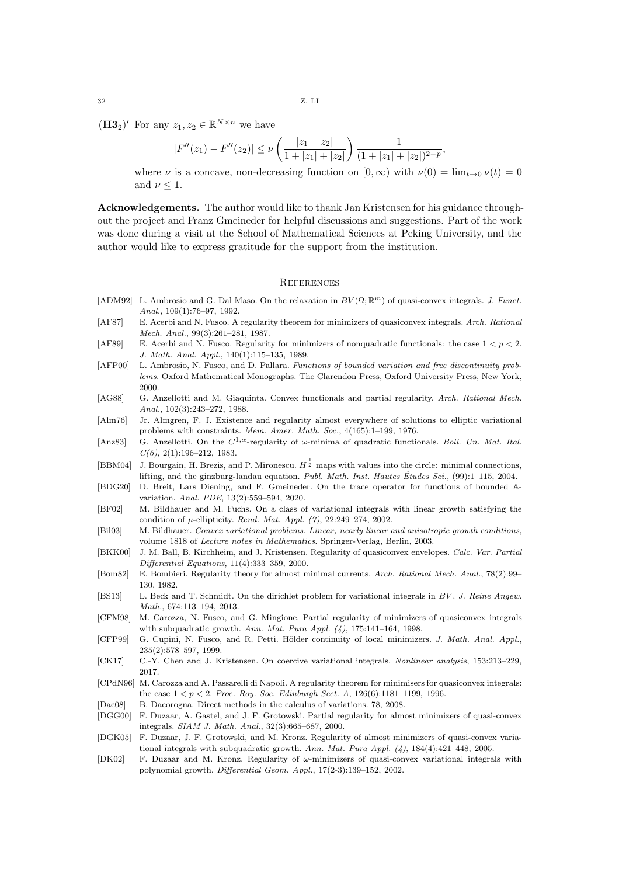$32$  Z. LI

 $(\mathbf{H3}_2)'$  For any  $z_1, z_2 \in \mathbb{R}^{N \times n}$  we have

$$
|F''(z_1) - F''(z_2)| \le \nu \left(\frac{|z_1 - z_2|}{1 + |z_1| + |z_2|}\right) \frac{1}{(1 + |z_1| + |z_2|)^{2-p}}
$$

where  $\nu$  is a concave, non-decreasing function on  $[0, \infty)$  with  $\nu(0) = \lim_{t\to 0} \nu(t) = 0$ and  $\nu \leq 1$ .

,

Acknowledgements. The author would like to thank Jan Kristensen for his guidance throughout the project and Franz Gmeineder for helpful discussions and suggestions. Part of the work was done during a visit at the School of Mathematical Sciences at Peking University, and the author would like to express gratitude for the support from the institution.

#### <span id="page-31-0"></span>**REFERENCES**

- <span id="page-31-1"></span>[ADM92] L. Ambrosio and G. Dal Maso. On the relaxation in  $BV(\Omega;\mathbb{R}^m)$  of quasi-convex integrals. J. Funct. Anal., 109(1):76–97, 1992.
- <span id="page-31-8"></span>[AF87] E. Acerbi and N. Fusco. A regularity theorem for minimizers of quasiconvex integrals. Arch. Rational Mech. Anal., 99(3):261–281, 1987.
- <span id="page-31-10"></span>[AF89] E. Acerbi and N. Fusco. Regularity for minimizers of nonquadratic functionals: the case  $1 < p < 2$ . J. Math. Anal. Appl., 140(1):115–135, 1989.
- <span id="page-31-19"></span>[AFP00] L. Ambrosio, N. Fusco, and D. Pallara. Functions of bounded variation and free discontinuity problems. Oxford Mathematical Monographs. The Clarendon Press, Oxford University Press, New York, 2000.
- <span id="page-31-12"></span>[AG88] G. Anzellotti and M. Giaquinta. Convex functionals and partial regularity. Arch. Rational Mech. Anal., 102(3):243–272, 1988.
- <span id="page-31-2"></span>[Alm76] Jr. Almgren, F. J. Existence and regularity almost everywhere of solutions to elliptic variational problems with constraints. Mem. Amer. Math. Soc., 4(165):1–199, 1976.
- <span id="page-31-4"></span>[Anz83] G. Anzellotti. On the  $C^{1,\alpha}$ -regularity of  $\omega$ -minima of quadratic functionals. Boll. Un. Mat. Ital.  $C(6)$ , 2(1):196-212, 1983.
- <span id="page-31-20"></span>[BBM04] J. Bourgain, H. Brezis, and P. Mironescu.  $H^{\frac{1}{2}}$  maps with values into the circle: minimal connections, lifting, and the ginzburg-landau equation. Publ. Math. Inst. Hautes Études Sci.  $(99)$ :1–115, 2004.
- <span id="page-31-17"></span>[BDG20] D. Breit, Lars Diening, and F. Gmeineder. On the trace operator for functions of bounded Avariation. Anal. PDE, 13(2):559–594, 2020.
- <span id="page-31-15"></span>[BF02] M. Bildhauer and M. Fuchs. On a class of variational integrals with linear growth satisfying the condition of  $\mu$ -ellipticity. Rend. Mat. Appl. (7), 22:249-274, 2002.
- <span id="page-31-14"></span>[Bil03] M. Bildhauer. Convex variational problems. Linear, nearly linear and anisotropic growth conditions, volume 1818 of Lecture notes in Mathematics. Springer-Verlag, Berlin, 2003.
- <span id="page-31-21"></span>[BKK00] J. M. Ball, B. Kirchheim, and J. Kristensen. Regularity of quasiconvex envelopes. Calc. Var. Partial Differential Equations, 11(4):333–359, 2000.
- <span id="page-31-3"></span>[Bom82] E. Bombieri. Regularity theory for almost minimal currents. Arch. Rational Mech. Anal., 78(2):99– 130, 1982.
- <span id="page-31-13"></span>[BS13] L. Beck and T. Schmidt. On the dirichlet problem for variational integrals in BV. J. Reine Angew. Math., 674:113–194, 2013.
- <span id="page-31-9"></span>[CFM98] M. Carozza, N. Fusco, and G. Mingione. Partial regularity of minimizers of quasiconvex integrals with subquadratic growth. Ann. Mat. Pura Appl.  $(4)$ , 175:141-164, 1998.
- <span id="page-31-16"></span>[CFP99] G. Cupini, N. Fusco, and R. Petti. Hölder continuity of local minimizers. J. Math. Anal. Appl., 235(2):578–597, 1999.
- <span id="page-31-22"></span>[CK17] C.-Y. Chen and J. Kristensen. On coercive variational integrals. Nonlinear analysis, 153:213–229, 2017.
- <span id="page-31-11"></span>[CPdN96] M. Carozza and A. Passarelli di Napoli. A regularity theorem for minimisers for quasiconvex integrals: the case  $1 < p < 2$ . Proc. Roy. Soc. Edinburgh Sect. A,  $126(6):1181-1199$ , 1996.
- <span id="page-31-18"></span>[Dac08] B. Dacorogna. Direct methods in the calculus of variations. 78, 2008.
- <span id="page-31-5"></span>[DGG00] F. Duzaar, A. Gastel, and J. F. Grotowski. Partial regularity for almost minimizers of quasi-convex integrals. SIAM J. Math. Anal., 32(3):665–687, 2000.
- <span id="page-31-7"></span>[DGK05] F. Duzaar, J. F. Grotowski, and M. Kronz. Regularity of almost minimizers of quasi-convex variational integrals with subquadratic growth. Ann. Mat. Pura Appl. (4), 184(4):421–448, 2005.
- <span id="page-31-6"></span>[DK02] F. Duzaar and M. Kronz. Regularity of ω-minimizers of quasi-convex variational integrals with polynomial growth. Differential Geom. Appl., 17(2-3):139–152, 2002.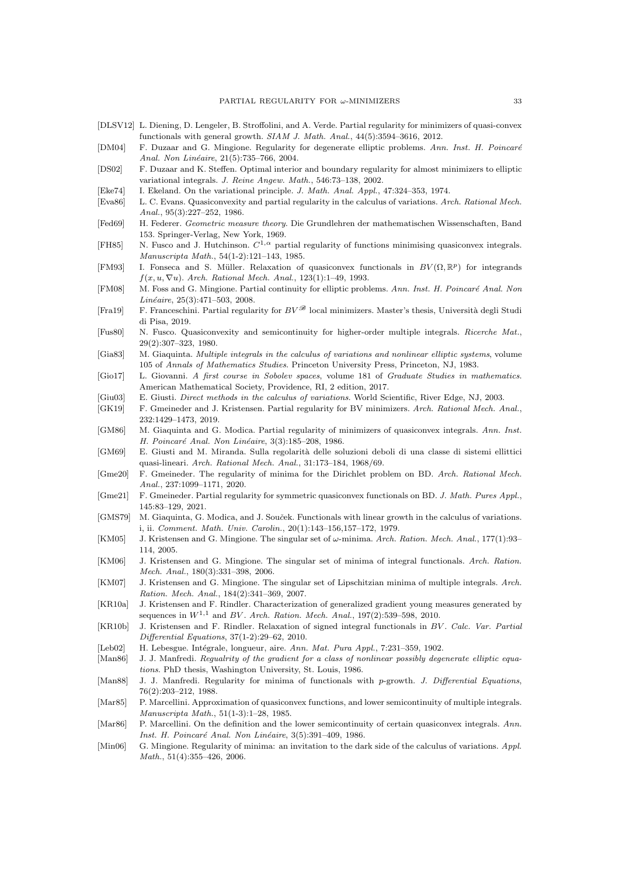- <span id="page-32-10"></span>[DLSV12] L. Diening, D. Lengeler, B. Stroffolini, and A. Verde. Partial regularity for minimizers of quasi-convex functionals with general growth. SIAM J. Math. Anal., 44(5):3594–3616, 2012.
- <span id="page-32-11"></span>[DM04] F. Duzaar and G. Mingione. Regularity for degenerate elliptic problems. Ann. Inst. H. Poincaré Anal. Non Linéaire, 21(5):735-766, 2004.
- <span id="page-32-4"></span>[DS02] F. Duzaar and K. Steffen. Optimal interior and boundary regularity for almost minimizers to elliptic variational integrals. J. Reine Angew. Math., 546:73–138, 2002.
- <span id="page-32-30"></span>[Eke74] I. Ekeland. On the variational principle. J. Math. Anal. Appl., 47:324–353, 1974.
- <span id="page-32-5"></span>[Eva86] L. C. Evans. Quasiconvexity and partial regularity in the calculus of variations. Arch. Rational Mech. Anal., 95(3):227–252, 1986.
- <span id="page-32-27"></span>[Fed69] H. Federer. Geometric measure theory. Die Grundlehren der mathematischen Wissenschaften, Band 153. Springer-Verlag, New York, 1969.
- <span id="page-32-8"></span>[FH85] N. Fusco and J. Hutchinson.  $C^{1,\alpha}$  partial regularity of functions minimising quasiconvex integrals. Manuscripta Math., 54(1-2):121–143, 1985.
- <span id="page-32-3"></span>[FM93] I. Fonseca and S. Müller. Relaxation of quasiconvex functionals in  $BV(\Omega, \mathbb{R}^p)$  for integrands  $f(x, u, \nabla u)$ . Arch. Rational Mech. Anal., 123(1):1-49, 1993.
- <span id="page-32-18"></span>[FM08] M. Foss and G. Mingione. Partial continuity for elliptic problems. Ann. Inst. H. Poincaré Anal. Non  $Lin\acute{e}aire$ , 25(3):471–503, 2008.
- <span id="page-32-24"></span>[Fra19] F. Franceschini. Partial regularity for  $BV^{\mathscr{B}}$  local minimizers. Master's thesis, Università degli Studi di Pisa, 2019.
- <span id="page-32-28"></span>[Fus80] N. Fusco. Quasiconvexity and semicontinuity for higher-order multiple integrals. Ricerche Mat., 29(2):307–323, 1980.
- <span id="page-32-17"></span>[Gia83] M. Giaquinta. Multiple integrals in the calculus of variations and nonlinear elliptic systems, volume 105 of Annals of Mathematics Studies. Princeton University Press, Princeton, NJ, 1983.
- <span id="page-32-25"></span>[Gio17] L. Giovanni. A first course in Sobolev spaces, volume 181 of Graduate Studies in mathematics. American Mathematical Society, Providence, RI, 2 edition, 2017.
- <span id="page-32-6"></span>[Giu03] E. Giusti. Direct methods in the calculus of variations. World Scientific, River Edge, NJ, 2003.
- <span id="page-32-13"></span>[GK19] F. Gmeineder and J. Kristensen. Partial regularity for BV minimizers. Arch. Rational Mech. Anal., 232:1429–1473, 2019.
- <span id="page-32-9"></span>[GM86] M. Giaquinta and G. Modica. Partial regularity of minimizers of quasiconvex integrals. Ann. Inst. H. Poincaré Anal. Non Linéaire, 3(3):185–208, 1986.
- <span id="page-32-7"></span>[GM69] E. Giusti and M. Miranda. Sulla regolarit`a delle soluzioni deboli di una classe di sistemi ellittici quasi-lineari. Arch. Rational Mech. Anal., 31:173–184, 1968/69.
- <span id="page-32-22"></span>[Gme20] F. Gmeineder. The regularity of minima for the Dirichlet problem on BD. Arch. Rational Mech. Anal., 237:1099–1171, 2020.
- <span id="page-32-23"></span>[Gme21] F. Gmeineder. Partial regularity for symmetric quasiconvex functionals on BD. J. Math. Pures Appl., 145:83–129, 2021.
- <span id="page-32-12"></span>[GMS79] M. Giaquinta, G. Modica, and J. Souček. Functionals with linear growth in the calculus of variations. i, ii. Comment. Math. Univ. Carolin., 20(1):143–156,157–172, 1979.
- <span id="page-32-14"></span>[KM05] J. Kristensen and G. Mingione. The singular set of ω-minima. Arch. Ration. Mech. Anal., 177(1):93– 114, 2005.
- <span id="page-32-15"></span>[KM06] J. Kristensen and G. Mingione. The singular set of minima of integral functionals. Arch. Ration. Mech. Anal., 180(3):331–398, 2006.
- <span id="page-32-16"></span>[KM07] J. Kristensen and G. Mingione. The singular set of Lipschitzian minima of multiple integrals. Arch. Ration. Mech. Anal., 184(2):341–369, 2007.
- <span id="page-32-26"></span>[KR10a] J. Kristensen and F. Rindler. Characterization of generalized gradient young measures generated by sequences in  $W^{1,1}$  and BV. Arch. Ration. Mech. Anal., 197(2):539–598, 2010.
- <span id="page-32-2"></span>[KR10b] J. Kristensen and F. Rindler. Relaxation of signed integral functionals in BV . Calc. Var. Partial Differential Equations, 37(1-2):29–62, 2010.
- <span id="page-32-0"></span>[Leb02] H. Lebesgue. Intégrale, longueur, aire. Ann. Mat. Pura Appl., 7:231–359, 1902.
- <span id="page-32-20"></span>[Man86] J. J. Manfredi. Regualrity of the gradient for a class of nonlinear possibly degenerate elliptic equations. PhD thesis, Washington University, St. Louis, 1986.
- <span id="page-32-19"></span>[Man88] J. J. Manfredi. Regularity for minima of functionals with p-growth. J. Differential Equations, 76(2):203–212, 1988.
- <span id="page-32-29"></span>[Mar85] P. Marcellini. Approximation of quasiconvex functions, and lower semicontinuity of multiple integrals. Manuscripta Math., 51(1-3):1–28, 1985.
- <span id="page-32-1"></span>[Mar86] P. Marcellini. On the definition and the lower semicontinuity of certain quasiconvex integrals. Ann. Inst. H. Poincaré Anal. Non Linéaire, 3(5):391-409, 1986.
- <span id="page-32-21"></span>[Min06] G. Mingione. Regularity of minima: an invitation to the dark side of the calculus of variations. Appl. Math., 51(4):355-426, 2006.